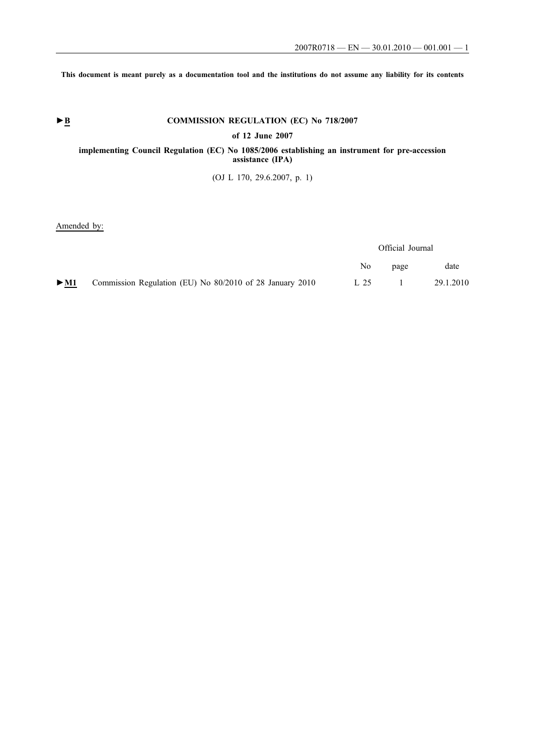**This document is meant purely as a documentation tool and the institutions do not assume any liability for its contents**

# ► **B** COMMISSION REGULATION (EC) No 718/2007

**of 12 June 2007**

## **implementing Council Regulation (EC) No 1085/2006 establishing an instrument for pre-accession assistance (IPA)**

(OJ L 170, 29.6.2007, p. 1)

Amended by:

|        |                                                          | Official Journal |      |           |
|--------|----------------------------------------------------------|------------------|------|-----------|
|        |                                                          | No.              | page | date      |
| $>$ M1 | Commission Regulation (EU) No 80/2010 of 28 January 2010 | L 25             |      | 29.1.2010 |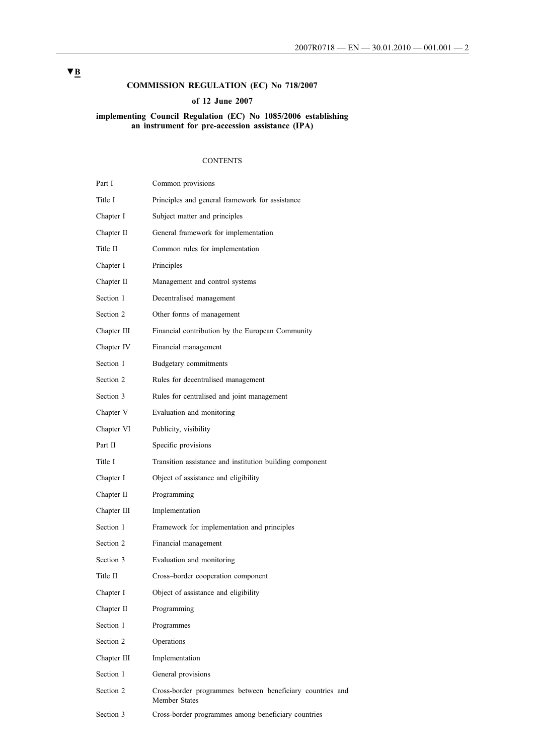# **COMMISSION REGULATION (EC) No 718/2007**

## **of 12 June 2007**

## **implementing Council Regulation (EC) No 1085/2006 establishing an instrument for pre-accession assistance (IPA)**

#### CONTENTS

| Part I      | Common provisions                                                          |
|-------------|----------------------------------------------------------------------------|
| Title I     | Principles and general framework for assistance                            |
| Chapter I   | Subject matter and principles                                              |
| Chapter II  | General framework for implementation                                       |
| Title II    | Common rules for implementation                                            |
| Chapter I   | Principles                                                                 |
| Chapter II  | Management and control systems                                             |
| Section 1   | Decentralised management                                                   |
| Section 2   | Other forms of management                                                  |
| Chapter III | Financial contribution by the European Community                           |
| Chapter IV  | Financial management                                                       |
| Section 1   | Budgetary commitments                                                      |
| Section 2   | Rules for decentralised management                                         |
| Section 3   | Rules for centralised and joint management                                 |
| Chapter V   | Evaluation and monitoring                                                  |
| Chapter VI  | Publicity, visibility                                                      |
| Part II     | Specific provisions                                                        |
| Title I     | Transition assistance and institution building component                   |
| Chapter I   | Object of assistance and eligibility                                       |
| Chapter II  | Programming                                                                |
| Chapter III | Implementation                                                             |
| Section 1   | Framework for implementation and principles                                |
| Section 2   | Financial management                                                       |
| Section 3   | Evaluation and monitoring                                                  |
| Title II    | Cross-border cooperation component                                         |
| Chapter I   | Object of assistance and eligibility                                       |
| Chapter II  | Programming                                                                |
| Section 1   | Programmes                                                                 |
| Section 2   | Operations                                                                 |
| Chapter III | Implementation                                                             |
| Section 1   | General provisions                                                         |
| Section 2   | Cross-border programmes between beneficiary countries and<br>Member States |
| Section 3   | Cross-border programmes among beneficiary countries                        |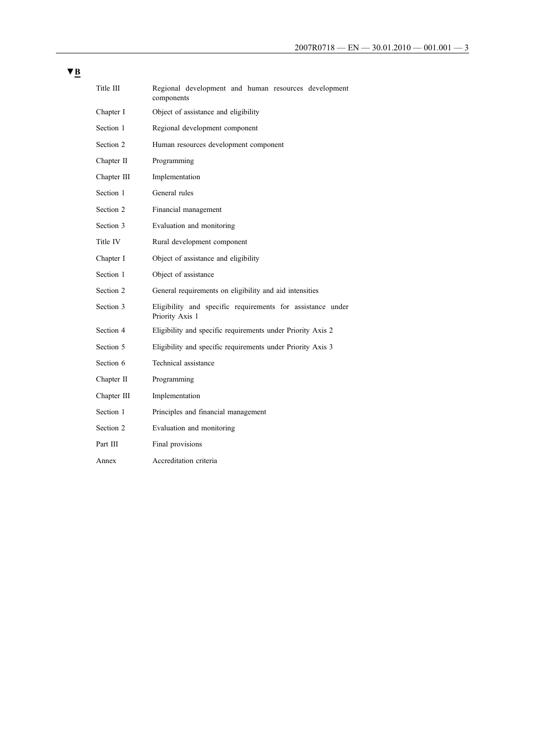| Title III   | Regional development and human resources development<br>components            |  |  |  |  |  |
|-------------|-------------------------------------------------------------------------------|--|--|--|--|--|
| Chapter I   | Object of assistance and eligibility                                          |  |  |  |  |  |
| Section 1   | Regional development component                                                |  |  |  |  |  |
| Section 2   | Human resources development component                                         |  |  |  |  |  |
| Chapter II  | Programming                                                                   |  |  |  |  |  |
| Chapter III | Implementation                                                                |  |  |  |  |  |
| Section 1   | General rules                                                                 |  |  |  |  |  |
| Section 2   | Financial management                                                          |  |  |  |  |  |
| Section 3   | Evaluation and monitoring                                                     |  |  |  |  |  |
| Title IV    | Rural development component                                                   |  |  |  |  |  |
| Chapter I   | Object of assistance and eligibility                                          |  |  |  |  |  |
| Section 1   | Object of assistance                                                          |  |  |  |  |  |
| Section 2   | General requirements on eligibility and aid intensities                       |  |  |  |  |  |
| Section 3   | Eligibility and specific requirements for assistance under<br>Priority Axis 1 |  |  |  |  |  |
| Section 4   | Eligibility and specific requirements under Priority Axis 2                   |  |  |  |  |  |
| Section 5   | Eligibility and specific requirements under Priority Axis 3                   |  |  |  |  |  |
| Section 6   | Technical assistance                                                          |  |  |  |  |  |
| Chapter II  | Programming                                                                   |  |  |  |  |  |
| Chapter III | Implementation                                                                |  |  |  |  |  |
| Section 1   | Principles and financial management                                           |  |  |  |  |  |
| Section 2   | Evaluation and monitoring                                                     |  |  |  |  |  |
| Part III    | Final provisions                                                              |  |  |  |  |  |
| Annex       | Accreditation criteria                                                        |  |  |  |  |  |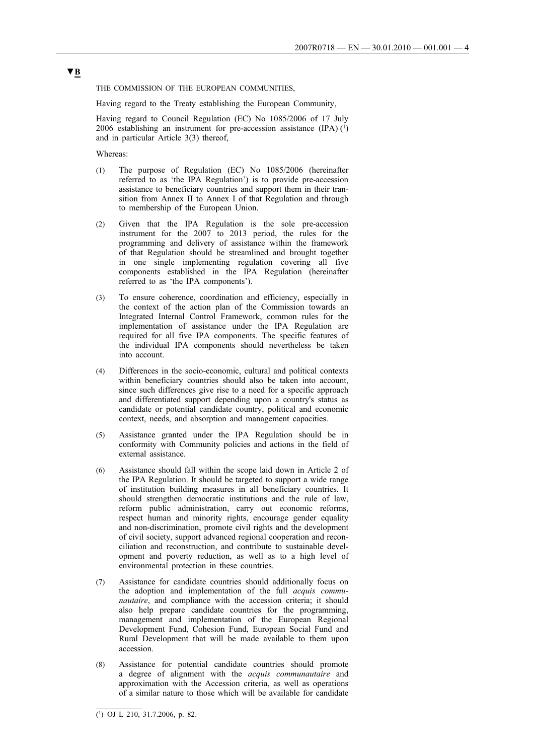THE COMMISSION OF THE EUROPEAN COMMUNITIES,

Having regard to the Treaty establishing the European Community,

Having regard to Council Regulation (EC) No 1085/2006 of 17 July 2006 establishing an instrument for pre-accession assistance  $(IPA)$   $(1)$ and in particular Article 3(3) thereof,

Whereas:

- (1) The purpose of Regulation (EC) No 1085/2006 (hereinafter referred to as 'the IPA Regulation') is to provide pre-accession assistance to beneficiary countries and support them in their transition from Annex II to Annex I of that Regulation and through to membership of the European Union.
- (2) Given that the IPA Regulation is the sole pre-accession instrument for the 2007 to 2013 period, the rules for the programming and delivery of assistance within the framework of that Regulation should be streamlined and brought together in one single implementing regulation covering all five components established in the IPA Regulation (hereinafter referred to as 'the IPA components').
- (3) To ensure coherence, coordination and efficiency, especially in the context of the action plan of the Commission towards an Integrated Internal Control Framework, common rules for the implementation of assistance under the IPA Regulation are required for all five IPA components. The specific features of the individual IPA components should nevertheless be taken into account.
- (4) Differences in the socio-economic, cultural and political contexts within beneficiary countries should also be taken into account. since such differences give rise to a need for a specific approach and differentiated support depending upon a country's status as candidate or potential candidate country, political and economic context, needs, and absorption and management capacities.
- (5) Assistance granted under the IPA Regulation should be in conformity with Community policies and actions in the field of external assistance.
- (6) Assistance should fall within the scope laid down in Article 2 of the IPA Regulation. It should be targeted to support a wide range of institution building measures in all beneficiary countries. It should strengthen democratic institutions and the rule of law, reform public administration, carry out economic reforms, respect human and minority rights, encourage gender equality and non-discrimination, promote civil rights and the development of civil society, support advanced regional cooperation and reconciliation and reconstruction, and contribute to sustainable development and poverty reduction, as well as to a high level of environmental protection in these countries.
- (7) Assistance for candidate countries should additionally focus on the adoption and implementation of the full *acquis communautaire*, and compliance with the accession criteria; it should also help prepare candidate countries for the programming, management and implementation of the European Regional Development Fund, Cohesion Fund, European Social Fund and Rural Development that will be made available to them upon accession.
- (8) Assistance for potential candidate countries should promote a degree of alignment with the *acquis communautaire* and approximation with the Accession criteria, as well as operations of a similar nature to those which will be available for candidate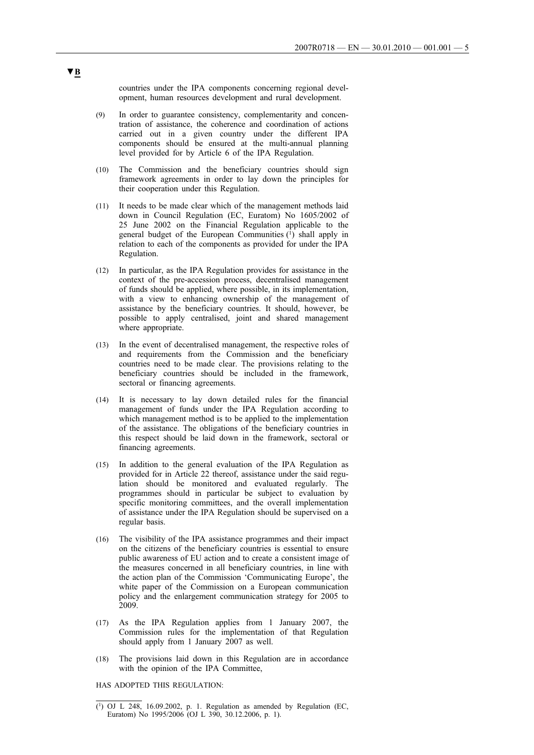countries under the IPA components concerning regional development, human resources development and rural development.

- (9) In order to guarantee consistency, complementarity and concentration of assistance, the coherence and coordination of actions carried out in a given country under the different IPA components should be ensured at the multi-annual planning level provided for by Article 6 of the IPA Regulation.
- (10) The Commission and the beneficiary countries should sign framework agreements in order to lay down the principles for their cooperation under this Regulation.
- (11) It needs to be made clear which of the management methods laid down in Council Regulation (EC, Euratom) No 1605/2002 of 25 June 2002 on the Financial Regulation applicable to the general budget of the European Communities (1) shall apply in relation to each of the components as provided for under the IPA Regulation.
- (12) In particular, as the IPA Regulation provides for assistance in the context of the pre-accession process, decentralised management of funds should be applied, where possible, in its implementation, with a view to enhancing ownership of the management of assistance by the beneficiary countries. It should, however, be possible to apply centralised, joint and shared management where appropriate.
- (13) In the event of decentralised management, the respective roles of and requirements from the Commission and the beneficiary countries need to be made clear. The provisions relating to the beneficiary countries should be included in the framework, sectoral or financing agreements.
- (14) It is necessary to lay down detailed rules for the financial management of funds under the IPA Regulation according to which management method is to be applied to the implementation of the assistance. The obligations of the beneficiary countries in this respect should be laid down in the framework, sectoral or financing agreements.
- (15) In addition to the general evaluation of the IPA Regulation as provided for in Article 22 thereof, assistance under the said regulation should be monitored and evaluated regularly. The programmes should in particular be subject to evaluation by specific monitoring committees, and the overall implementation of assistance under the IPA Regulation should be supervised on a regular basis.
- (16) The visibility of the IPA assistance programmes and their impact on the citizens of the beneficiary countries is essential to ensure public awareness of EU action and to create a consistent image of the measures concerned in all beneficiary countries, in line with the action plan of the Commission 'Communicating Europe', the white paper of the Commission on a European communication policy and the enlargement communication strategy for 2005 to 2009.
- (17) As the IPA Regulation applies from 1 January 2007, the Commission rules for the implementation of that Regulation should apply from 1 January 2007 as well.
- (18) The provisions laid down in this Regulation are in accordance with the opinion of the IPA Committee,

HAS ADOPTED THIS REGULATION:

<sup>(1)</sup> OJ L 248, 16.09.2002, p. 1. Regulation as amended by Regulation (EC, Euratom) No 1995/2006 (OJ L 390, 30.12.2006, p. 1).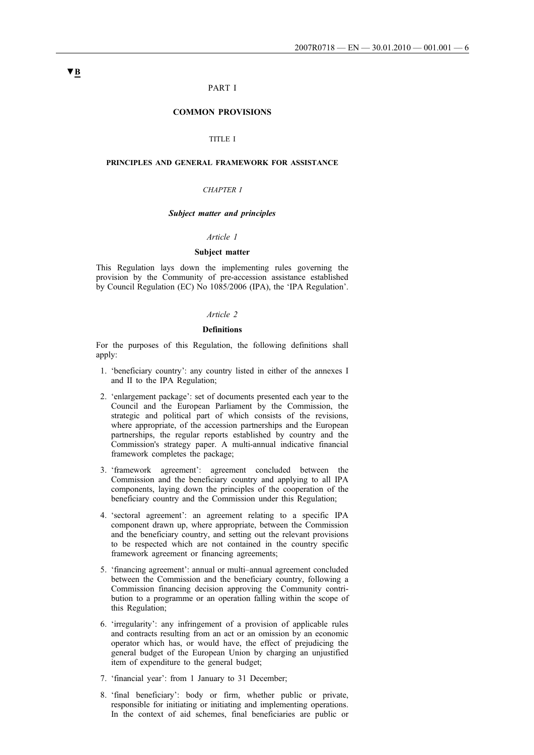### PART I

## **COMMON PROVISIONS**

### TITLE I

## **PRINCIPLES AND GENERAL FRAMEWORK FOR ASSISTANCE**

## *CHAPTER I*

## *Subject matter and principles*

#### *Article 1*

## **Subject matter**

This Regulation lays down the implementing rules governing the provision by the Community of pre-accession assistance established by Council Regulation (EC) No 1085/2006 (IPA), the 'IPA Regulation'.

#### *Article 2*

#### **Definitions**

For the purposes of this Regulation, the following definitions shall apply:

- 1. 'beneficiary country': any country listed in either of the annexes I and II to the IPA Regulation;
- 2. 'enlargement package': set of documents presented each year to the Council and the European Parliament by the Commission, the strategic and political part of which consists of the revisions, where appropriate, of the accession partnerships and the European partnerships, the regular reports established by country and the Commission's strategy paper. A multi-annual indicative financial framework completes the package;
- 3. 'framework agreement': agreement concluded between the Commission and the beneficiary country and applying to all IPA components, laying down the principles of the cooperation of the beneficiary country and the Commission under this Regulation;
- 4. 'sectoral agreement': an agreement relating to a specific IPA component drawn up, where appropriate, between the Commission and the beneficiary country, and setting out the relevant provisions to be respected which are not contained in the country specific framework agreement or financing agreements;
- 5. 'financing agreement': annual or multi–annual agreement concluded between the Commission and the beneficiary country, following a Commission financing decision approving the Community contribution to a programme or an operation falling within the scope of this Regulation;
- 6. 'irregularity': any infringement of a provision of applicable rules and contracts resulting from an act or an omission by an economic operator which has, or would have, the effect of prejudicing the general budget of the European Union by charging an unjustified item of expenditure to the general budget;
- 7. 'financial year': from 1 January to 31 December;
- 8. 'final beneficiary': body or firm, whether public or private, responsible for initiating or initiating and implementing operations. In the context of aid schemes, final beneficiaries are public or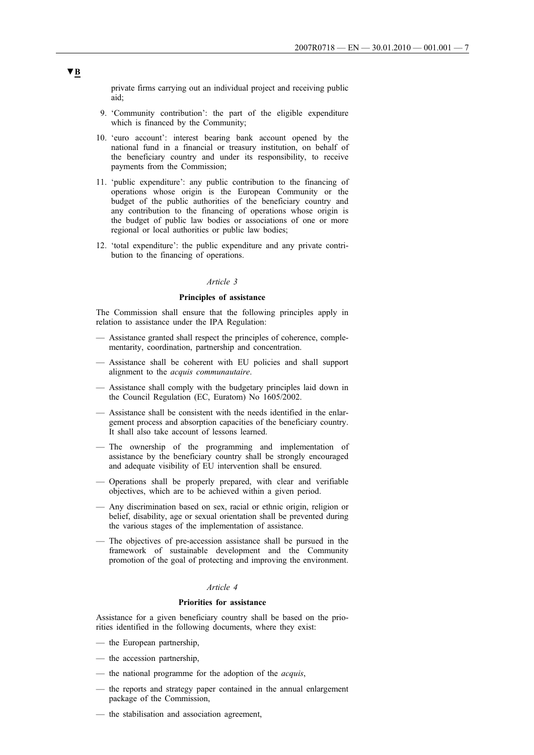private firms carrying out an individual project and receiving public aid;

- 9. 'Community contribution': the part of the eligible expenditure which is financed by the Community;
- 10. 'euro account': interest bearing bank account opened by the national fund in a financial or treasury institution, on behalf of the beneficiary country and under its responsibility, to receive payments from the Commission;
- 11. 'public expenditure': any public contribution to the financing of operations whose origin is the European Community or the budget of the public authorities of the beneficiary country and any contribution to the financing of operations whose origin is the budget of public law bodies or associations of one or more regional or local authorities or public law bodies;
- 12. 'total expenditure': the public expenditure and any private contribution to the financing of operations.

#### *Article 3*

### **Principles of assistance**

The Commission shall ensure that the following principles apply in relation to assistance under the IPA Regulation:

- Assistance granted shall respect the principles of coherence, complementarity, coordination, partnership and concentration.
- Assistance shall be coherent with EU policies and shall support alignment to the *acquis communautaire*.
- Assistance shall comply with the budgetary principles laid down in the Council Regulation (EC, Euratom) No 1605/2002.
- Assistance shall be consistent with the needs identified in the enlargement process and absorption capacities of the beneficiary country. It shall also take account of lessons learned.
- The ownership of the programming and implementation of assistance by the beneficiary country shall be strongly encouraged and adequate visibility of EU intervention shall be ensured.
- Operations shall be properly prepared, with clear and verifiable objectives, which are to be achieved within a given period.
- Any discrimination based on sex, racial or ethnic origin, religion or belief, disability, age or sexual orientation shall be prevented during the various stages of the implementation of assistance.
- The objectives of pre-accession assistance shall be pursued in the framework of sustainable development and the Community promotion of the goal of protecting and improving the environment.

## *Article 4*

## **Priorities for assistance**

Assistance for a given beneficiary country shall be based on the priorities identified in the following documents, where they exist:

- the European partnership,
- the accession partnership,
- the national programme for the adoption of the *acquis*,
- the reports and strategy paper contained in the annual enlargement package of the Commission,
- the stabilisation and association agreement,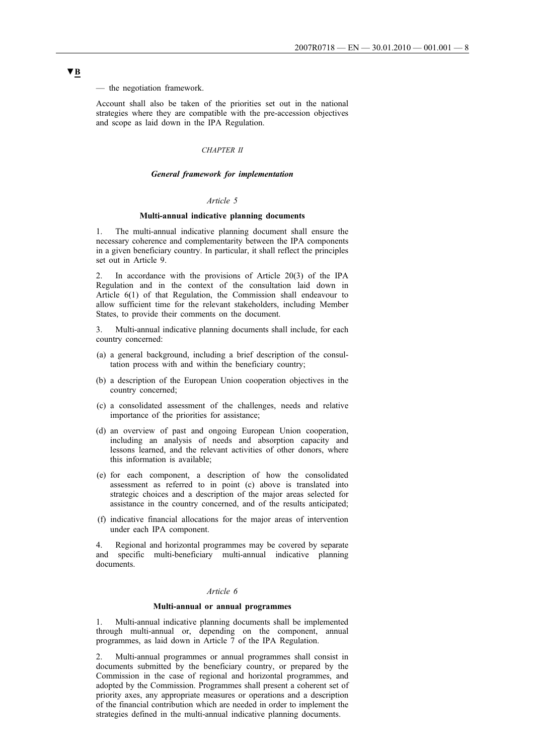— the negotiation framework.

Account shall also be taken of the priorities set out in the national strategies where they are compatible with the pre-accession objectives and scope as laid down in the IPA Regulation.

#### *CHAPTER II*

## *General framework for implementation*

## *Article 5*

### **Multi-annual indicative planning documents**

1. The multi-annual indicative planning document shall ensure the necessary coherence and complementarity between the IPA components in a given beneficiary country. In particular, it shall reflect the principles set out in Article 9.

In accordance with the provisions of Article  $20(3)$  of the IPA Regulation and in the context of the consultation laid down in Article 6(1) of that Regulation, the Commission shall endeavour to allow sufficient time for the relevant stakeholders, including Member States, to provide their comments on the document.

3. Multi-annual indicative planning documents shall include, for each country concerned:

- (a) a general background, including a brief description of the consultation process with and within the beneficiary country;
- (b) a description of the European Union cooperation objectives in the country concerned;
- (c) a consolidated assessment of the challenges, needs and relative importance of the priorities for assistance;
- (d) an overview of past and ongoing European Union cooperation, including an analysis of needs and absorption capacity and lessons learned, and the relevant activities of other donors, where this information is available;
- (e) for each component, a description of how the consolidated assessment as referred to in point (c) above is translated into strategic choices and a description of the major areas selected for assistance in the country concerned, and of the results anticipated;
- (f) indicative financial allocations for the major areas of intervention under each IPA component.

4. Regional and horizontal programmes may be covered by separate and specific multi-beneficiary multi-annual indicative planning documents.

## *Article 6*

#### **Multi-annual or annual programmes**

1. Multi-annual indicative planning documents shall be implemented through multi-annual or, depending on the component, annual programmes, as laid down in Article 7 of the IPA Regulation.

2. Multi-annual programmes or annual programmes shall consist in documents submitted by the beneficiary country, or prepared by the Commission in the case of regional and horizontal programmes, and adopted by the Commission. Programmes shall present a coherent set of priority axes, any appropriate measures or operations and a description of the financial contribution which are needed in order to implement the strategies defined in the multi-annual indicative planning documents.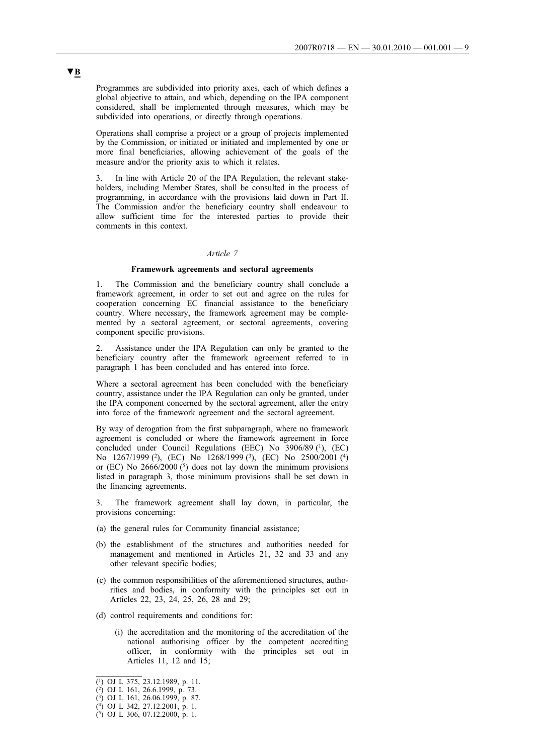Programmes are subdivided into priority axes, each of which defines a global objective to attain, and which, depending on the IPA component considered, shall be implemented through measures, which may be subdivided into operations, or directly through operations.

Operations shall comprise a project or a group of projects implemented by the Commission, or initiated or initiated and implemented by one or more final beneficiaries, allowing achievement of the goals of the measure and/or the priority axis to which it relates.

3. In line with Article 20 of the IPA Regulation, the relevant stakeholders, including Member States, shall be consulted in the process of programming, in accordance with the provisions laid down in Part II. The Commission and/or the beneficiary country shall endeavour to allow sufficient time for the interested parties to provide their comments in this context.

#### *Article 7*

## **Framework agreements and sectoral agreements**

The Commission and the beneficiary country shall conclude a framework agreement, in order to set out and agree on the rules for cooperation concerning EC financial assistance to the beneficiary country. Where necessary, the framework agreement may be complemented by a sectoral agreement, or sectoral agreements, covering component specific provisions.

2. Assistance under the IPA Regulation can only be granted to the beneficiary country after the framework agreement referred to in paragraph 1 has been concluded and has entered into force.

Where a sectoral agreement has been concluded with the beneficiary country, assistance under the IPA Regulation can only be granted, under the IPA component concerned by the sectoral agreement, after the entry into force of the framework agreement and the sectoral agreement.

By way of derogation from the first subparagraph, where no framework agreement is concluded or where the framework agreement in force concluded under Council Regulations (EEC) No 3906/89 (1), (EC) No 1267/1999 (<sup>2</sup>), (EC) No 1268/1999 (<sup>3</sup>), (EC) No 2500/2001 (<sup>4</sup>) or (EC) No  $2666/2000$  (<sup>5</sup>) does not lay down the minimum provisions listed in paragraph 3, those minimum provisions shall be set down in the financing agreements.

The framework agreement shall lay down, in particular, the provisions concerning:

- (a) the general rules for Community financial assistance;
- (b) the establishment of the structures and authorities needed for management and mentioned in Articles 21, 32 and 33 and any other relevant specific bodies;
- (c) the common responsibilities of the aforementioned structures, authorities and bodies, in conformity with the principles set out in Articles 22, 23, 24, 25, 26, 28 and 29;
- (d) control requirements and conditions for:
	- (i) the accreditation and the monitoring of the accreditation of the national authorising officer by the competent accrediting officer, in conformity with the principles set out in Articles 11, 12 and 15;

<sup>(1)</sup> OJ L 375, 23.12.1989, p. 11.

<sup>(2)</sup> OJ L 161, 26.6.1999, p. 73.

<sup>(3)</sup> OJ L 161, 26.06.1999, p. 87.

<sup>(4)</sup> OJ L 342, 27.12.2001, p. 1.

<sup>(5)</sup> OJ L 306, 07.12.2000, p. 1.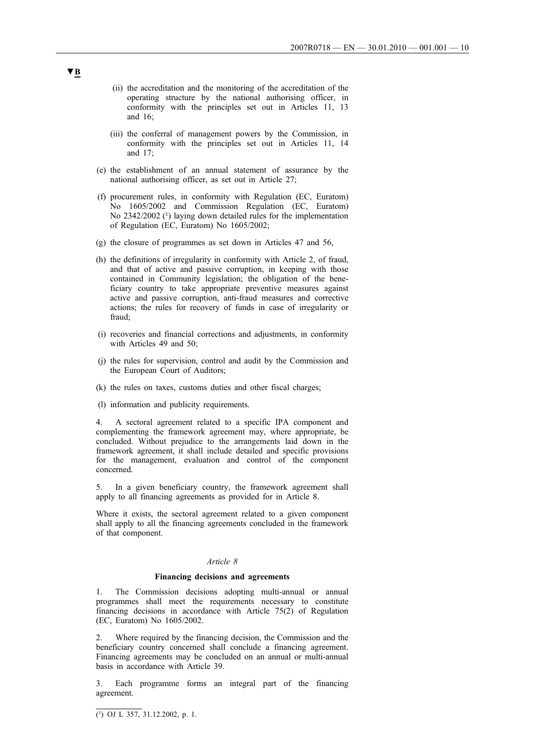- (ii) the accreditation and the monitoring of the accreditation of the operating structure by the national authorising officer, in conformity with the principles set out in Articles 11, 13 and 16;
- (iii) the conferral of management powers by the Commission, in conformity with the principles set out in Articles 11, 14 and 17;
- (e) the establishment of an annual statement of assurance by the national authorising officer, as set out in Article 27;
- (f) procurement rules, in conformity with Regulation (EC, Euratom) No 1605/2002 and Commission Regulation (EC, Euratom) No 2342/2002 (<sup>1</sup>) laying down detailed rules for the implementation of Regulation (EC, Euratom) No 1605/2002;
- (g) the closure of programmes as set down in Articles 47 and 56,
- (h) the definitions of irregularity in conformity with Article 2, of fraud, and that of active and passive corruption, in keeping with those contained in Community legislation; the obligation of the beneficiary country to take appropriate preventive measures against active and passive corruption, anti-fraud measures and corrective actions; the rules for recovery of funds in case of irregularity or fraud;
- (i) recoveries and financial corrections and adjustments, in conformity with Articles 49 and 50;
- (j) the rules for supervision, control and audit by the Commission and the European Court of Auditors;
- (k) the rules on taxes, customs duties and other fiscal charges;
- (l) information and publicity requirements.

4. A sectoral agreement related to a specific IPA component and complementing the framework agreement may, where appropriate, be concluded. Without prejudice to the arrangements laid down in the framework agreement, it shall include detailed and specific provisions for the management, evaluation and control of the component concerned.

5. In a given beneficiary country, the framework agreement shall apply to all financing agreements as provided for in Article 8.

Where it exists, the sectoral agreement related to a given component shall apply to all the financing agreements concluded in the framework of that component.

#### *Article 8*

#### **Financing decisions and agreements**

1. The Commission decisions adopting multi-annual or annual programmes shall meet the requirements necessary to constitute financing decisions in accordance with Article 75(2) of Regulation (EC, Euratom) No 1605/2002.

2. Where required by the financing decision, the Commission and the beneficiary country concerned shall conclude a financing agreement. Financing agreements may be concluded on an annual or multi-annual basis in accordance with Article 39.

3. Each programme forms an integral part of the financing agreement.

 $\overline{(^1)}$  OJ L 357, 31.12.2002, p. 1.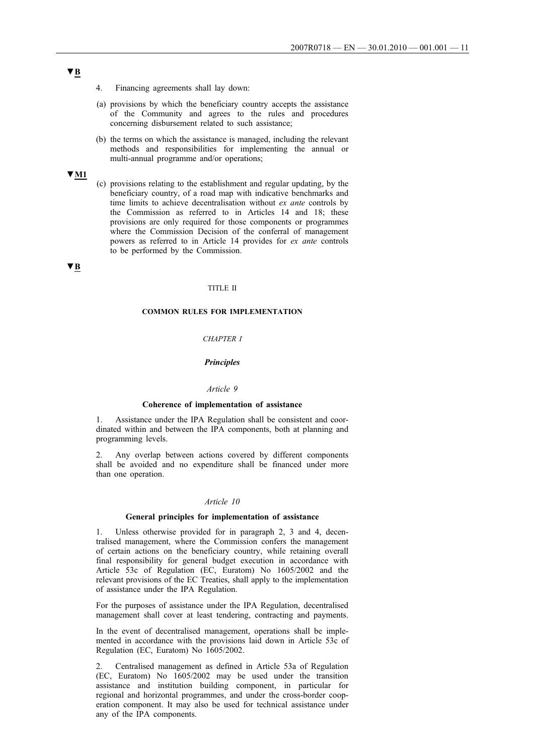- 4. Financing agreements shall lay down:
- (a) provisions by which the beneficiary country accepts the assistance of the Community and agrees to the rules and procedures concerning disbursement related to such assistance;
- (b) the terms on which the assistance is managed, including the relevant methods and responsibilities for implementing the annual or multi-annual programme and/or operations;

## **▼M1**

(c) provisions relating to the establishment and regular updating, by the beneficiary country, of a road map with indicative benchmarks and time limits to achieve decentralisation without *ex ante* controls by the Commission as referred to in Articles 14 and 18; these provisions are only required for those components or programmes where the Commission Decision of the conferral of management powers as referred to in Article 14 provides for *ex ante* controls to be performed by the Commission.

## **▼B**

### TITLE II

## **COMMON RULES FOR IMPLEMENTATION**

## *CHAPTER I*

## *Principles*

## *Article 9*

#### **Coherence of implementation of assistance**

Assistance under the IPA Regulation shall be consistent and coordinated within and between the IPA components, both at planning and programming levels.

2. Any overlap between actions covered by different components shall be avoided and no expenditure shall be financed under more than one operation.

#### *Article 10*

### **General principles for implementation of assistance**

1. Unless otherwise provided for in paragraph 2, 3 and 4, decentralised management, where the Commission confers the management of certain actions on the beneficiary country, while retaining overall final responsibility for general budget execution in accordance with Article 53c of Regulation (EC, Euratom) No 1605/2002 and the relevant provisions of the EC Treaties, shall apply to the implementation of assistance under the IPA Regulation.

For the purposes of assistance under the IPA Regulation, decentralised management shall cover at least tendering, contracting and payments.

In the event of decentralised management, operations shall be implemented in accordance with the provisions laid down in Article 53c of Regulation (EC, Euratom) No 1605/2002.

2. Centralised management as defined in Article 53a of Regulation (EC, Euratom) No 1605/2002 may be used under the transition assistance and institution building component, in particular for regional and horizontal programmes, and under the cross-border cooperation component. It may also be used for technical assistance under any of the IPA components.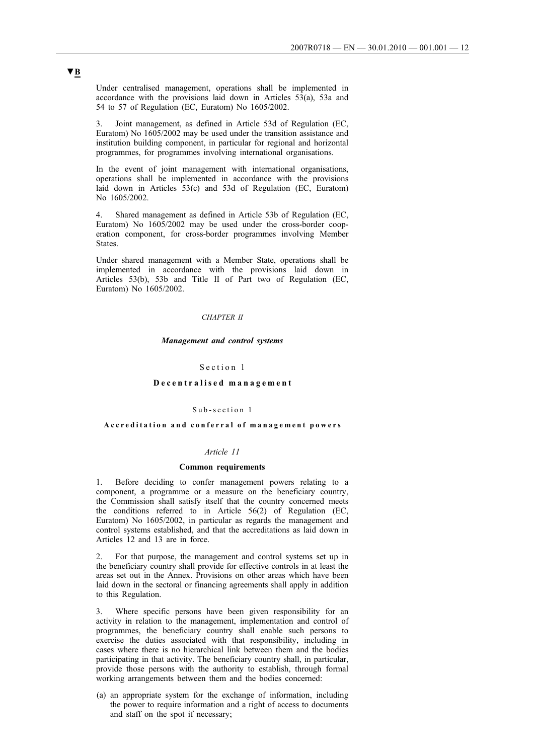Under centralised management, operations shall be implemented in accordance with the provisions laid down in Articles 53(a), 53a and 54 to 57 of Regulation (EC, Euratom) No 1605/2002.

3. Joint management, as defined in Article 53d of Regulation (EC, Euratom) No 1605/2002 may be used under the transition assistance and institution building component, in particular for regional and horizontal programmes, for programmes involving international organisations.

In the event of joint management with international organisations, operations shall be implemented in accordance with the provisions laid down in Articles 53(c) and 53d of Regulation (EC, Euratom) No 1605/2002.

4. Shared management as defined in Article 53b of Regulation (EC, Euratom) No 1605/2002 may be used under the cross-border cooperation component, for cross-border programmes involving Member States.

Under shared management with a Member State, operations shall be implemented in accordance with the provisions laid down in Articles 53(b), 53b and Title II of Part two of Regulation (EC, Euratom) No 1605/2002.

## *CHAPTER II*

### *Management and control systems*

## Section 1

## **Decentralised management**

#### Sub-section 1

## **Accreditation and conferral of management powers**

#### *Article 11*

#### **Common requirements**

1. Before deciding to confer management powers relating to a component, a programme or a measure on the beneficiary country, the Commission shall satisfy itself that the country concerned meets the conditions referred to in Article 56(2) of Regulation (EC, Euratom) No 1605/2002, in particular as regards the management and control systems established, and that the accreditations as laid down in Articles 12 and 13 are in force.

2. For that purpose, the management and control systems set up in the beneficiary country shall provide for effective controls in at least the areas set out in the Annex. Provisions on other areas which have been laid down in the sectoral or financing agreements shall apply in addition to this Regulation.

3. Where specific persons have been given responsibility for an activity in relation to the management, implementation and control of programmes, the beneficiary country shall enable such persons to exercise the duties associated with that responsibility, including in cases where there is no hierarchical link between them and the bodies participating in that activity. The beneficiary country shall, in particular, provide those persons with the authority to establish, through formal working arrangements between them and the bodies concerned:

(a) an appropriate system for the exchange of information, including the power to require information and a right of access to documents and staff on the spot if necessary;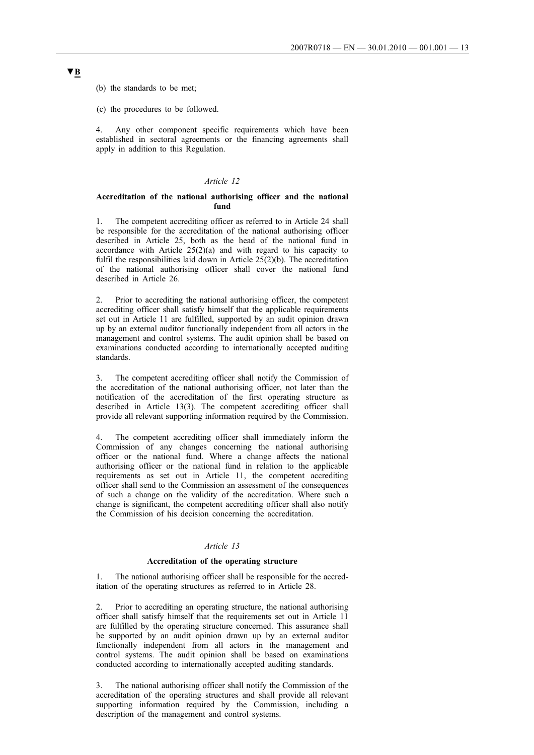(b) the standards to be met;

(c) the procedures to be followed.

4. Any other component specific requirements which have been established in sectoral agreements or the financing agreements shall apply in addition to this Regulation.

### *Article 12*

## **Accreditation of the national authorising officer and the national fund**

1. The competent accrediting officer as referred to in Article 24 shall be responsible for the accreditation of the national authorising officer described in Article 25, both as the head of the national fund in accordance with Article 25(2)(a) and with regard to his capacity to fulfil the responsibilities laid down in Article  $25(2)(b)$ . The accreditation of the national authorising officer shall cover the national fund described in Article 26.

2. Prior to accrediting the national authorising officer, the competent accrediting officer shall satisfy himself that the applicable requirements set out in Article 11 are fulfilled, supported by an audit opinion drawn up by an external auditor functionally independent from all actors in the management and control systems. The audit opinion shall be based on examinations conducted according to internationally accepted auditing standards.

3. The competent accrediting officer shall notify the Commission of the accreditation of the national authorising officer, not later than the notification of the accreditation of the first operating structure as described in Article 13(3). The competent accrediting officer shall provide all relevant supporting information required by the Commission.

The competent accrediting officer shall immediately inform the Commission of any changes concerning the national authorising officer or the national fund. Where a change affects the national authorising officer or the national fund in relation to the applicable requirements as set out in Article 11, the competent accrediting officer shall send to the Commission an assessment of the consequences of such a change on the validity of the accreditation. Where such a change is significant, the competent accrediting officer shall also notify the Commission of his decision concerning the accreditation.

## *Article 13*

## **Accreditation of the operating structure**

The national authorising officer shall be responsible for the accreditation of the operating structures as referred to in Article 28.

2. Prior to accrediting an operating structure, the national authorising officer shall satisfy himself that the requirements set out in Article 11 are fulfilled by the operating structure concerned. This assurance shall be supported by an audit opinion drawn up by an external auditor functionally independent from all actors in the management and control systems. The audit opinion shall be based on examinations conducted according to internationally accepted auditing standards.

3. The national authorising officer shall notify the Commission of the accreditation of the operating structures and shall provide all relevant supporting information required by the Commission, including a description of the management and control systems.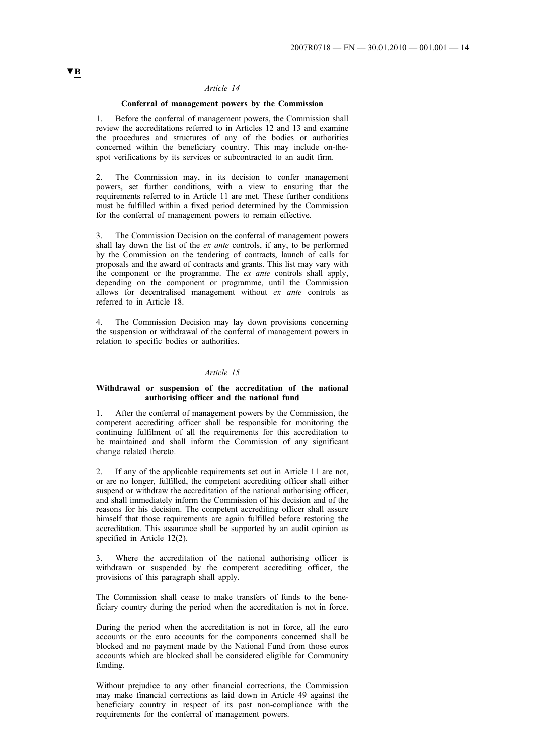## **Conferral of management powers by the Commission**

1. Before the conferral of management powers, the Commission shall review the accreditations referred to in Articles 12 and 13 and examine the procedures and structures of any of the bodies or authorities concerned within the beneficiary country. This may include on-thespot verifications by its services or subcontracted to an audit firm.

2. The Commission may, in its decision to confer management powers, set further conditions, with a view to ensuring that the requirements referred to in Article 11 are met. These further conditions must be fulfilled within a fixed period determined by the Commission for the conferral of management powers to remain effective.

3. The Commission Decision on the conferral of management powers shall lay down the list of the *ex ante* controls, if any, to be performed by the Commission on the tendering of contracts, launch of calls for proposals and the award of contracts and grants. This list may vary with the component or the programme. The *ex ante* controls shall apply, depending on the component or programme, until the Commission allows for decentralised management without *ex ante* controls as referred to in Article 18.

4. The Commission Decision may lay down provisions concerning the suspension or withdrawal of the conferral of management powers in relation to specific bodies or authorities.

#### *Article 15*

## **Withdrawal or suspension of the accreditation of the national authorising officer and the national fund**

1. After the conferral of management powers by the Commission, the competent accrediting officer shall be responsible for monitoring the continuing fulfilment of all the requirements for this accreditation to be maintained and shall inform the Commission of any significant change related thereto.

2. If any of the applicable requirements set out in Article 11 are not, or are no longer, fulfilled, the competent accrediting officer shall either suspend or withdraw the accreditation of the national authorising officer, and shall immediately inform the Commission of his decision and of the reasons for his decision. The competent accrediting officer shall assure himself that those requirements are again fulfilled before restoring the accreditation. This assurance shall be supported by an audit opinion as specified in Article 12(2).

3. Where the accreditation of the national authorising officer is withdrawn or suspended by the competent accrediting officer, the provisions of this paragraph shall apply.

The Commission shall cease to make transfers of funds to the beneficiary country during the period when the accreditation is not in force.

During the period when the accreditation is not in force, all the euro accounts or the euro accounts for the components concerned shall be blocked and no payment made by the National Fund from those euros accounts which are blocked shall be considered eligible for Community funding.

Without prejudice to any other financial corrections, the Commission may make financial corrections as laid down in Article 49 against the beneficiary country in respect of its past non-compliance with the requirements for the conferral of management powers.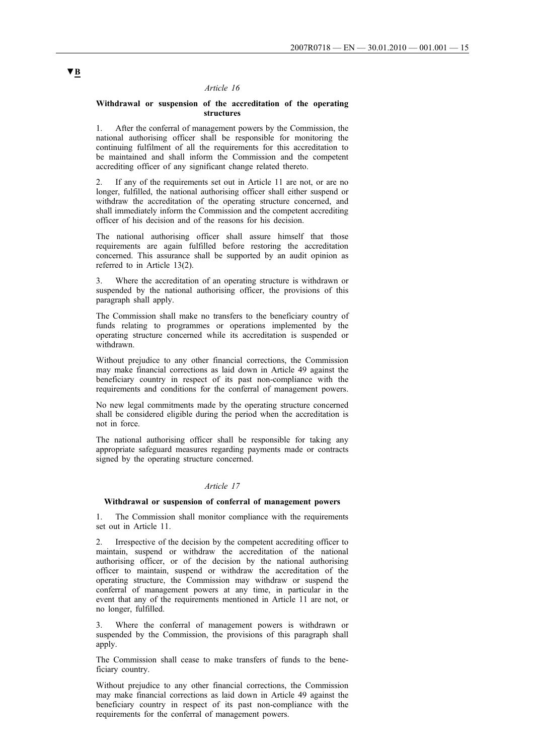## **Withdrawal or suspension of the accreditation of the operating structures**

1. After the conferral of management powers by the Commission, the national authorising officer shall be responsible for monitoring the continuing fulfilment of all the requirements for this accreditation to be maintained and shall inform the Commission and the competent accrediting officer of any significant change related thereto.

2. If any of the requirements set out in Article 11 are not, or are no longer, fulfilled, the national authorising officer shall either suspend or withdraw the accreditation of the operating structure concerned, and shall immediately inform the Commission and the competent accrediting officer of his decision and of the reasons for his decision.

The national authorising officer shall assure himself that those requirements are again fulfilled before restoring the accreditation concerned. This assurance shall be supported by an audit opinion as referred to in Article 13(2).

Where the accreditation of an operating structure is withdrawn or suspended by the national authorising officer, the provisions of this paragraph shall apply.

The Commission shall make no transfers to the beneficiary country of funds relating to programmes or operations implemented by the operating structure concerned while its accreditation is suspended or withdrawn.

Without prejudice to any other financial corrections, the Commission may make financial corrections as laid down in Article 49 against the beneficiary country in respect of its past non-compliance with the requirements and conditions for the conferral of management powers.

No new legal commitments made by the operating structure concerned shall be considered eligible during the period when the accreditation is not in force.

The national authorising officer shall be responsible for taking any appropriate safeguard measures regarding payments made or contracts signed by the operating structure concerned.

## *Article 17*

#### **Withdrawal or suspension of conferral of management powers**

1. The Commission shall monitor compliance with the requirements set out in Article 11.

2. Irrespective of the decision by the competent accrediting officer to maintain, suspend or withdraw the accreditation of the national authorising officer, or of the decision by the national authorising officer to maintain, suspend or withdraw the accreditation of the operating structure, the Commission may withdraw or suspend the conferral of management powers at any time, in particular in the event that any of the requirements mentioned in Article 11 are not, or no longer, fulfilled.

3. Where the conferral of management powers is withdrawn or suspended by the Commission, the provisions of this paragraph shall apply.

The Commission shall cease to make transfers of funds to the beneficiary country.

Without prejudice to any other financial corrections, the Commission may make financial corrections as laid down in Article 49 against the beneficiary country in respect of its past non-compliance with the requirements for the conferral of management powers.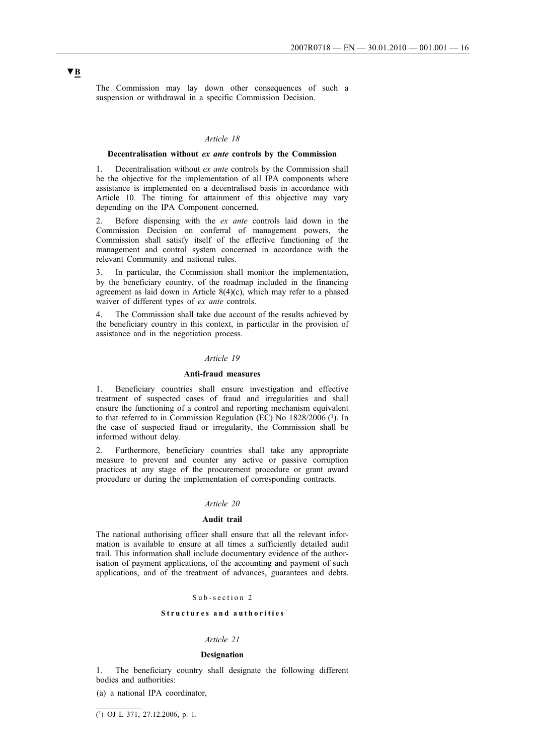The Commission may lay down other consequences of such a suspension or withdrawal in a specific Commission Decision.

## *Article 18*

### **Decentralisation without** *ex ante* **controls by the Commission**

1. Decentralisation without *ex ante* controls by the Commission shall be the objective for the implementation of all IPA components where assistance is implemented on a decentralised basis in accordance with Article 10. The timing for attainment of this objective may vary depending on the IPA Component concerned.

2. Before dispensing with the *ex ante* controls laid down in the Commission Decision on conferral of management powers, the Commission shall satisfy itself of the effective functioning of the management and control system concerned in accordance with the relevant Community and national rules.

3. In particular, the Commission shall monitor the implementation, by the beneficiary country, of the roadmap included in the financing agreement as laid down in Article 8(4)(c), which may refer to a phased waiver of different types of *ex ante* controls.

The Commission shall take due account of the results achieved by the beneficiary country in this context, in particular in the provision of assistance and in the negotiation process.

## *Article 19*

#### **Anti-fraud measures**

1. Beneficiary countries shall ensure investigation and effective treatment of suspected cases of fraud and irregularities and shall ensure the functioning of a control and reporting mechanism equivalent to that referred to in Commission Regulation (EC) No 1828/2006 (1). In the case of suspected fraud or irregularity, the Commission shall be informed without delay.

2. Furthermore, beneficiary countries shall take any appropriate measure to prevent and counter any active or passive corruption practices at any stage of the procurement procedure or grant award procedure or during the implementation of corresponding contracts.

#### *Article 20*

## **Audit trail**

The national authorising officer shall ensure that all the relevant information is available to ensure at all times a sufficiently detailed audit trail. This information shall include documentary evidence of the authorisation of payment applications, of the accounting and payment of such applications, and of the treatment of advances, guarantees and debts.

### Sub-section 2

#### **Structures and authorities**

#### *Article 21*

#### **Designation**

1. The beneficiary country shall designate the following different bodies and authorities:

(a) a national IPA coordinator,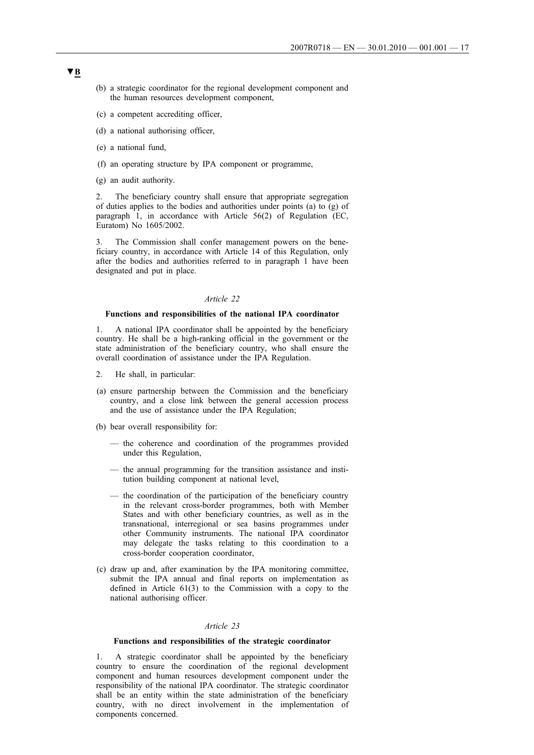- (b) a strategic coordinator for the regional development component and the human resources development component,
- (c) a competent accrediting officer,
- (d) a national authorising officer,
- (e) a national fund,
- (f) an operating structure by IPA component or programme,
- (g) an audit authority.

2. The beneficiary country shall ensure that appropriate segregation of duties applies to the bodies and authorities under points (a) to (g) of paragraph 1, in accordance with Article 56(2) of Regulation (EC, Euratom) No 1605/2002.

3. The Commission shall confer management powers on the beneficiary country, in accordance with Article 14 of this Regulation, only after the bodies and authorities referred to in paragraph 1 have been designated and put in place.

### *Article 22*

### **Functions and responsibilities of the national IPA coordinator**

1. A national IPA coordinator shall be appointed by the beneficiary country. He shall be a high-ranking official in the government or the state administration of the beneficiary country, who shall ensure the overall coordination of assistance under the IPA Regulation.

- 2. He shall, in particular:
- (a) ensure partnership between the Commission and the beneficiary country, and a close link between the general accession process and the use of assistance under the IPA Regulation;
- (b) bear overall responsibility for:
	- the coherence and coordination of the programmes provided under this Regulation,
	- the annual programming for the transition assistance and institution building component at national level,
	- the coordination of the participation of the beneficiary country in the relevant cross-border programmes, both with Member States and with other beneficiary countries, as well as in the transnational, interregional or sea basins programmes under other Community instruments. The national IPA coordinator may delegate the tasks relating to this coordination to a cross-border cooperation coordinator,
- (c) draw up and, after examination by the IPA monitoring committee, submit the IPA annual and final reports on implementation as defined in Article 61(3) to the Commission with a copy to the national authorising officer.

## *Article 23*

## **Functions and responsibilities of the strategic coordinator**

1. A strategic coordinator shall be appointed by the beneficiary country to ensure the coordination of the regional development component and human resources development component under the responsibility of the national IPA coordinator. The strategic coordinator shall be an entity within the state administration of the beneficiary country, with no direct involvement in the implementation of components concerned.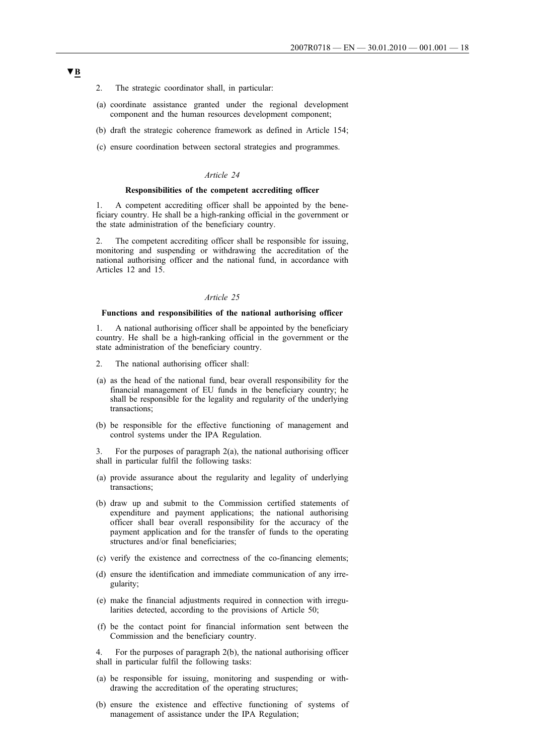- 2. The strategic coordinator shall, in particular:
- (a) coordinate assistance granted under the regional development component and the human resources development component;
- (b) draft the strategic coherence framework as defined in Article 154;
- (c) ensure coordination between sectoral strategies and programmes.

#### **Responsibilities of the competent accrediting officer**

1. A competent accrediting officer shall be appointed by the beneficiary country. He shall be a high-ranking official in the government or the state administration of the beneficiary country.

2. The competent accrediting officer shall be responsible for issuing, monitoring and suspending or withdrawing the accreditation of the national authorising officer and the national fund, in accordance with Articles 12 and 15.

#### *Article 25*

## **Functions and responsibilities of the national authorising officer**

1. A national authorising officer shall be appointed by the beneficiary country. He shall be a high-ranking official in the government or the state administration of the beneficiary country.

- 2. The national authorising officer shall:
- (a) as the head of the national fund, bear overall responsibility for the financial management of EU funds in the beneficiary country; he shall be responsible for the legality and regularity of the underlying transactions;
- (b) be responsible for the effective functioning of management and control systems under the IPA Regulation.

3. For the purposes of paragraph 2(a), the national authorising officer shall in particular fulfil the following tasks:

- (a) provide assurance about the regularity and legality of underlying transactions;
- (b) draw up and submit to the Commission certified statements of expenditure and payment applications; the national authorising officer shall bear overall responsibility for the accuracy of the payment application and for the transfer of funds to the operating structures and/or final beneficiaries;
- (c) verify the existence and correctness of the co-financing elements;
- (d) ensure the identification and immediate communication of any irregularity;
- (e) make the financial adjustments required in connection with irregularities detected, according to the provisions of Article 50;
- (f) be the contact point for financial information sent between the Commission and the beneficiary country.

4. For the purposes of paragraph 2(b), the national authorising officer shall in particular fulfil the following tasks:

- (a) be responsible for issuing, monitoring and suspending or withdrawing the accreditation of the operating structures;
- (b) ensure the existence and effective functioning of systems of management of assistance under the IPA Regulation;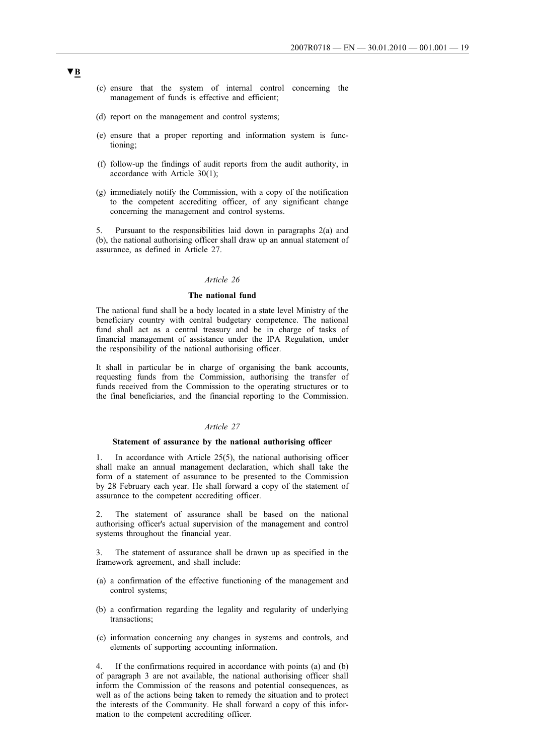- (c) ensure that the system of internal control concerning the management of funds is effective and efficient;
- (d) report on the management and control systems;
- (e) ensure that a proper reporting and information system is functioning;
- (f) follow-up the findings of audit reports from the audit authority, in accordance with Article 30(1);
- (g) immediately notify the Commission, with a copy of the notification to the competent accrediting officer, of any significant change concerning the management and control systems.

5. Pursuant to the responsibilities laid down in paragraphs 2(a) and (b), the national authorising officer shall draw up an annual statement of assurance, as defined in Article 27.

### *Article 26*

## **The national fund**

The national fund shall be a body located in a state level Ministry of the beneficiary country with central budgetary competence. The national fund shall act as a central treasury and be in charge of tasks of financial management of assistance under the IPA Regulation, under the responsibility of the national authorising officer.

It shall in particular be in charge of organising the bank accounts, requesting funds from the Commission, authorising the transfer of funds received from the Commission to the operating structures or to the final beneficiaries, and the financial reporting to the Commission.

## *Article 27*

#### **Statement of assurance by the national authorising officer**

1. In accordance with Article 25(5), the national authorising officer shall make an annual management declaration, which shall take the form of a statement of assurance to be presented to the Commission by 28 February each year. He shall forward a copy of the statement of assurance to the competent accrediting officer.

2. The statement of assurance shall be based on the national authorising officer's actual supervision of the management and control systems throughout the financial year.

The statement of assurance shall be drawn up as specified in the framework agreement, and shall include:

- (a) a confirmation of the effective functioning of the management and control systems;
- (b) a confirmation regarding the legality and regularity of underlying transactions;
- (c) information concerning any changes in systems and controls, and elements of supporting accounting information.

4. If the confirmations required in accordance with points (a) and (b) of paragraph 3 are not available, the national authorising officer shall inform the Commission of the reasons and potential consequences, as well as of the actions being taken to remedy the situation and to protect the interests of the Community. He shall forward a copy of this information to the competent accrediting officer.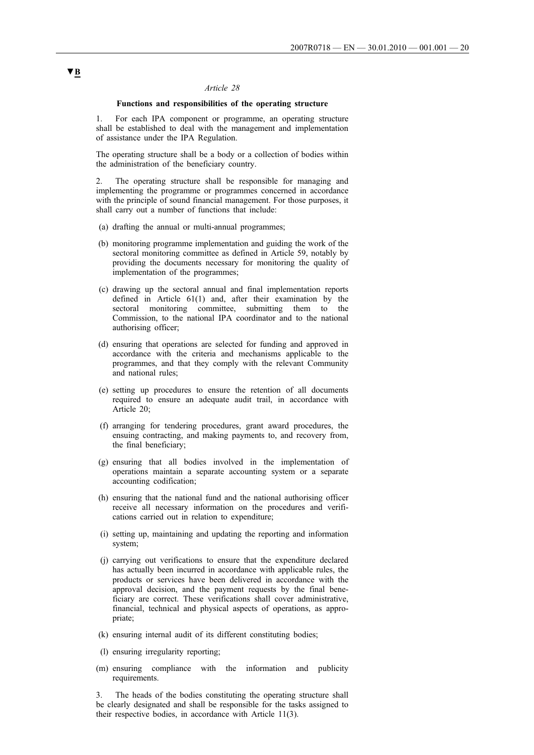## **Functions and responsibilities of the operating structure**

1. For each IPA component or programme, an operating structure shall be established to deal with the management and implementation of assistance under the IPA Regulation.

The operating structure shall be a body or a collection of bodies within the administration of the beneficiary country.

2. The operating structure shall be responsible for managing and implementing the programme or programmes concerned in accordance with the principle of sound financial management. For those purposes, it shall carry out a number of functions that include:

- (a) drafting the annual or multi-annual programmes;
- (b) monitoring programme implementation and guiding the work of the sectoral monitoring committee as defined in Article 59, notably by providing the documents necessary for monitoring the quality of implementation of the programmes;
- (c) drawing up the sectoral annual and final implementation reports defined in Article 61(1) and, after their examination by the sectoral monitoring committee, submitting them to the Commission, to the national IPA coordinator and to the national authorising officer;
- (d) ensuring that operations are selected for funding and approved in accordance with the criteria and mechanisms applicable to the programmes, and that they comply with the relevant Community and national rules;
- (e) setting up procedures to ensure the retention of all documents required to ensure an adequate audit trail, in accordance with Article 20;
- (f) arranging for tendering procedures, grant award procedures, the ensuing contracting, and making payments to, and recovery from, the final beneficiary;
- (g) ensuring that all bodies involved in the implementation of operations maintain a separate accounting system or a separate accounting codification;
- (h) ensuring that the national fund and the national authorising officer receive all necessary information on the procedures and verifications carried out in relation to expenditure;
- (i) setting up, maintaining and updating the reporting and information system;
- (j) carrying out verifications to ensure that the expenditure declared has actually been incurred in accordance with applicable rules, the products or services have been delivered in accordance with the approval decision, and the payment requests by the final beneficiary are correct. These verifications shall cover administrative, financial, technical and physical aspects of operations, as appropriate;
- (k) ensuring internal audit of its different constituting bodies;
- (l) ensuring irregularity reporting;
- (m) ensuring compliance with the information and publicity requirements.

3. The heads of the bodies constituting the operating structure shall be clearly designated and shall be responsible for the tasks assigned to their respective bodies, in accordance with Article 11(3).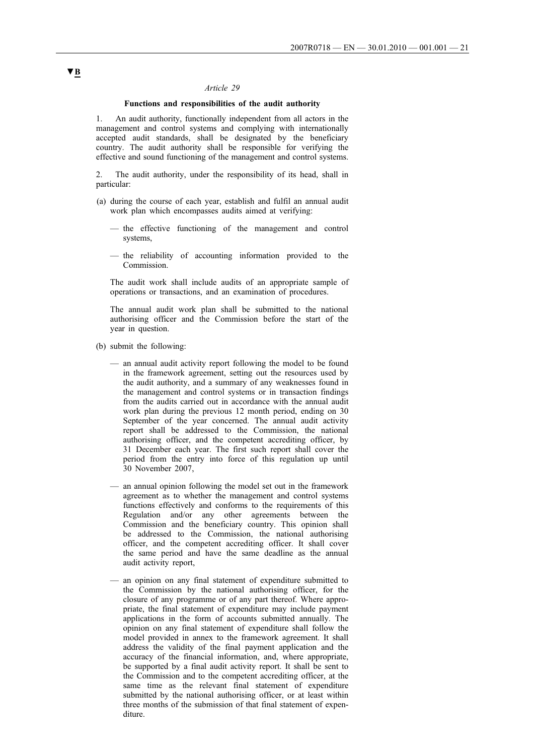## **Functions and responsibilities of the audit authority**

1. An audit authority, functionally independent from all actors in the management and control systems and complying with internationally accepted audit standards, shall be designated by the beneficiary country. The audit authority shall be responsible for verifying the effective and sound functioning of the management and control systems.

2. The audit authority, under the responsibility of its head, shall in particular:

- (a) during the course of each year, establish and fulfil an annual audit work plan which encompasses audits aimed at verifying:
	- the effective functioning of the management and control systems,
	- the reliability of accounting information provided to the Commission.

The audit work shall include audits of an appropriate sample of operations or transactions, and an examination of procedures.

The annual audit work plan shall be submitted to the national authorising officer and the Commission before the start of the year in question.

- (b) submit the following:
	- an annual audit activity report following the model to be found in the framework agreement, setting out the resources used by the audit authority, and a summary of any weaknesses found in the management and control systems or in transaction findings from the audits carried out in accordance with the annual audit work plan during the previous 12 month period, ending on 30 September of the year concerned. The annual audit activity report shall be addressed to the Commission, the national authorising officer, and the competent accrediting officer, by 31 December each year. The first such report shall cover the period from the entry into force of this regulation up until 30 November 2007,
	- an annual opinion following the model set out in the framework agreement as to whether the management and control systems functions effectively and conforms to the requirements of this Regulation and/or any other agreements between the Commission and the beneficiary country. This opinion shall be addressed to the Commission, the national authorising officer, and the competent accrediting officer. It shall cover the same period and have the same deadline as the annual audit activity report,
	- an opinion on any final statement of expenditure submitted to the Commission by the national authorising officer, for the closure of any programme or of any part thereof. Where appropriate, the final statement of expenditure may include payment applications in the form of accounts submitted annually. The opinion on any final statement of expenditure shall follow the model provided in annex to the framework agreement. It shall address the validity of the final payment application and the accuracy of the financial information, and, where appropriate, be supported by a final audit activity report. It shall be sent to the Commission and to the competent accrediting officer, at the same time as the relevant final statement of expenditure submitted by the national authorising officer, or at least within three months of the submission of that final statement of expenditure.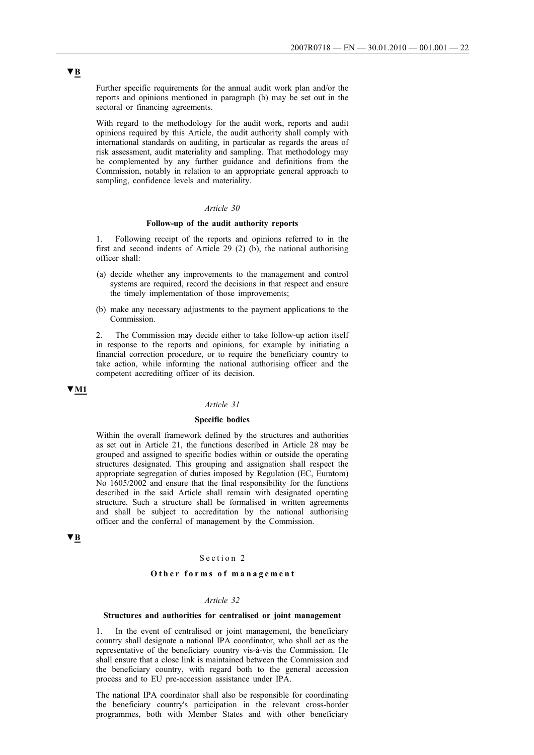Further specific requirements for the annual audit work plan and/or the reports and opinions mentioned in paragraph (b) may be set out in the sectoral or financing agreements.

With regard to the methodology for the audit work, reports and audit opinions required by this Article, the audit authority shall comply with international standards on auditing, in particular as regards the areas of risk assessment, audit materiality and sampling. That methodology may be complemented by any further guidance and definitions from the Commission, notably in relation to an appropriate general approach to sampling, confidence levels and materiality.

### *Article 30*

### **Follow-up of the audit authority reports**

1. Following receipt of the reports and opinions referred to in the first and second indents of Article 29 (2) (b), the national authorising officer shall:

- (a) decide whether any improvements to the management and control systems are required, record the decisions in that respect and ensure the timely implementation of those improvements;
- (b) make any necessary adjustments to the payment applications to the Commission.

2. The Commission may decide either to take follow-up action itself in response to the reports and opinions, for example by initiating a financial correction procedure, or to require the beneficiary country to take action, while informing the national authorising officer and the competent accrediting officer of its decision.

## **▼M1**

#### *Article 31*

## **Specific bodies**

Within the overall framework defined by the structures and authorities as set out in Article 21, the functions described in Article 28 may be grouped and assigned to specific bodies within or outside the operating structures designated. This grouping and assignation shall respect the appropriate segregation of duties imposed by Regulation (EC, Euratom) No 1605/2002 and ensure that the final responsibility for the functions described in the said Article shall remain with designated operating structure. Such a structure shall be formalised in written agreements and shall be subject to accreditation by the national authorising officer and the conferral of management by the Commission.

# **▼B**

## Section 2

## **Other forms of management**

### *Article 32*

## **Structures and authorities for centralised or joint management**

1. In the event of centralised or joint management, the beneficiary country shall designate a national IPA coordinator, who shall act as the representative of the beneficiary country vis-à-vis the Commission. He shall ensure that a close link is maintained between the Commission and the beneficiary country, with regard both to the general accession process and to EU pre-accession assistance under IPA.

The national IPA coordinator shall also be responsible for coordinating the beneficiary country's participation in the relevant cross-border programmes, both with Member States and with other beneficiary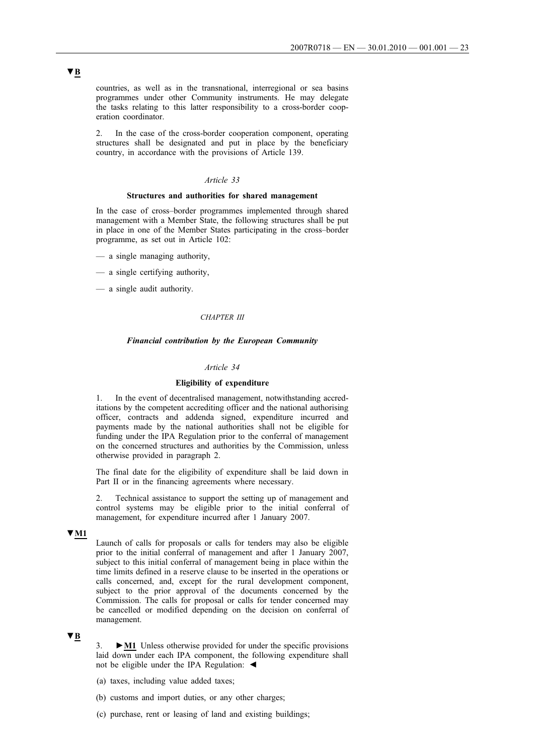countries, as well as in the transnational, interregional or sea basins programmes under other Community instruments. He may delegate the tasks relating to this latter responsibility to a cross-border cooperation coordinator.

2. In the case of the cross-border cooperation component, operating structures shall be designated and put in place by the beneficiary country, in accordance with the provisions of Article 139.

## *Article 33*

#### **Structures and authorities for shared management**

In the case of cross–border programmes implemented through shared management with a Member State, the following structures shall be put in place in one of the Member States participating in the cross–border programme, as set out in Article 102:

- a single managing authority,
- a single certifying authority,
- a single audit authority.

## *CHAPTER III*

## *Financial contribution by the European Community*

## *Article 34*

### **Eligibility of expenditure**

1. In the event of decentralised management, notwithstanding accreditations by the competent accrediting officer and the national authorising officer, contracts and addenda signed, expenditure incurred and payments made by the national authorities shall not be eligible for funding under the IPA Regulation prior to the conferral of management on the concerned structures and authorities by the Commission, unless otherwise provided in paragraph 2.

The final date for the eligibility of expenditure shall be laid down in Part II or in the financing agreements where necessary.

2. Technical assistance to support the setting up of management and control systems may be eligible prior to the initial conferral of management, for expenditure incurred after 1 January 2007.

## **▼M1**

Launch of calls for proposals or calls for tenders may also be eligible prior to the initial conferral of management and after 1 January 2007, subject to this initial conferral of management being in place within the time limits defined in a reserve clause to be inserted in the operations or calls concerned, and, except for the rural development component, subject to the prior approval of the documents concerned by the Commission. The calls for proposal or calls for tender concerned may be cancelled or modified depending on the decision on conferral of management.

## **▼B**

3. **►M1** Unless otherwise provided for under the specific provisions laid down under each IPA component, the following expenditure shall not be eligible under the IPA Regulation: ◄

- (a) taxes, including value added taxes;
- (b) customs and import duties, or any other charges;
- (c) purchase, rent or leasing of land and existing buildings;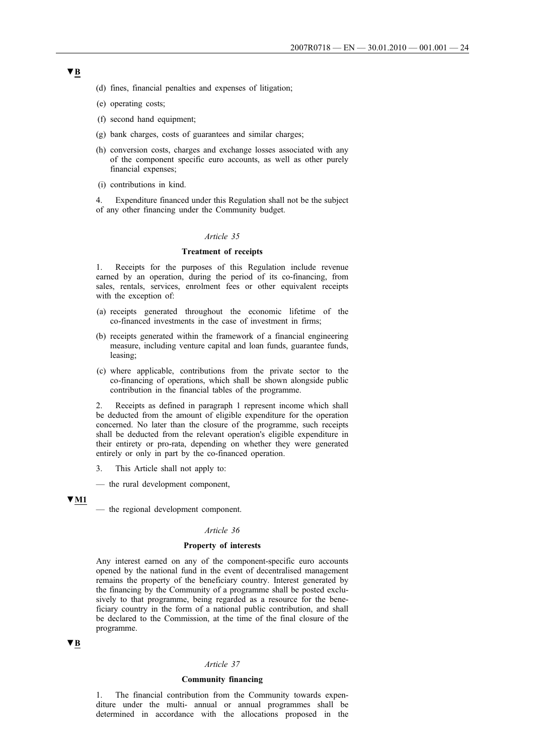- (d) fines, financial penalties and expenses of litigation;
- (e) operating costs;
- (f) second hand equipment;
- (g) bank charges, costs of guarantees and similar charges;
- (h) conversion costs, charges and exchange losses associated with any of the component specific euro accounts, as well as other purely financial expenses;
- (i) contributions in kind.

4. Expenditure financed under this Regulation shall not be the subject of any other financing under the Community budget.

#### *Article 35*

## **Treatment of receipts**

1. Receipts for the purposes of this Regulation include revenue earned by an operation, during the period of its co-financing, from sales, rentals, services, enrolment fees or other equivalent receipts with the exception of:

- (a) receipts generated throughout the economic lifetime of the co-financed investments in the case of investment in firms;
- (b) receipts generated within the framework of a financial engineering measure, including venture capital and loan funds, guarantee funds, leasing;
- (c) where applicable, contributions from the private sector to the co-financing of operations, which shall be shown alongside public contribution in the financial tables of the programme.

2. Receipts as defined in paragraph 1 represent income which shall be deducted from the amount of eligible expenditure for the operation concerned. No later than the closure of the programme, such receipts shall be deducted from the relevant operation's eligible expenditure in their entirety or pro-rata, depending on whether they were generated entirely or only in part by the co-financed operation.

- 3. This Article shall not apply to:
- the rural development component,

### **▼M1**

#### *Article 36*

#### **Property of interests**

Any interest earned on any of the component-specific euro accounts opened by the national fund in the event of decentralised management remains the property of the beneficiary country. Interest generated by the financing by the Community of a programme shall be posted exclusively to that programme, being regarded as a resource for the beneficiary country in the form of a national public contribution, and shall be declared to the Commission, at the time of the final closure of the programme.

## **▼B**

#### *Article 37*

## **Community financing**

1. The financial contribution from the Community towards expenditure under the multi- annual or annual programmes shall be determined in accordance with the allocations proposed in the

<sup>—</sup> the regional development component.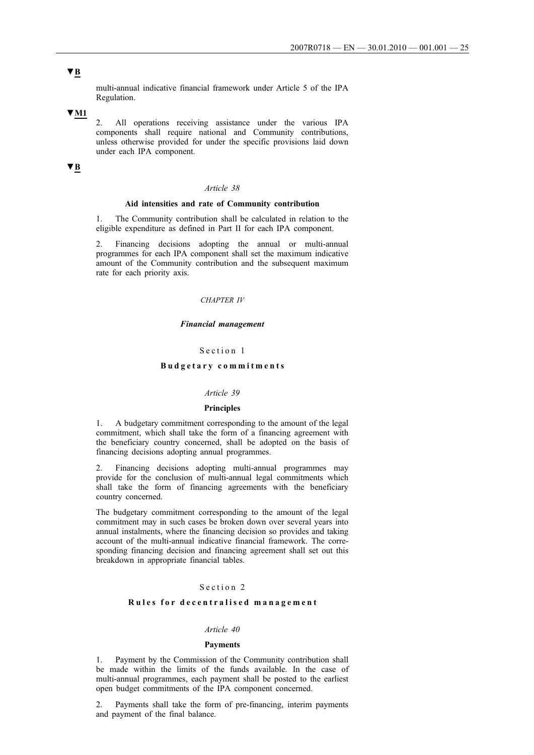# **▼B**

multi-annual indicative financial framework under Article 5 of the IPA Regulation.

## **▼M1**

2. All operations receiving assistance under the various IPA components shall require national and Community contributions, unless otherwise provided for under the specific provisions laid down under each IPA component.

# **▼B**

## *Article 38*

### **Aid intensities and rate of Community contribution**

1. The Community contribution shall be calculated in relation to the eligible expenditure as defined in Part II for each IPA component.

2. Financing decisions adopting the annual or multi-annual programmes for each IPA component shall set the maximum indicative amount of the Community contribution and the subsequent maximum rate for each priority axis.

## *CHAPTER IV*

#### *Financial management*

## Section 1

## **Budgetary commitments**

#### *Article 39*

#### **Principles**

1. A budgetary commitment corresponding to the amount of the legal commitment, which shall take the form of a financing agreement with the beneficiary country concerned, shall be adopted on the basis of financing decisions adopting annual programmes.

2. Financing decisions adopting multi-annual programmes may provide for the conclusion of multi-annual legal commitments which shall take the form of financing agreements with the beneficiary country concerned.

The budgetary commitment corresponding to the amount of the legal commitment may in such cases be broken down over several years into annual instalments, where the financing decision so provides and taking account of the multi-annual indicative financial framework. The corresponding financing decision and financing agreement shall set out this breakdown in appropriate financial tables.

## Section 2

## **Rules for decentralised management**

#### *Article 40*

#### **Payments**

1. Payment by the Commission of the Community contribution shall be made within the limits of the funds available. In the case of multi-annual programmes, each payment shall be posted to the earliest open budget commitments of the IPA component concerned.

2. Payments shall take the form of pre-financing, interim payments and payment of the final balance.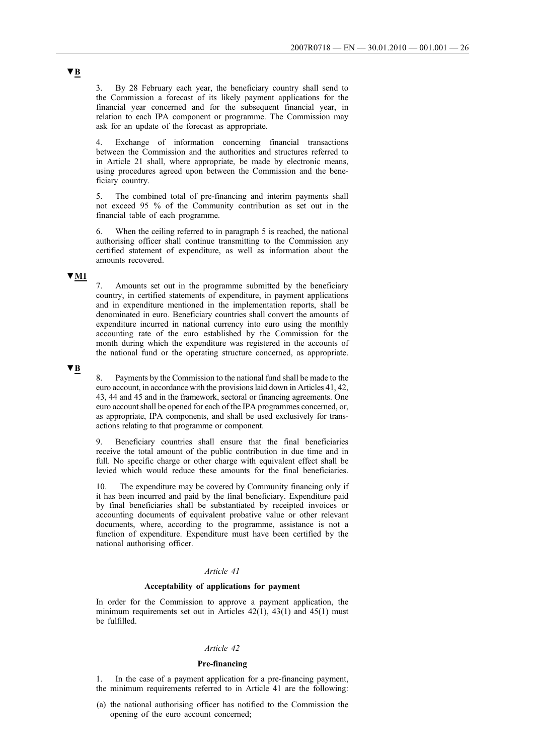3. By 28 February each year, the beneficiary country shall send to the Commission a forecast of its likely payment applications for the financial year concerned and for the subsequent financial year, in relation to each IPA component or programme. The Commission may ask for an update of the forecast as appropriate.

4. Exchange of information concerning financial transactions between the Commission and the authorities and structures referred to in Article 21 shall, where appropriate, be made by electronic means, using procedures agreed upon between the Commission and the beneficiary country.

5. The combined total of pre-financing and interim payments shall not exceed 95 % of the Community contribution as set out in the financial table of each programme.

6. When the ceiling referred to in paragraph 5 is reached, the national authorising officer shall continue transmitting to the Commission any certified statement of expenditure, as well as information about the amounts recovered.

## **▼M1**

7. Amounts set out in the programme submitted by the beneficiary country, in certified statements of expenditure, in payment applications and in expenditure mentioned in the implementation reports, shall be denominated in euro. Beneficiary countries shall convert the amounts of expenditure incurred in national currency into euro using the monthly accounting rate of the euro established by the Commission for the month during which the expenditure was registered in the accounts of the national fund or the operating structure concerned, as appropriate.

## **▼B**

8. Payments by the Commission to the national fund shall be made to the euro account, in accordance with the provisions laid down in Articles 41, 42, 43, 44 and 45 and in the framework, sectoral or financing agreements. One euro account shall be opened for each of the IPA programmes concerned, or, as appropriate, IPA components, and shall be used exclusively for transactions relating to that programme or component.

9. Beneficiary countries shall ensure that the final beneficiaries receive the total amount of the public contribution in due time and in full. No specific charge or other charge with equivalent effect shall be levied which would reduce these amounts for the final beneficiaries.

10. The expenditure may be covered by Community financing only if it has been incurred and paid by the final beneficiary. Expenditure paid by final beneficiaries shall be substantiated by receipted invoices or accounting documents of equivalent probative value or other relevant documents, where, according to the programme, assistance is not a function of expenditure. Expenditure must have been certified by the national authorising officer.

### *Article 41*

### **Acceptability of applications for payment**

In order for the Commission to approve a payment application, the minimum requirements set out in Articles  $42(1)$ ,  $43(1)$  and  $45(1)$  must be fulfilled.

## *Article 42*

## **Pre-financing**

In the case of a payment application for a pre-financing payment, the minimum requirements referred to in Article 41 are the following:

(a) the national authorising officer has notified to the Commission the opening of the euro account concerned;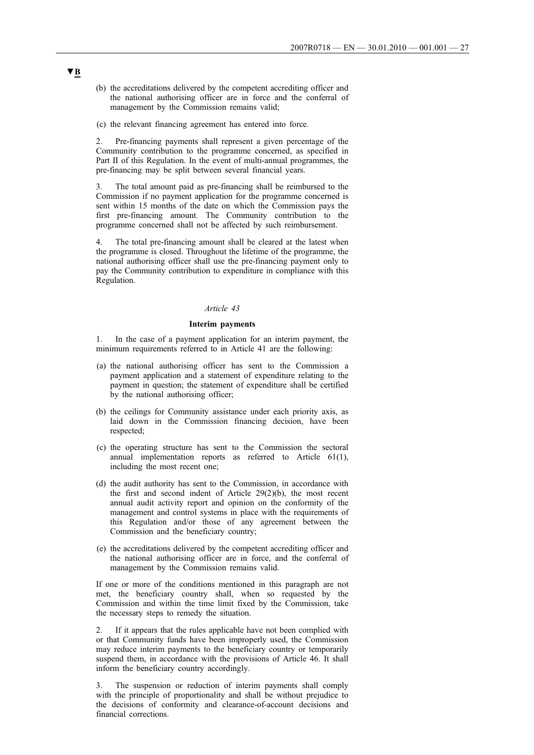- (b) the accreditations delivered by the competent accrediting officer and the national authorising officer are in force and the conferral of management by the Commission remains valid;
- (c) the relevant financing agreement has entered into force.

2. Pre-financing payments shall represent a given percentage of the Community contribution to the programme concerned, as specified in Part II of this Regulation. In the event of multi-annual programmes, the pre-financing may be split between several financial years.

3. The total amount paid as pre-financing shall be reimbursed to the Commission if no payment application for the programme concerned is sent within 15 months of the date on which the Commission pays the first pre-financing amount. The Community contribution to the programme concerned shall not be affected by such reimbursement.

4. The total pre-financing amount shall be cleared at the latest when the programme is closed. Throughout the lifetime of the programme, the national authorising officer shall use the pre-financing payment only to pay the Community contribution to expenditure in compliance with this Regulation.

## *Article 43*

#### **Interim payments**

1. In the case of a payment application for an interim payment, the minimum requirements referred to in Article 41 are the following:

- (a) the national authorising officer has sent to the Commission a payment application and a statement of expenditure relating to the payment in question; the statement of expenditure shall be certified by the national authorising officer;
- (b) the ceilings for Community assistance under each priority axis, as laid down in the Commission financing decision, have been respected;
- (c) the operating structure has sent to the Commission the sectoral annual implementation reports as referred to Article 61(1), including the most recent one;
- (d) the audit authority has sent to the Commission, in accordance with the first and second indent of Article 29(2)(b), the most recent annual audit activity report and opinion on the conformity of the management and control systems in place with the requirements of this Regulation and/or those of any agreement between the Commission and the beneficiary country;
- (e) the accreditations delivered by the competent accrediting officer and the national authorising officer are in force, and the conferral of management by the Commission remains valid.

If one or more of the conditions mentioned in this paragraph are not met, the beneficiary country shall, when so requested by the Commission and within the time limit fixed by the Commission, take the necessary steps to remedy the situation.

2. If it appears that the rules applicable have not been complied with or that Community funds have been improperly used, the Commission may reduce interim payments to the beneficiary country or temporarily suspend them, in accordance with the provisions of Article 46. It shall inform the beneficiary country accordingly.

3. The suspension or reduction of interim payments shall comply with the principle of proportionality and shall be without prejudice to the decisions of conformity and clearance-of-account decisions and financial corrections.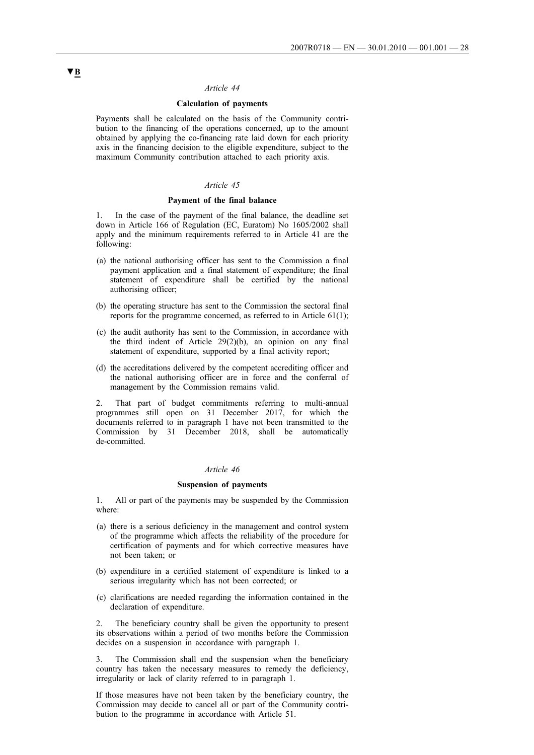## **Calculation of payments**

Payments shall be calculated on the basis of the Community contribution to the financing of the operations concerned, up to the amount obtained by applying the co-financing rate laid down for each priority axis in the financing decision to the eligible expenditure, subject to the maximum Community contribution attached to each priority axis.

## *Article 45*

## **Payment of the final balance**

1. In the case of the payment of the final balance, the deadline set down in Article 166 of Regulation (EC, Euratom) No 1605/2002 shall apply and the minimum requirements referred to in Article 41 are the following:

- (a) the national authorising officer has sent to the Commission a final payment application and a final statement of expenditure; the final statement of expenditure shall be certified by the national authorising officer;
- (b) the operating structure has sent to the Commission the sectoral final reports for the programme concerned, as referred to in Article 61(1);
- (c) the audit authority has sent to the Commission, in accordance with the third indent of Article 29(2)(b), an opinion on any final statement of expenditure, supported by a final activity report;
- (d) the accreditations delivered by the competent accrediting officer and the national authorising officer are in force and the conferral of management by the Commission remains valid.

2. That part of budget commitments referring to multi-annual programmes still open on 31 December 2017, for which the documents referred to in paragraph 1 have not been transmitted to the Commission by 31 December 2018, shall be automatically de-committed.

#### *Article 46*

## **Suspension of payments**

1. All or part of the payments may be suspended by the Commission where:

- (a) there is a serious deficiency in the management and control system of the programme which affects the reliability of the procedure for certification of payments and for which corrective measures have not been taken; or
- (b) expenditure in a certified statement of expenditure is linked to a serious irregularity which has not been corrected; or
- (c) clarifications are needed regarding the information contained in the declaration of expenditure.

The beneficiary country shall be given the opportunity to present its observations within a period of two months before the Commission decides on a suspension in accordance with paragraph 1.

3. The Commission shall end the suspension when the beneficiary country has taken the necessary measures to remedy the deficiency, irregularity or lack of clarity referred to in paragraph 1.

If those measures have not been taken by the beneficiary country, the Commission may decide to cancel all or part of the Community contribution to the programme in accordance with Article 51.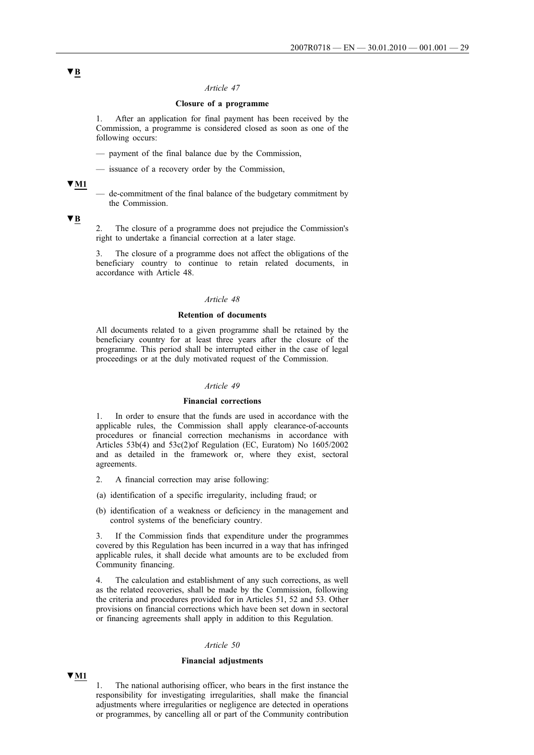## **Closure of a programme**

1. After an application for final payment has been received by the Commission, a programme is considered closed as soon as one of the following occurs:

- payment of the final balance due by the Commission,
- issuance of a recovery order by the Commission,

## **▼M1**

— de-commitment of the final balance of the budgetary commitment by the Commission.

## **▼B**

2. The closure of a programme does not prejudice the Commission's right to undertake a financial correction at a later stage.

3. The closure of a programme does not affect the obligations of the beneficiary country to continue to retain related documents, in accordance with Article 48.

## *Article 48*

## **Retention of documents**

All documents related to a given programme shall be retained by the beneficiary country for at least three years after the closure of the programme. This period shall be interrupted either in the case of legal proceedings or at the duly motivated request of the Commission.

#### *Article 49*

## **Financial corrections**

1. In order to ensure that the funds are used in accordance with the applicable rules, the Commission shall apply clearance-of-accounts procedures or financial correction mechanisms in accordance with Articles 53b(4) and 53c(2)of Regulation (EC, Euratom) No 1605/2002 and as detailed in the framework or, where they exist, sectoral agreements.

- 2. A financial correction may arise following:
- (a) identification of a specific irregularity, including fraud; or
- (b) identification of a weakness or deficiency in the management and control systems of the beneficiary country.

3. If the Commission finds that expenditure under the programmes covered by this Regulation has been incurred in a way that has infringed applicable rules, it shall decide what amounts are to be excluded from Community financing.

4. The calculation and establishment of any such corrections, as well as the related recoveries, shall be made by the Commission, following the criteria and procedures provided for in Articles 51, 52 and 53. Other provisions on financial corrections which have been set down in sectoral or financing agreements shall apply in addition to this Regulation.

## *Article 50*

### **Financial adjustments**

# **▼M1**

1. The national authorising officer, who bears in the first instance the responsibility for investigating irregularities, shall make the financial adjustments where irregularities or negligence are detected in operations or programmes, by cancelling all or part of the Community contribution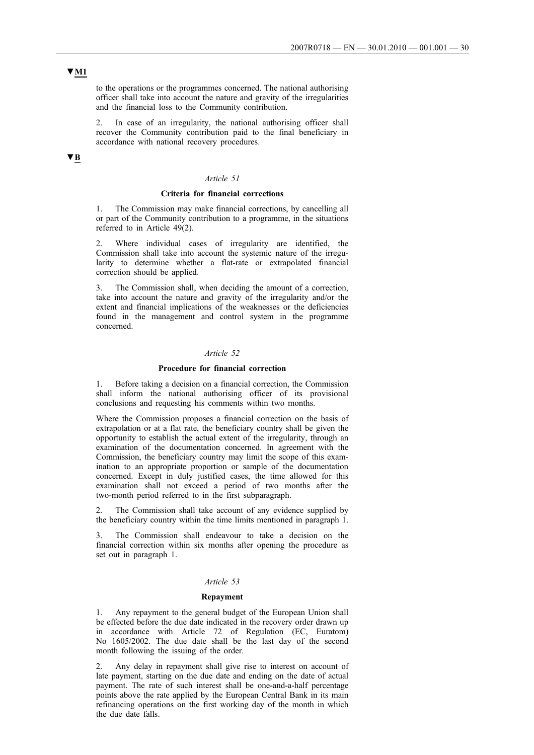to the operations or the programmes concerned. The national authorising officer shall take into account the nature and gravity of the irregularities and the financial loss to the Community contribution.

2. In case of an irregularity, the national authorising officer shall recover the Community contribution paid to the final beneficiary in accordance with national recovery procedures.

# **▼B**

### *Article 51*

### **Criteria for financial corrections**

1. The Commission may make financial corrections, by cancelling all or part of the Community contribution to a programme, in the situations referred to in Article 49(2).

Where individual cases of irregularity are identified, the Commission shall take into account the systemic nature of the irregularity to determine whether a flat-rate or extrapolated financial correction should be applied.

3. The Commission shall, when deciding the amount of a correction, take into account the nature and gravity of the irregularity and/or the extent and financial implications of the weaknesses or the deficiencies found in the management and control system in the programme concerned.

## *Article 52*

## **Procedure for financial correction**

1. Before taking a decision on a financial correction, the Commission shall inform the national authorising officer of its provisional conclusions and requesting his comments within two months.

Where the Commission proposes a financial correction on the basis of extrapolation or at a flat rate, the beneficiary country shall be given the opportunity to establish the actual extent of the irregularity, through an examination of the documentation concerned. In agreement with the Commission, the beneficiary country may limit the scope of this examination to an appropriate proportion or sample of the documentation concerned. Except in duly justified cases, the time allowed for this examination shall not exceed a period of two months after the two-month period referred to in the first subparagraph.

The Commission shall take account of any evidence supplied by the beneficiary country within the time limits mentioned in paragraph 1.

The Commission shall endeavour to take a decision on the financial correction within six months after opening the procedure as set out in paragraph 1.

#### *Article 53*

#### **Repayment**

1. Any repayment to the general budget of the European Union shall be effected before the due date indicated in the recovery order drawn up in accordance with Article 72 of Regulation (EC, Euratom) No 1605/2002. The due date shall be the last day of the second month following the issuing of the order.

2. Any delay in repayment shall give rise to interest on account of late payment, starting on the due date and ending on the date of actual payment. The rate of such interest shall be one-and-a-half percentage points above the rate applied by the European Central Bank in its main refinancing operations on the first working day of the month in which the due date falls.

# **▼M1**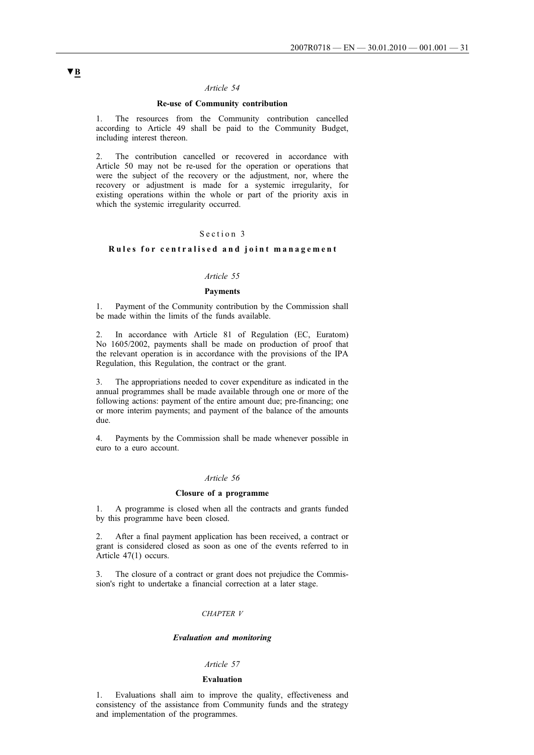## **Re-use of Community contribution**

1. The resources from the Community contribution cancelled according to Article 49 shall be paid to the Community Budget, including interest thereon.

2. The contribution cancelled or recovered in accordance with Article 50 may not be re-used for the operation or operations that were the subject of the recovery or the adjustment, nor, where the recovery or adjustment is made for a systemic irregularity, for existing operations within the whole or part of the priority axis in which the systemic irregularity occurred.

## Section 3

## **Rules for centralised and joint management**

### *Article 55*

#### **Payments**

1. Payment of the Community contribution by the Commission shall be made within the limits of the funds available.

2. In accordance with Article 81 of Regulation (EC, Euratom) No 1605/2002, payments shall be made on production of proof that the relevant operation is in accordance with the provisions of the IPA Regulation, this Regulation, the contract or the grant.

3. The appropriations needed to cover expenditure as indicated in the annual programmes shall be made available through one or more of the following actions: payment of the entire amount due; pre-financing; one or more interim payments; and payment of the balance of the amounts due.

4. Payments by the Commission shall be made whenever possible in euro to a euro account.

#### *Article 56*

### **Closure of a programme**

1. A programme is closed when all the contracts and grants funded by this programme have been closed.

2. After a final payment application has been received, a contract or grant is considered closed as soon as one of the events referred to in Article 47(1) occurs.

3. The closure of a contract or grant does not prejudice the Commission's right to undertake a financial correction at a later stage.

### *CHAPTER V*

## *Evaluation and monitoring*

#### *Article 57*

#### **Evaluation**

1. Evaluations shall aim to improve the quality, effectiveness and consistency of the assistance from Community funds and the strategy and implementation of the programmes.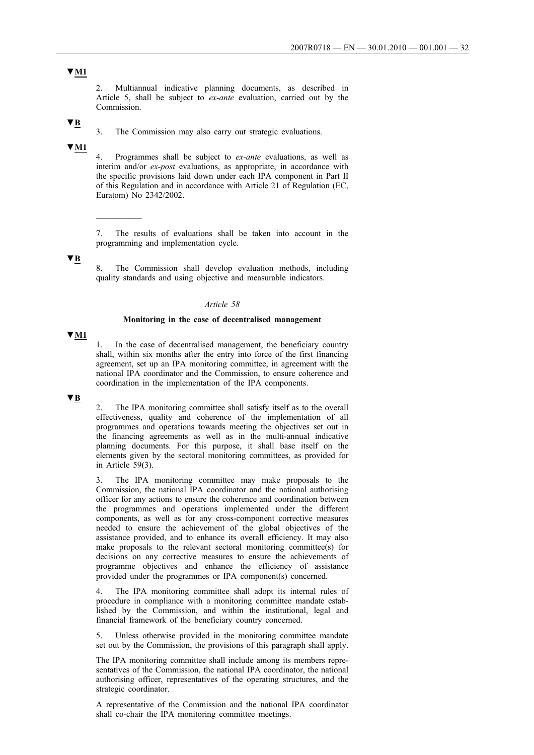2. Multiannual indicative planning documents, as described in Article 5, shall be subject to *ex-ante* evaluation, carried out by the Commission.

# **▼B**

3. The Commission may also carry out strategic evaluations.

## **▼M1**

4. Programmes shall be subject to *ex-ante* evaluations, as well as interim and/or *ex-post* evaluations, as appropriate, in accordance with the specific provisions laid down under each IPA component in Part II of this Regulation and in accordance with Article 21 of Regulation (EC, Euratom) No 2342/2002.

7. The results of evaluations shall be taken into account in the programming and implementation cycle.

## **▼B**

 $\overline{\phantom{a}}$ 

8. The Commission shall develop evaluation methods, including quality standards and using objective and measurable indicators.

## *Article 58*

## **Monitoring in the case of decentralised management**

## **▼M1**

In the case of decentralised management, the beneficiary country shall, within six months after the entry into force of the first financing agreement, set up an IPA monitoring committee, in agreement with the national IPA coordinator and the Commission, to ensure coherence and coordination in the implementation of the IPA components.

# **▼B**

2. The IPA monitoring committee shall satisfy itself as to the overall effectiveness, quality and coherence of the implementation of all programmes and operations towards meeting the objectives set out in the financing agreements as well as in the multi-annual indicative planning documents. For this purpose, it shall base itself on the elements given by the sectoral monitoring committees, as provided for in Article 59(3).

The IPA monitoring committee may make proposals to the Commission, the national IPA coordinator and the national authorising officer for any actions to ensure the coherence and coordination between the programmes and operations implemented under the different components, as well as for any cross-component corrective measures needed to ensure the achievement of the global objectives of the assistance provided, and to enhance its overall efficiency. It may also make proposals to the relevant sectoral monitoring committee(s) for decisions on any corrective measures to ensure the achievements of programme objectives and enhance the efficiency of assistance provided under the programmes or IPA component(s) concerned.

The IPA monitoring committee shall adopt its internal rules of procedure in compliance with a monitoring committee mandate established by the Commission, and within the institutional, legal and financial framework of the beneficiary country concerned.

5. Unless otherwise provided in the monitoring committee mandate set out by the Commission, the provisions of this paragraph shall apply.

The IPA monitoring committee shall include among its members representatives of the Commission, the national IPA coordinator, the national authorising officer, representatives of the operating structures, and the strategic coordinator.

A representative of the Commission and the national IPA coordinator shall co-chair the IPA monitoring committee meetings.

# **▼M1**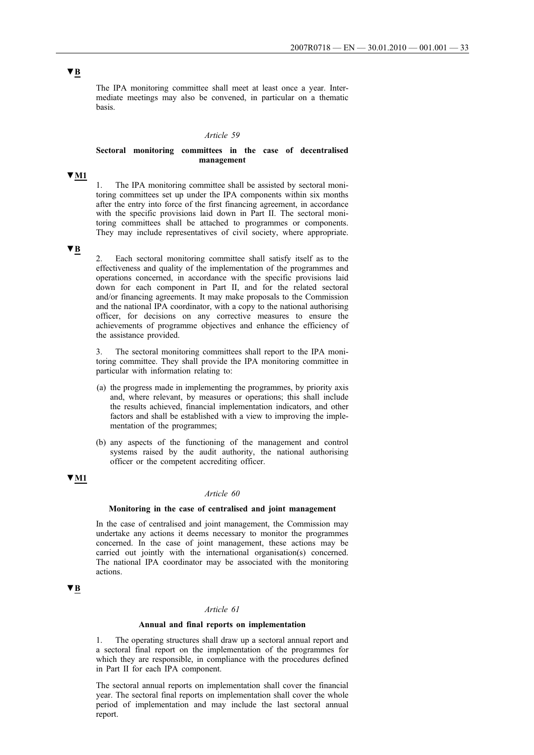The IPA monitoring committee shall meet at least once a year. Intermediate meetings may also be convened, in particular on a thematic basis.

#### *Article 59*

## **Sectoral monitoring committees in the case of decentralised management**

## **▼M1**

The IPA monitoring committee shall be assisted by sectoral monitoring committees set up under the IPA components within six months after the entry into force of the first financing agreement, in accordance with the specific provisions laid down in Part II. The sectoral monitoring committees shall be attached to programmes or components. They may include representatives of civil society, where appropriate.

## **▼B**

2. Each sectoral monitoring committee shall satisfy itself as to the effectiveness and quality of the implementation of the programmes and operations concerned, in accordance with the specific provisions laid down for each component in Part II, and for the related sectoral and/or financing agreements. It may make proposals to the Commission and the national IPA coordinator, with a copy to the national authorising officer, for decisions on any corrective measures to ensure the achievements of programme objectives and enhance the efficiency of the assistance provided.

3. The sectoral monitoring committees shall report to the IPA monitoring committee. They shall provide the IPA monitoring committee in particular with information relating to:

- (a) the progress made in implementing the programmes, by priority axis and, where relevant, by measures or operations; this shall include the results achieved, financial implementation indicators, and other factors and shall be established with a view to improving the implementation of the programmes;
- (b) any aspects of the functioning of the management and control systems raised by the audit authority, the national authorising officer or the competent accrediting officer.

# **▼M1**

### *Article 60*

## **Monitoring in the case of centralised and joint management**

In the case of centralised and joint management, the Commission may undertake any actions it deems necessary to monitor the programmes concerned. In the case of joint management, these actions may be carried out jointly with the international organisation(s) concerned. The national IPA coordinator may be associated with the monitoring actions.

## **▼B**

### *Article 61*

### **Annual and final reports on implementation**

1. The operating structures shall draw up a sectoral annual report and a sectoral final report on the implementation of the programmes for which they are responsible, in compliance with the procedures defined in Part II for each IPA component.

The sectoral annual reports on implementation shall cover the financial year. The sectoral final reports on implementation shall cover the whole period of implementation and may include the last sectoral annual report.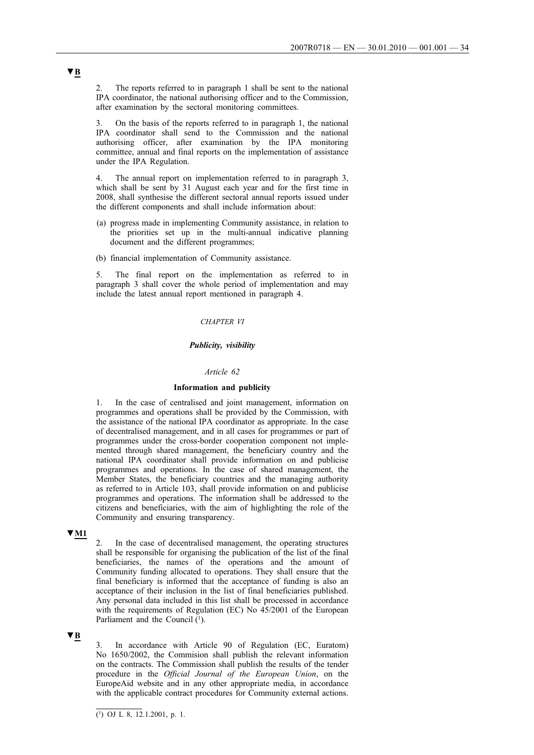2. The reports referred to in paragraph 1 shall be sent to the national IPA coordinator, the national authorising officer and to the Commission, after examination by the sectoral monitoring committees.

3. On the basis of the reports referred to in paragraph 1, the national IPA coordinator shall send to the Commission and the national authorising officer, after examination by the IPA monitoring committee, annual and final reports on the implementation of assistance under the IPA Regulation.

4. The annual report on implementation referred to in paragraph 3, which shall be sent by 31 August each year and for the first time in 2008, shall synthesise the different sectoral annual reports issued under the different components and shall include information about:

- (a) progress made in implementing Community assistance, in relation to the priorities set up in the multi-annual indicative planning document and the different programmes;
- (b) financial implementation of Community assistance.

5. The final report on the implementation as referred to in paragraph 3 shall cover the whole period of implementation and may include the latest annual report mentioned in paragraph 4.

## *CHAPTER VI*

#### *Publicity, visibility*

### *Article 62*

### **Information and publicity**

1. In the case of centralised and joint management, information on programmes and operations shall be provided by the Commission, with the assistance of the national IPA coordinator as appropriate. In the case of decentralised management, and in all cases for programmes or part of programmes under the cross-border cooperation component not implemented through shared management, the beneficiary country and the national IPA coordinator shall provide information on and publicise programmes and operations. In the case of shared management, the Member States, the beneficiary countries and the managing authority as referred to in Article 103, shall provide information on and publicise programmes and operations. The information shall be addressed to the citizens and beneficiaries, with the aim of highlighting the role of the Community and ensuring transparency.

## **▼M1**

2. In the case of decentralised management, the operating structures shall be responsible for organising the publication of the list of the final beneficiaries, the names of the operations and the amount of Community funding allocated to operations. They shall ensure that the final beneficiary is informed that the acceptance of funding is also an acceptance of their inclusion in the list of final beneficiaries published. Any personal data included in this list shall be processed in accordance with the requirements of Regulation (EC) No 45/2001 of the European Parliament and the Council  $(1)$ .

## **▼B**

3. In accordance with Article 90 of Regulation (EC, Euratom) No 1650/2002, the Commision shall publish the relevant information on the contracts. The Commission shall publish the results of the tender procedure in the *Official Journal of the European Union*, on the EuropeAid website and in any other appropriate media, in accordance with the applicable contract procedures for Community external actions.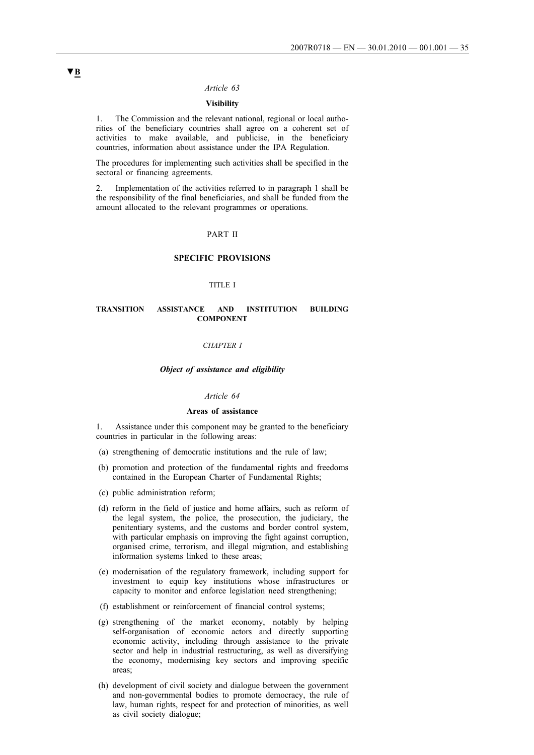## **Visibility**

1. The Commission and the relevant national, regional or local authorities of the beneficiary countries shall agree on a coherent set of activities to make available, and publicise, in the beneficiary countries, information about assistance under the IPA Regulation.

The procedures for implementing such activities shall be specified in the sectoral or financing agreements.

2. Implementation of the activities referred to in paragraph 1 shall be the responsibility of the final beneficiaries, and shall be funded from the amount allocated to the relevant programmes or operations.

## PART II

### **SPECIFIC PROVISIONS**

## TITLE I

#### **TRANSITION ASSISTANCE AND INSTITUTION BUILDING COMPONENT**

#### *CHAPTER I*

#### *Object of assistance and eligibility*

### *Article 64*

#### **Areas of assistance**

1. Assistance under this component may be granted to the beneficiary countries in particular in the following areas:

- (a) strengthening of democratic institutions and the rule of law;
- (b) promotion and protection of the fundamental rights and freedoms contained in the European Charter of Fundamental Rights;
- (c) public administration reform;
- (d) reform in the field of justice and home affairs, such as reform of the legal system, the police, the prosecution, the judiciary, the penitentiary systems, and the customs and border control system, with particular emphasis on improving the fight against corruption, organised crime, terrorism, and illegal migration, and establishing information systems linked to these areas;
- (e) modernisation of the regulatory framework, including support for investment to equip key institutions whose infrastructures or capacity to monitor and enforce legislation need strengthening;
- (f) establishment or reinforcement of financial control systems;
- (g) strengthening of the market economy, notably by helping self-organisation of economic actors and directly supporting economic activity, including through assistance to the private sector and help in industrial restructuring, as well as diversifying the economy, modernising key sectors and improving specific areas;
- (h) development of civil society and dialogue between the government and non-governmental bodies to promote democracy, the rule of law, human rights, respect for and protection of minorities, as well as civil society dialogue;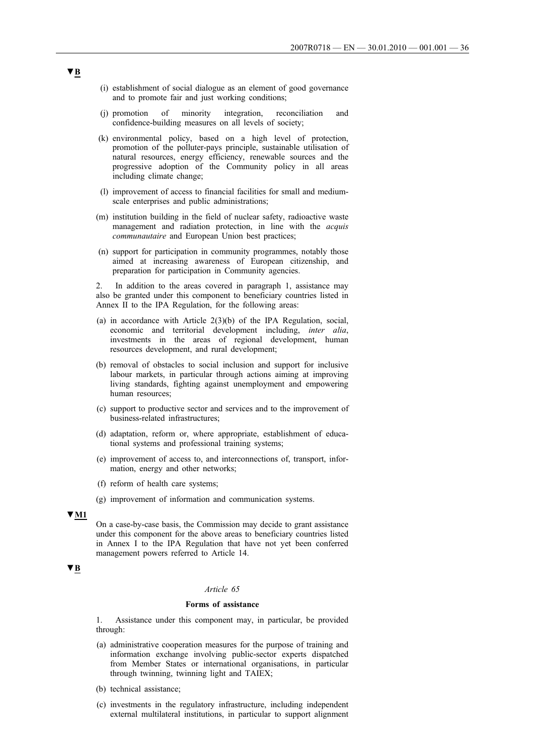- (i) establishment of social dialogue as an element of good governance and to promote fair and just working conditions;
- (j) promotion of minority integration, reconciliation and confidence-building measures on all levels of society;
- (k) environmental policy, based on a high level of protection, promotion of the polluter-pays principle, sustainable utilisation of natural resources, energy efficiency, renewable sources and the progressive adoption of the Community policy in all areas including climate change;
- (l) improvement of access to financial facilities for small and mediumscale enterprises and public administrations;
- (m) institution building in the field of nuclear safety, radioactive waste management and radiation protection, in line with the *acquis communautaire* and European Union best practices;
- (n) support for participation in community programmes, notably those aimed at increasing awareness of European citizenship, and preparation for participation in Community agencies.

In addition to the areas covered in paragraph 1, assistance may also be granted under this component to beneficiary countries listed in Annex II to the IPA Regulation, for the following areas:

- (a) in accordance with Article 2(3)(b) of the IPA Regulation, social, economic and territorial development including, *inter alia*, investments in the areas of regional development, human resources development, and rural development;
- (b) removal of obstacles to social inclusion and support for inclusive labour markets, in particular through actions aiming at improving living standards, fighting against unemployment and empowering human resources;
- (c) support to productive sector and services and to the improvement of business-related infrastructures;
- (d) adaptation, reform or, where appropriate, establishment of educational systems and professional training systems;
- (e) improvement of access to, and interconnections of, transport, information, energy and other networks;
- (f) reform of health care systems;
- (g) improvement of information and communication systems.

## **▼M1**

On a case-by-case basis, the Commission may decide to grant assistance under this component for the above areas to beneficiary countries listed in Annex I to the IPA Regulation that have not yet been conferred management powers referred to Article 14.

## **▼B**

## *Article 65*

## **Forms of assistance**

1. Assistance under this component may, in particular, be provided through:

- (a) administrative cooperation measures for the purpose of training and information exchange involving public-sector experts dispatched from Member States or international organisations, in particular through twinning, twinning light and TAIEX;
- (b) technical assistance;
- (c) investments in the regulatory infrastructure, including independent external multilateral institutions, in particular to support alignment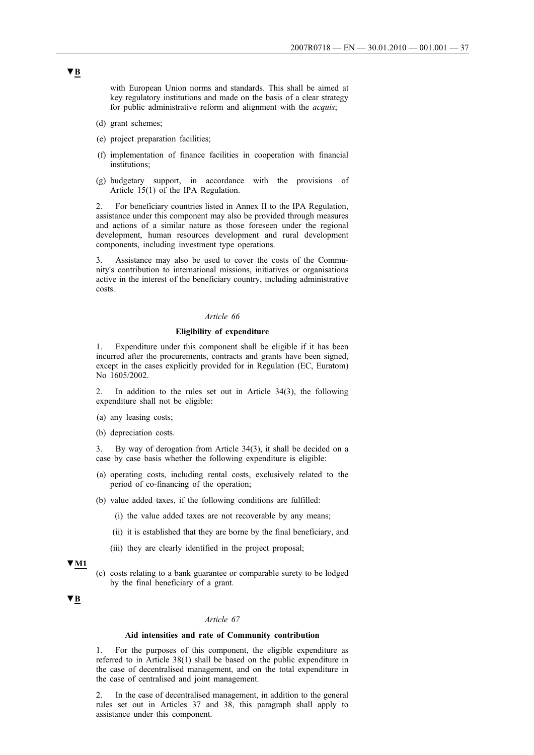with European Union norms and standards. This shall be aimed at key regulatory institutions and made on the basis of a clear strategy for public administrative reform and alignment with the *acquis*;

- (d) grant schemes;
- (e) project preparation facilities;
- (f) implementation of finance facilities in cooperation with financial institutions;
- (g) budgetary support, in accordance with the provisions of Article 15(1) of the IPA Regulation.

2. For beneficiary countries listed in Annex II to the IPA Regulation, assistance under this component may also be provided through measures and actions of a similar nature as those foreseen under the regional development, human resources development and rural development components, including investment type operations.

3. Assistance may also be used to cover the costs of the Community's contribution to international missions, initiatives or organisations active in the interest of the beneficiary country, including administrative costs.

#### *Article 66*

## **Eligibility of expenditure**

1. Expenditure under this component shall be eligible if it has been incurred after the procurements, contracts and grants have been signed, except in the cases explicitly provided for in Regulation (EC, Euratom) No 1605/2002.

2. In addition to the rules set out in Article 34(3), the following expenditure shall not be eligible:

- (a) any leasing costs;
- (b) depreciation costs.

3. By way of derogation from Article 34(3), it shall be decided on a case by case basis whether the following expenditure is eligible:

- (a) operating costs, including rental costs, exclusively related to the period of co-financing of the operation;
- (b) value added taxes, if the following conditions are fulfilled:
	- (i) the value added taxes are not recoverable by any means;
	- (ii) it is established that they are borne by the final beneficiary, and
	- (iii) they are clearly identified in the project proposal;

### **▼M1**

(c) costs relating to a bank guarantee or comparable surety to be lodged by the final beneficiary of a grant.

# **▼B**

#### *Article 67*

# **Aid intensities and rate of Community contribution**

1. For the purposes of this component, the eligible expenditure as referred to in Article 38(1) shall be based on the public expenditure in the case of decentralised management, and on the total expenditure in the case of centralised and joint management.

2. In the case of decentralised management, in addition to the general rules set out in Articles 37 and 38, this paragraph shall apply to assistance under this component.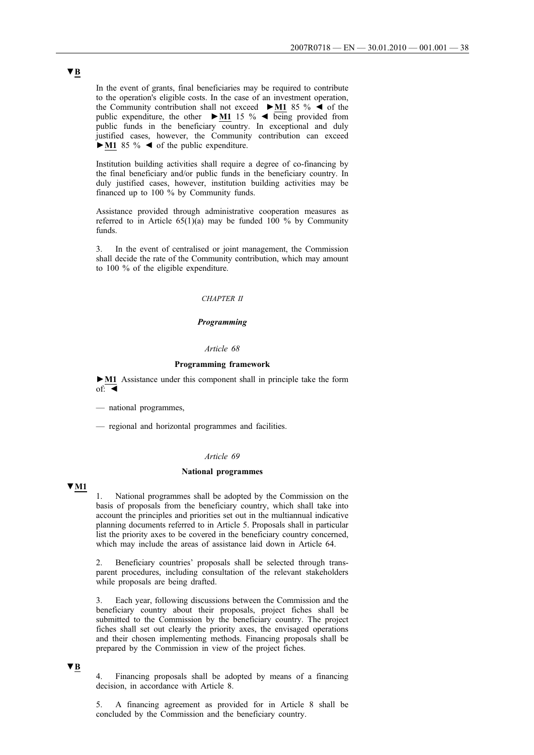In the event of grants, final beneficiaries may be required to contribute to the operation's eligible costs. In the case of an investment operation, the Community contribution shall not exceed **►M1** 85 % ◄ of the public expenditure, the other **►M1** 15 % ◄ being provided from public funds in the beneficiary country. In exceptional and duly justified cases, however, the Community contribution can exceed **►M1** 85 % ◄ of the public expenditure.

Institution building activities shall require a degree of co-financing by the final beneficiary and/or public funds in the beneficiary country. In duly justified cases, however, institution building activities may be financed up to 100 % by Community funds.

Assistance provided through administrative cooperation measures as referred to in Article  $65(1)(a)$  may be funded 100 % by Community funds.

3. In the event of centralised or joint management, the Commission shall decide the rate of the Community contribution, which may amount to 100 % of the eligible expenditure.

# *CHAPTER II*

# *Programming*

# *Article 68*

#### **Programming framework**

**►M1** Assistance under this component shall in principle take the form  $of: \blacksquare$ 

- national programmes,
- regional and horizontal programmes and facilities.

## *Article 69*

#### **National programmes**

**▼M1**

National programmes shall be adopted by the Commission on the basis of proposals from the beneficiary country, which shall take into account the principles and priorities set out in the multiannual indicative planning documents referred to in Article 5. Proposals shall in particular list the priority axes to be covered in the beneficiary country concerned, which may include the areas of assistance laid down in Article 64.

2. Beneficiary countries' proposals shall be selected through transparent procedures, including consultation of the relevant stakeholders while proposals are being drafted.

3. Each year, following discussions between the Commission and the beneficiary country about their proposals, project fiches shall be submitted to the Commission by the beneficiary country. The project fiches shall set out clearly the priority axes, the envisaged operations and their chosen implementing methods. Financing proposals shall be prepared by the Commission in view of the project fiches.

# **▼B**

4. Financing proposals shall be adopted by means of a financing decision, in accordance with Article 8.

5. A financing agreement as provided for in Article 8 shall be concluded by the Commission and the beneficiary country.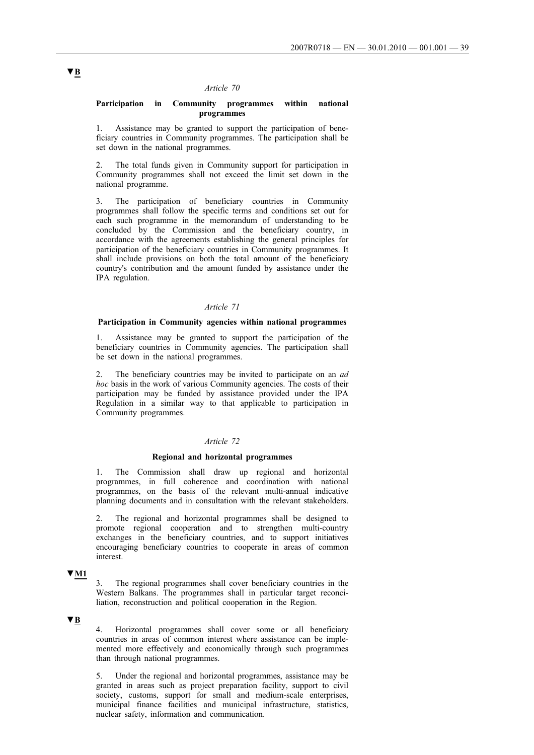## *Article 70*

### **Participation in Community programmes within national programmes**

1. Assistance may be granted to support the participation of beneficiary countries in Community programmes. The participation shall be set down in the national programmes.

2. The total funds given in Community support for participation in Community programmes shall not exceed the limit set down in the national programme.

3. The participation of beneficiary countries in Community programmes shall follow the specific terms and conditions set out for each such programme in the memorandum of understanding to be concluded by the Commission and the beneficiary country, in accordance with the agreements establishing the general principles for participation of the beneficiary countries in Community programmes. It shall include provisions on both the total amount of the beneficiary country's contribution and the amount funded by assistance under the IPA regulation.

#### *Article 71*

#### **Participation in Community agencies within national programmes**

1. Assistance may be granted to support the participation of the beneficiary countries in Community agencies. The participation shall be set down in the national programmes.

2. The beneficiary countries may be invited to participate on an *ad hoc* basis in the work of various Community agencies. The costs of their participation may be funded by assistance provided under the IPA Regulation in a similar way to that applicable to participation in Community programmes.

## *Article 72*

### **Regional and horizontal programmes**

1. The Commission shall draw up regional and horizontal programmes, in full coherence and coordination with national programmes, on the basis of the relevant multi-annual indicative planning documents and in consultation with the relevant stakeholders.

The regional and horizontal programmes shall be designed to promote regional cooperation and to strengthen multi-country exchanges in the beneficiary countries, and to support initiatives encouraging beneficiary countries to cooperate in areas of common interest.

# **▼M1**

3. The regional programmes shall cover beneficiary countries in the Western Balkans. The programmes shall in particular target reconciliation, reconstruction and political cooperation in the Region.

# **▼B**

4. Horizontal programmes shall cover some or all beneficiary countries in areas of common interest where assistance can be implemented more effectively and economically through such programmes than through national programmes.

5. Under the regional and horizontal programmes, assistance may be granted in areas such as project preparation facility, support to civil society, customs, support for small and medium-scale enterprises, municipal finance facilities and municipal infrastructure, statistics, nuclear safety, information and communication.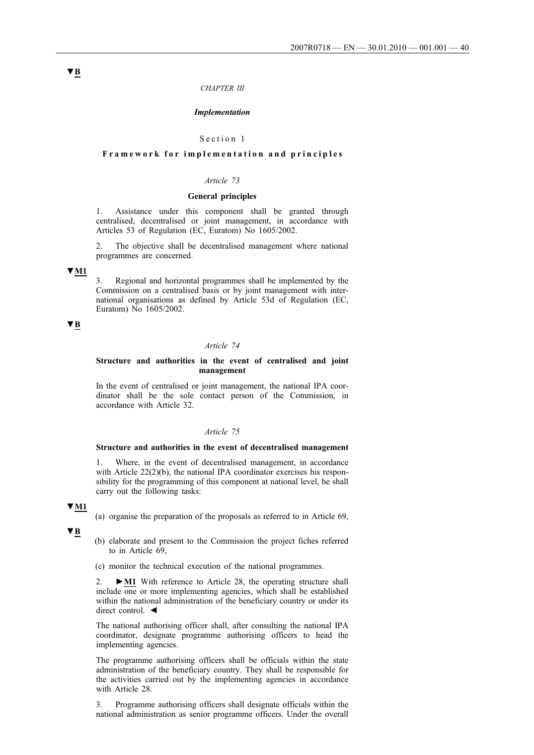#### *CHAPTER III*

#### *Implementation*

#### Section 1

# **Framework for implementation and principles**

# *Article 73*

#### **General principles**

1. Assistance under this component shall be granted through centralised, decentralised or joint management, in accordance with Articles 53 of Regulation (EC, Euratom) No 1605/2002.

The objective shall be decentralised management where national programmes are concerned.

# **▼M1**

3. Regional and horizontal programmes shall be implemented by the Commission on a centralised basis or by joint management with international organisations as defined by Article 53d of Regulation (EC, Euratom) No 1605/2002.

# **▼B**

#### *Article 74*

### **Structure and authorities in the event of centralised and joint management**

In the event of centralised or joint management, the national IPA coordinator shall be the sole contact person of the Commission, in accordance with Article 32.

### *Article 75*

#### **Structure and authorities in the event of decentralised management**

Where, in the event of decentralised management, in accordance with Article 22(2)(b), the national IPA coordinator exercises his responsibility for the programming of this component at national level, he shall carry out the following tasks:

### **▼M1**

(a) organise the preparation of the proposals as referred to in Article 69,

**▼B**

- (b) elaborate and present to the Commission the project fiches referred to in Article 69,
- (c) monitor the technical execution of the national programmes.

2. **►M1** With reference to Article 28, the operating structure shall include one or more implementing agencies, which shall be established within the national administration of the beneficiary country or under its direct control. ◄

The national authorising officer shall, after consulting the national IPA coordinator, designate programme authorising officers to head the implementing agencies.

The programme authorising officers shall be officials within the state administration of the beneficiary country. They shall be responsible for the activities carried out by the implementing agencies in accordance with Article 28.

3. Programme authorising officers shall designate officials within the national administration as senior programme officers. Under the overall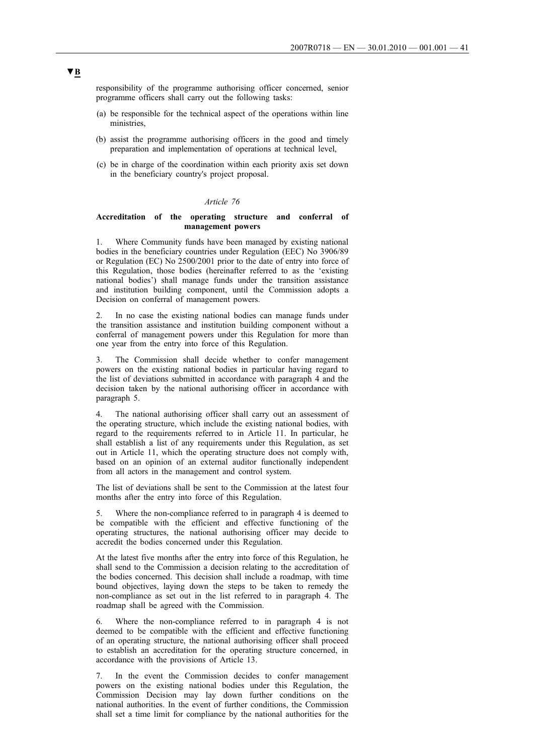responsibility of the programme authorising officer concerned, senior programme officers shall carry out the following tasks:

- (a) be responsible for the technical aspect of the operations within line ministries.
- (b) assist the programme authorising officers in the good and timely preparation and implementation of operations at technical level,
- (c) be in charge of the coordination within each priority axis set down in the beneficiary country's project proposal.

## *Article 76*

# **Accreditation of the operating structure and conferral of management powers**

1. Where Community funds have been managed by existing national bodies in the beneficiary countries under Regulation (EEC) No 3906/89 or Regulation (EC) No 2500/2001 prior to the date of entry into force of this Regulation, those bodies (hereinafter referred to as the 'existing national bodies') shall manage funds under the transition assistance and institution building component, until the Commission adopts a Decision on conferral of management powers.

2. In no case the existing national bodies can manage funds under the transition assistance and institution building component without a conferral of management powers under this Regulation for more than one year from the entry into force of this Regulation.

3. The Commission shall decide whether to confer management powers on the existing national bodies in particular having regard to the list of deviations submitted in accordance with paragraph 4 and the decision taken by the national authorising officer in accordance with paragraph 5.

4. The national authorising officer shall carry out an assessment of the operating structure, which include the existing national bodies, with regard to the requirements referred to in Article 11. In particular, he shall establish a list of any requirements under this Regulation, as set out in Article 11, which the operating structure does not comply with, based on an opinion of an external auditor functionally independent from all actors in the management and control system.

The list of deviations shall be sent to the Commission at the latest four months after the entry into force of this Regulation.

Where the non-compliance referred to in paragraph 4 is deemed to be compatible with the efficient and effective functioning of the operating structures, the national authorising officer may decide to accredit the bodies concerned under this Regulation.

At the latest five months after the entry into force of this Regulation, he shall send to the Commission a decision relating to the accreditation of the bodies concerned. This decision shall include a roadmap, with time bound objectives, laying down the steps to be taken to remedy the non-compliance as set out in the list referred to in paragraph 4. The roadmap shall be agreed with the Commission.

6. Where the non-compliance referred to in paragraph 4 is not deemed to be compatible with the efficient and effective functioning of an operating structure, the national authorising officer shall proceed to establish an accreditation for the operating structure concerned, in accordance with the provisions of Article 13.

7. In the event the Commission decides to confer management powers on the existing national bodies under this Regulation, the Commission Decision may lay down further conditions on the national authorities. In the event of further conditions, the Commission shall set a time limit for compliance by the national authorities for the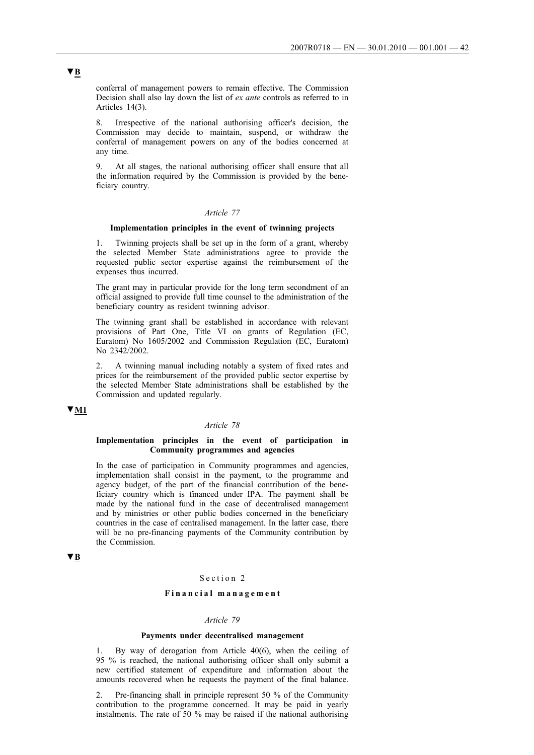conferral of management powers to remain effective. The Commission Decision shall also lay down the list of *ex ante* controls as referred to in Articles 14(3).

8. Irrespective of the national authorising officer's decision, the Commission may decide to maintain, suspend, or withdraw the conferral of management powers on any of the bodies concerned at any time.

9. At all stages, the national authorising officer shall ensure that all the information required by the Commission is provided by the beneficiary country.

# *Article 77*

#### **Implementation principles in the event of twinning projects**

1. Twinning projects shall be set up in the form of a grant, whereby the selected Member State administrations agree to provide the requested public sector expertise against the reimbursement of the expenses thus incurred.

The grant may in particular provide for the long term secondment of an official assigned to provide full time counsel to the administration of the beneficiary country as resident twinning advisor.

The twinning grant shall be established in accordance with relevant provisions of Part One, Title VI on grants of Regulation (EC, Euratom) No 1605/2002 and Commission Regulation (EC, Euratom) No 2342/2002.

2. A twinning manual including notably a system of fixed rates and prices for the reimbursement of the provided public sector expertise by the selected Member State administrations shall be established by the Commission and updated regularly.

# **▼M1**

#### *Article 78*

# **Implementation principles in the event of participation in Community programmes and agencies**

In the case of participation in Community programmes and agencies, implementation shall consist in the payment, to the programme and agency budget, of the part of the financial contribution of the beneficiary country which is financed under IPA. The payment shall be made by the national fund in the case of decentralised management and by ministries or other public bodies concerned in the beneficiary countries in the case of centralised management. In the latter case, there will be no pre-financing payments of the Community contribution by the Commission.

# **▼B**

# Section 2

# **Financial management**

#### *Article 79*

### **Payments under decentralised management**

1. By way of derogation from Article 40(6), when the ceiling of 95 % is reached, the national authorising officer shall only submit a new certified statement of expenditure and information about the amounts recovered when he requests the payment of the final balance.

2. Pre-financing shall in principle represent 50 % of the Community contribution to the programme concerned. It may be paid in yearly instalments. The rate of 50 % may be raised if the national authorising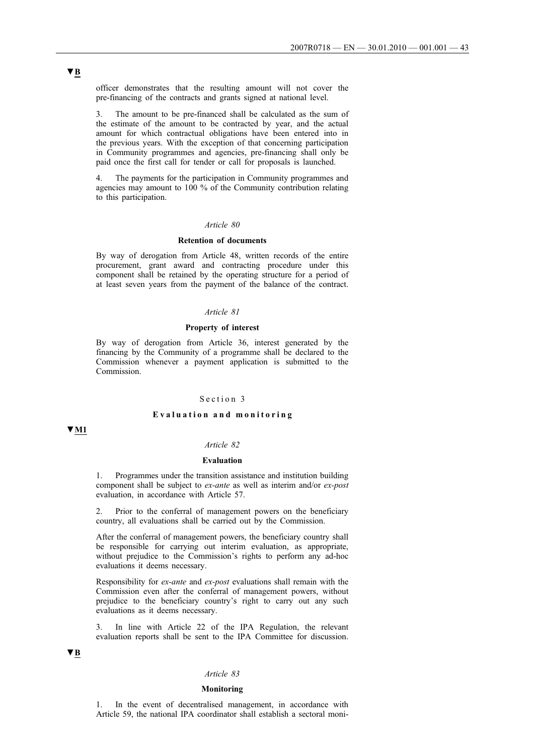officer demonstrates that the resulting amount will not cover the pre-financing of the contracts and grants signed at national level.

3. The amount to be pre-financed shall be calculated as the sum of the estimate of the amount to be contracted by year, and the actual amount for which contractual obligations have been entered into in the previous years. With the exception of that concerning participation in Community programmes and agencies, pre-financing shall only be paid once the first call for tender or call for proposals is launched.

4. The payments for the participation in Community programmes and agencies may amount to 100 % of the Community contribution relating to this participation.

# *Article 80*

# **Retention of documents**

By way of derogation from Article 48, written records of the entire procurement, grant award and contracting procedure under this component shall be retained by the operating structure for a period of at least seven years from the payment of the balance of the contract.

### *Article 81*

#### **Property of interest**

By way of derogation from Article 36, interest generated by the financing by the Community of a programme shall be declared to the Commission whenever a payment application is submitted to the Commission.

## Section 3

### **Evaluation and monitoring**

# **▼M1**

# *Article 82*

#### **Evaluation**

1. Programmes under the transition assistance and institution building component shall be subject to *ex-ante* as well as interim and/or *ex-post* evaluation, in accordance with Article 57.

2. Prior to the conferral of management powers on the beneficiary country, all evaluations shall be carried out by the Commission.

After the conferral of management powers, the beneficiary country shall be responsible for carrying out interim evaluation, as appropriate, without prejudice to the Commission's rights to perform any ad-hoc evaluations it deems necessary.

Responsibility for *ex-ante* and *ex-post* evaluations shall remain with the Commission even after the conferral of management powers, without prejudice to the beneficiary country's right to carry out any such evaluations as it deems necessary.

3. In line with Article 22 of the IPA Regulation, the relevant evaluation reports shall be sent to the IPA Committee for discussion.

# **▼B**

## *Article 83*

#### **Monitoring**

1. In the event of decentralised management, in accordance with Article 59, the national IPA coordinator shall establish a sectoral moni-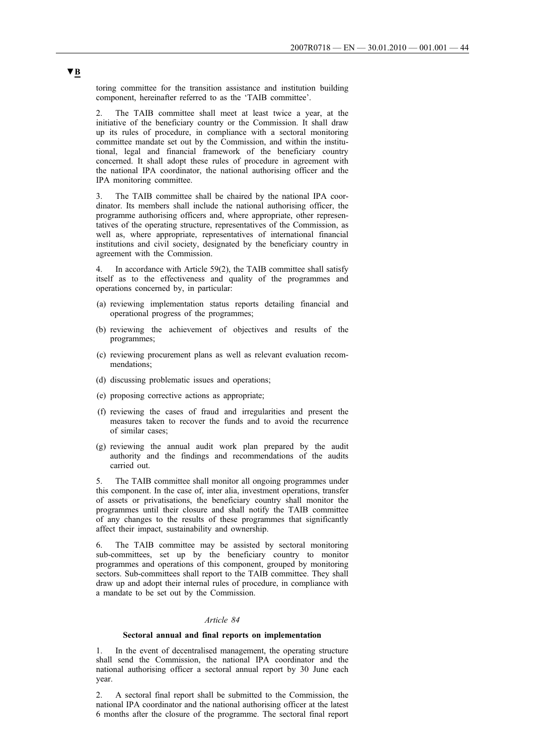toring committee for the transition assistance and institution building component, hereinafter referred to as the 'TAIB committee'.

The TAIB committee shall meet at least twice a year, at the initiative of the beneficiary country or the Commission. It shall draw up its rules of procedure, in compliance with a sectoral monitoring committee mandate set out by the Commission, and within the institutional, legal and financial framework of the beneficiary country concerned. It shall adopt these rules of procedure in agreement with the national IPA coordinator, the national authorising officer and the IPA monitoring committee.

3. The TAIB committee shall be chaired by the national IPA coordinator. Its members shall include the national authorising officer, the programme authorising officers and, where appropriate, other representatives of the operating structure, representatives of the Commission, as well as, where appropriate, representatives of international financial institutions and civil society, designated by the beneficiary country in agreement with the Commission.

4. In accordance with Article 59(2), the TAIB committee shall satisfy itself as to the effectiveness and quality of the programmes and operations concerned by, in particular:

- (a) reviewing implementation status reports detailing financial and operational progress of the programmes;
- (b) reviewing the achievement of objectives and results of the programmes;
- (c) reviewing procurement plans as well as relevant evaluation recommendations;
- (d) discussing problematic issues and operations;
- (e) proposing corrective actions as appropriate;
- (f) reviewing the cases of fraud and irregularities and present the measures taken to recover the funds and to avoid the recurrence of similar cases;
- (g) reviewing the annual audit work plan prepared by the audit authority and the findings and recommendations of the audits carried out.

5. The TAIB committee shall monitor all ongoing programmes under this component. In the case of, inter alia, investment operations, transfer of assets or privatisations, the beneficiary country shall monitor the programmes until their closure and shall notify the TAIB committee of any changes to the results of these programmes that significantly affect their impact, sustainability and ownership.

6. The TAIB committee may be assisted by sectoral monitoring sub-committees, set up by the beneficiary country to monitor programmes and operations of this component, grouped by monitoring sectors. Sub-committees shall report to the TAIB committee. They shall draw up and adopt their internal rules of procedure, in compliance with a mandate to be set out by the Commission.

#### *Article 84*

#### **Sectoral annual and final reports on implementation**

1. In the event of decentralised management, the operating structure shall send the Commission, the national IPA coordinator and the national authorising officer a sectoral annual report by 30 June each year.

2. A sectoral final report shall be submitted to the Commission, the national IPA coordinator and the national authorising officer at the latest 6 months after the closure of the programme. The sectoral final report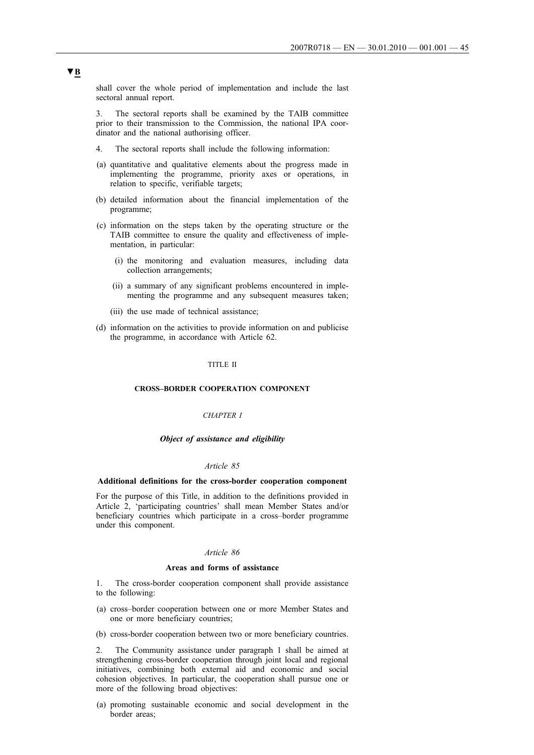shall cover the whole period of implementation and include the last sectoral annual report.

3. The sectoral reports shall be examined by the TAIB committee prior to their transmission to the Commission, the national IPA coordinator and the national authorising officer.

- 4. The sectoral reports shall include the following information:
- (a) quantitative and qualitative elements about the progress made in implementing the programme, priority axes or operations, in relation to specific, verifiable targets;
- (b) detailed information about the financial implementation of the programme;
- (c) information on the steps taken by the operating structure or the TAIB committee to ensure the quality and effectiveness of implementation, in particular:
	- (i) the monitoring and evaluation measures, including data collection arrangements;
	- (ii) a summary of any significant problems encountered in implementing the programme and any subsequent measures taken;
	- (iii) the use made of technical assistance;
- (d) information on the activities to provide information on and publicise the programme, in accordance with Article 62.

#### TITLE II

## **CROSS***–***BORDER COOPERATION COMPONENT**

### *CHAPTER I*

### *Object of assistance and eligibility*

#### *Article 85*

#### **Additional definitions for the cross-border cooperation component**

For the purpose of this Title, in addition to the definitions provided in Article 2, 'participating countries' shall mean Member States and/or beneficiary countries which participate in a cross–border programme under this component.

### *Article 86*

#### **Areas and forms of assistance**

1. The cross-border cooperation component shall provide assistance to the following:

- (a) cross–border cooperation between one or more Member States and one or more beneficiary countries;
- (b) cross-border cooperation between two or more beneficiary countries.

2. The Community assistance under paragraph 1 shall be aimed at strengthening cross-border cooperation through joint local and regional initiatives, combining both external aid and economic and social cohesion objectives. In particular, the cooperation shall pursue one or more of the following broad objectives:

(a) promoting sustainable economic and social development in the border areas;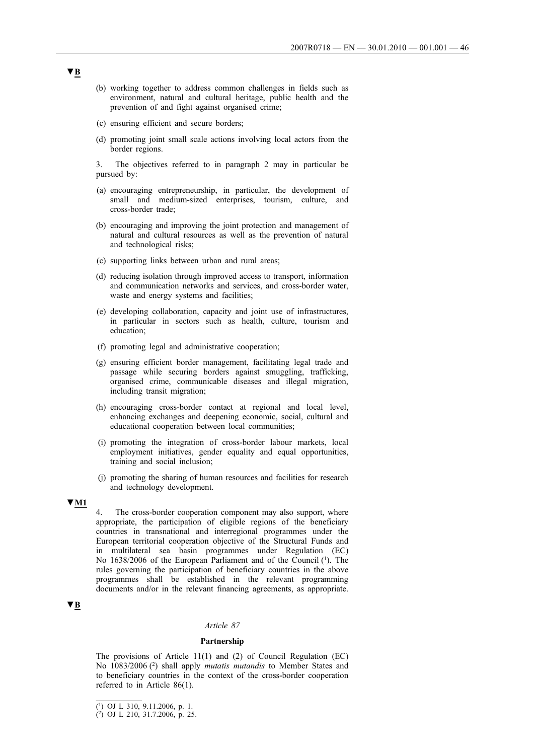- (b) working together to address common challenges in fields such as environment, natural and cultural heritage, public health and the prevention of and fight against organised crime;
- (c) ensuring efficient and secure borders;
- (d) promoting joint small scale actions involving local actors from the border regions.
- 3. The objectives referred to in paragraph 2 may in particular be pursued by:
- (a) encouraging entrepreneurship, in particular, the development of small and medium-sized enterprises, tourism, culture, and cross-border trade;
- (b) encouraging and improving the joint protection and management of natural and cultural resources as well as the prevention of natural and technological risks;
- (c) supporting links between urban and rural areas;
- (d) reducing isolation through improved access to transport, information and communication networks and services, and cross-border water, waste and energy systems and facilities;
- (e) developing collaboration, capacity and joint use of infrastructures, in particular in sectors such as health, culture, tourism and education;
- (f) promoting legal and administrative cooperation;
- (g) ensuring efficient border management, facilitating legal trade and passage while securing borders against smuggling, trafficking, organised crime, communicable diseases and illegal migration, including transit migration;
- (h) encouraging cross-border contact at regional and local level, enhancing exchanges and deepening economic, social, cultural and educational cooperation between local communities;
- (i) promoting the integration of cross-border labour markets, local employment initiatives, gender equality and equal opportunities, training and social inclusion;
- (j) promoting the sharing of human resources and facilities for research and technology development.

### **▼M1**

4. The cross-border cooperation component may also support, where appropriate, the participation of eligible regions of the beneficiary countries in transnational and interregional programmes under the European territorial cooperation objective of the Structural Funds and in multilateral sea basin programmes under Regulation (EC) No 1638/2006 of the European Parliament and of the Council (1). The rules governing the participation of beneficiary countries in the above programmes shall be established in the relevant programming documents and/or in the relevant financing agreements, as appropriate.

# **▼B**

#### *Article 87*

### **Partnership**

The provisions of Article 11(1) and (2) of Council Regulation (EC) No 1083/2006 (2) shall apply *mutatis mutandis* to Member States and to beneficiary countries in the context of the cross-border cooperation referred to in Article 86(1).

<sup>(1)</sup> OJ L 310, 9.11.2006, p. 1.

<sup>(2)</sup> OJ L 210, 31.7.2006, p. 25.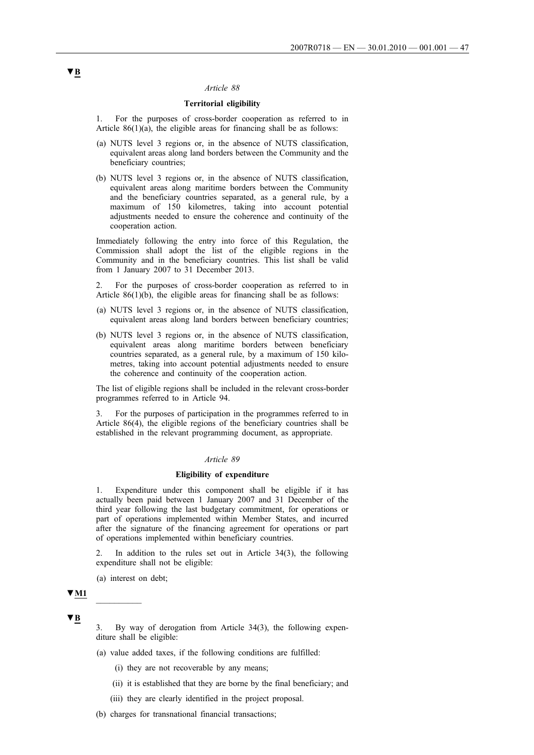## *Article 88*

# **Territorial eligibility**

1. For the purposes of cross-border cooperation as referred to in Article  $86(1)(a)$ , the eligible areas for financing shall be as follows:

- (a) NUTS level 3 regions or, in the absence of NUTS classification, equivalent areas along land borders between the Community and the beneficiary countries;
- (b) NUTS level 3 regions or, in the absence of NUTS classification, equivalent areas along maritime borders between the Community and the beneficiary countries separated, as a general rule, by a maximum of 150 kilometres, taking into account potential adjustments needed to ensure the coherence and continuity of the cooperation action.

Immediately following the entry into force of this Regulation, the Commission shall adopt the list of the eligible regions in the Community and in the beneficiary countries. This list shall be valid from 1 January 2007 to 31 December 2013.

2. For the purposes of cross-border cooperation as referred to in Article 86(1)(b), the eligible areas for financing shall be as follows:

- (a) NUTS level 3 regions or, in the absence of NUTS classification, equivalent areas along land borders between beneficiary countries;
- (b) NUTS level 3 regions or, in the absence of NUTS classification, equivalent areas along maritime borders between beneficiary countries separated, as a general rule, by a maximum of 150 kilometres, taking into account potential adjustments needed to ensure the coherence and continuity of the cooperation action.

The list of eligible regions shall be included in the relevant cross-border programmes referred to in Article 94.

3. For the purposes of participation in the programmes referred to in Article 86(4), the eligible regions of the beneficiary countries shall be established in the relevant programming document, as appropriate.

# *Article 89*

#### **Eligibility of expenditure**

1. Expenditure under this component shall be eligible if it has actually been paid between 1 January 2007 and 31 December of the third year following the last budgetary commitment, for operations or part of operations implemented within Member States, and incurred after the signature of the financing agreement for operations or part of operations implemented within beneficiary countries.

In addition to the rules set out in Article  $34(3)$ , the following expenditure shall not be eligible:

(a) interest on debt;

# $\Psi$ **M1**

**▼B**

By way of derogation from Article 34(3), the following expenditure shall be eligible:

- (a) value added taxes, if the following conditions are fulfilled:
	- (i) they are not recoverable by any means;
	- (ii) it is established that they are borne by the final beneficiary; and
	- (iii) they are clearly identified in the project proposal.
- (b) charges for transnational financial transactions;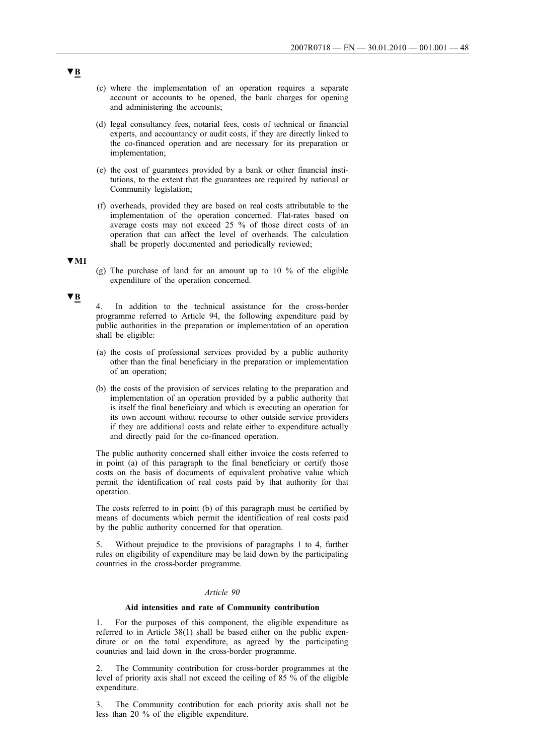- (c) where the implementation of an operation requires a separate account or accounts to be opened, the bank charges for opening and administering the accounts;
- (d) legal consultancy fees, notarial fees, costs of technical or financial experts, and accountancy or audit costs, if they are directly linked to the co-financed operation and are necessary for its preparation or implementation;
- (e) the cost of guarantees provided by a bank or other financial institutions, to the extent that the guarantees are required by national or Community legislation;
- (f) overheads, provided they are based on real costs attributable to the implementation of the operation concerned. Flat-rates based on average costs may not exceed 25 % of those direct costs of an operation that can affect the level of overheads. The calculation shall be properly documented and periodically reviewed:

# **▼M1**

(g) The purchase of land for an amount up to 10  $\%$  of the eligible expenditure of the operation concerned.

### **▼B**

In addition to the technical assistance for the cross-border programme referred to Article 94, the following expenditure paid by public authorities in the preparation or implementation of an operation shall be eligible:

- (a) the costs of professional services provided by a public authority other than the final beneficiary in the preparation or implementation of an operation;
- (b) the costs of the provision of services relating to the preparation and implementation of an operation provided by a public authority that is itself the final beneficiary and which is executing an operation for its own account without recourse to other outside service providers if they are additional costs and relate either to expenditure actually and directly paid for the co-financed operation.

The public authority concerned shall either invoice the costs referred to in point (a) of this paragraph to the final beneficiary or certify those costs on the basis of documents of equivalent probative value which permit the identification of real costs paid by that authority for that operation.

The costs referred to in point (b) of this paragraph must be certified by means of documents which permit the identification of real costs paid by the public authority concerned for that operation.

5. Without prejudice to the provisions of paragraphs 1 to 4, further rules on eligibility of expenditure may be laid down by the participating countries in the cross-border programme.

### *Article 90*

## **Aid intensities and rate of Community contribution**

1. For the purposes of this component, the eligible expenditure as referred to in Article 38(1) shall be based either on the public expenditure or on the total expenditure, as agreed by the participating countries and laid down in the cross-border programme.

The Community contribution for cross-border programmes at the level of priority axis shall not exceed the ceiling of 85 % of the eligible expenditure.

3. The Community contribution for each priority axis shall not be less than 20 % of the eligible expenditure.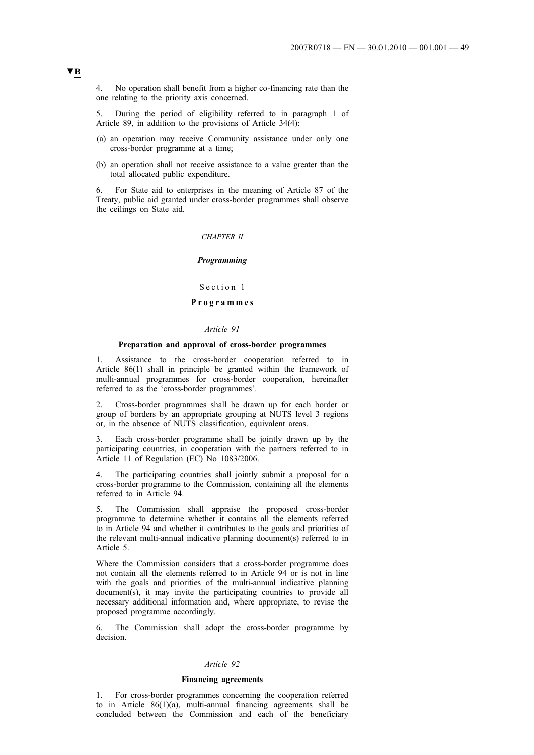4. No operation shall benefit from a higher co-financing rate than the one relating to the priority axis concerned.

5. During the period of eligibility referred to in paragraph 1 of Article 89, in addition to the provisions of Article  $34(\overline{4})$ :

- (a) an operation may receive Community assistance under only one cross-border programme at a time;
- (b) an operation shall not receive assistance to a value greater than the total allocated public expenditure.

6. For State aid to enterprises in the meaning of Article 87 of the Treaty, public aid granted under cross-border programmes shall observe the ceilings on State aid.

#### *CHAPTER II*

#### *Programming*

Section 1

# **Programmes**

### *Article 91*

## **Preparation and approval of cross-border programmes**

1. Assistance to the cross-border cooperation referred to in Article 86(1) shall in principle be granted within the framework of multi-annual programmes for cross-border cooperation, hereinafter referred to as the 'cross-border programmes'.

2. Cross-border programmes shall be drawn up for each border or group of borders by an appropriate grouping at NUTS level 3 regions or, in the absence of NUTS classification, equivalent areas.

3. Each cross-border programme shall be jointly drawn up by the participating countries, in cooperation with the partners referred to in Article 11 of Regulation (EC) No 1083/2006.

4. The participating countries shall jointly submit a proposal for a cross-border programme to the Commission, containing all the elements referred to in Article 94.

5. The Commission shall appraise the proposed cross-border programme to determine whether it contains all the elements referred to in Article 94 and whether it contributes to the goals and priorities of the relevant multi-annual indicative planning document(s) referred to in Article 5.

Where the Commission considers that a cross-border programme does not contain all the elements referred to in Article 94 or is not in line with the goals and priorities of the multi-annual indicative planning document(s), it may invite the participating countries to provide all necessary additional information and, where appropriate, to revise the proposed programme accordingly.

6. The Commission shall adopt the cross-border programme by decision.

#### *Article 92*

#### **Financing agreements**

1. For cross-border programmes concerning the cooperation referred to in Article 86(1)(a), multi-annual financing agreements shall be concluded between the Commission and each of the beneficiary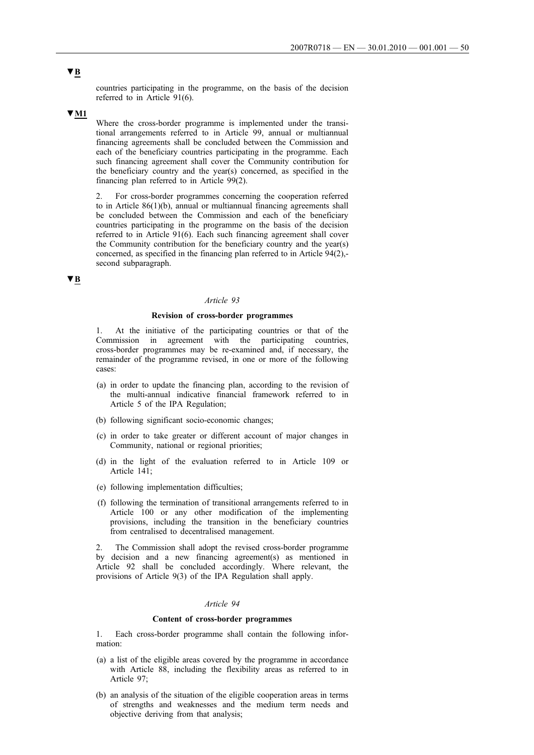countries participating in the programme, on the basis of the decision referred to in Article 91(6).

### **▼M1**

Where the cross-border programme is implemented under the transitional arrangements referred to in Article 99, annual or multiannual financing agreements shall be concluded between the Commission and each of the beneficiary countries participating in the programme. Each such financing agreement shall cover the Community contribution for the beneficiary country and the year(s) concerned, as specified in the financing plan referred to in Article 99(2).

2. For cross-border programmes concerning the cooperation referred to in Article 86(1)(b), annual or multiannual financing agreements shall be concluded between the Commission and each of the beneficiary countries participating in the programme on the basis of the decision referred to in Article 91(6). Each such financing agreement shall cover the Community contribution for the beneficiary country and the year(s) concerned, as specified in the financing plan referred to in Article 94(2), second subparagraph.

# **▼B**

## *Article 93*

### **Revision of cross-border programmes**

1. At the initiative of the participating countries or that of the Commission in agreement with the participating countries, cross-border programmes may be re-examined and, if necessary, the remainder of the programme revised, in one or more of the following cases:

- (a) in order to update the financing plan, according to the revision of the multi-annual indicative financial framework referred to in Article 5 of the IPA Regulation;
- (b) following significant socio-economic changes;
- (c) in order to take greater or different account of major changes in Community, national or regional priorities;
- (d) in the light of the evaluation referred to in Article 109 or Article 141;
- (e) following implementation difficulties;
- (f) following the termination of transitional arrangements referred to in Article 100 or any other modification of the implementing provisions, including the transition in the beneficiary countries from centralised to decentralised management.

The Commission shall adopt the revised cross-border programme by decision and a new financing agreement(s) as mentioned in Article 92 shall be concluded accordingly. Where relevant, the provisions of Article 9(3) of the IPA Regulation shall apply.

### *Article 94*

## **Content of cross-border programmes**

1. Each cross-border programme shall contain the following information:

- (a) a list of the eligible areas covered by the programme in accordance with Article 88, including the flexibility areas as referred to in Article 97;
- (b) an analysis of the situation of the eligible cooperation areas in terms of strengths and weaknesses and the medium term needs and objective deriving from that analysis;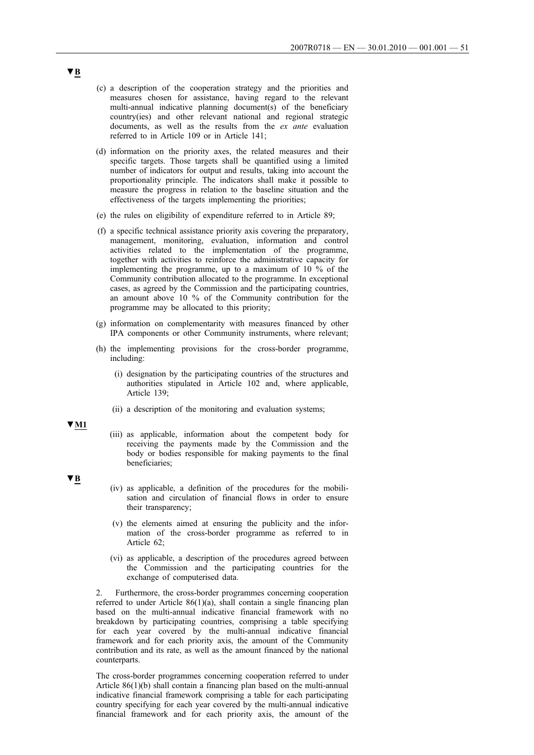- (c) a description of the cooperation strategy and the priorities and measures chosen for assistance, having regard to the relevant multi-annual indicative planning document(s) of the beneficiary country(ies) and other relevant national and regional strategic documents, as well as the results from the *ex ante* evaluation referred to in Article 109 or in Article 141;
- (d) information on the priority axes, the related measures and their specific targets. Those targets shall be quantified using a limited number of indicators for output and results, taking into account the proportionality principle. The indicators shall make it possible to measure the progress in relation to the baseline situation and the effectiveness of the targets implementing the priorities;
- (e) the rules on eligibility of expenditure referred to in Article 89;
- (f) a specific technical assistance priority axis covering the preparatory, management, monitoring, evaluation, information and control activities related to the implementation of the programme, together with activities to reinforce the administrative capacity for implementing the programme, up to a maximum of 10 % of the Community contribution allocated to the programme. In exceptional cases, as agreed by the Commission and the participating countries, an amount above 10 % of the Community contribution for the programme may be allocated to this priority;
- (g) information on complementarity with measures financed by other IPA components or other Community instruments, where relevant;
- (h) the implementing provisions for the cross-border programme, including:
	- (i) designation by the participating countries of the structures and authorities stipulated in Article 102 and, where applicable, Article 139;
	- (ii) a description of the monitoring and evaluation systems;

**▼M1**

- (iii) as applicable, information about the competent body for receiving the payments made by the Commission and the body or bodies responsible for making payments to the final beneficiaries;
- **▼B**
- (iv) as applicable, a definition of the procedures for the mobilisation and circulation of financial flows in order to ensure their transparency;
- (v) the elements aimed at ensuring the publicity and the information of the cross-border programme as referred to in Article 62;
- (vi) as applicable, a description of the procedures agreed between the Commission and the participating countries for the exchange of computerised data.

2. Furthermore, the cross-border programmes concerning cooperation referred to under Article 86(1)(a), shall contain a single financing plan based on the multi-annual indicative financial framework with no breakdown by participating countries, comprising a table specifying for each year covered by the multi-annual indicative financial framework and for each priority axis, the amount of the Community contribution and its rate, as well as the amount financed by the national counterparts.

The cross-border programmes concerning cooperation referred to under Article 86(1)(b) shall contain a financing plan based on the multi-annual indicative financial framework comprising a table for each participating country specifying for each year covered by the multi-annual indicative financial framework and for each priority axis, the amount of the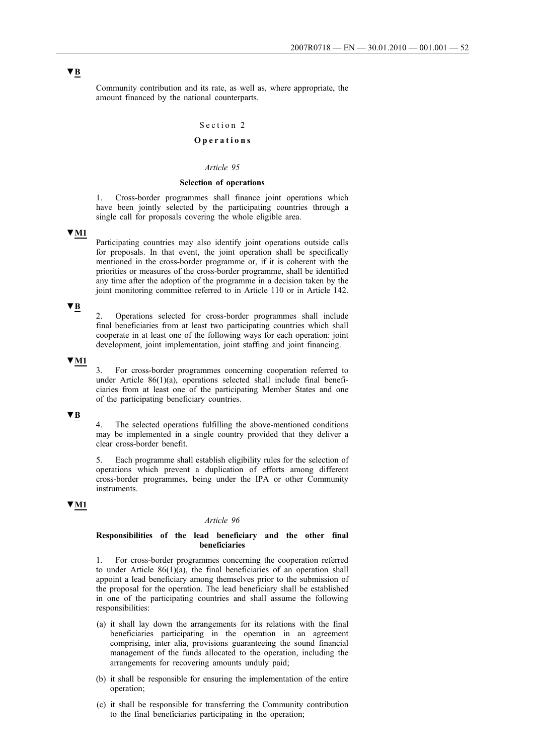Community contribution and its rate, as well as, where appropriate, the amount financed by the national counterparts.

# Section 2

# **Operations**

# *Article 95*

### **Selection of operations**

1. Cross-border programmes shall finance joint operations which have been jointly selected by the participating countries through a single call for proposals covering the whole eligible area.

# **▼M1**

Participating countries may also identify joint operations outside calls for proposals. In that event, the joint operation shall be specifically mentioned in the cross-border programme or, if it is coherent with the priorities or measures of the cross-border programme, shall be identified any time after the adoption of the programme in a decision taken by the joint monitoring committee referred to in Article 110 or in Article 142.

## **▼B**

2. Operations selected for cross-border programmes shall include final beneficiaries from at least two participating countries which shall cooperate in at least one of the following ways for each operation: joint development, joint implementation, joint staffing and joint financing.

# **▼M1**

3. For cross-border programmes concerning cooperation referred to under Article 86(1)(a), operations selected shall include final beneficiaries from at least one of the participating Member States and one of the participating beneficiary countries.

# **▼B**

4. The selected operations fulfilling the above-mentioned conditions may be implemented in a single country provided that they deliver a clear cross-border benefit.

5. Each programme shall establish eligibility rules for the selection of operations which prevent a duplication of efforts among different cross-border programmes, being under the IPA or other Community instruments.

# **▼M1**

#### *Article 96*

### **Responsibilities of the lead beneficiary and the other final beneficiaries**

1. For cross-border programmes concerning the cooperation referred to under Article 86(1)(a), the final beneficiaries of an operation shall appoint a lead beneficiary among themselves prior to the submission of the proposal for the operation. The lead beneficiary shall be established in one of the participating countries and shall assume the following responsibilities:

- (a) it shall lay down the arrangements for its relations with the final beneficiaries participating in the operation in an agreement comprising, inter alia, provisions guaranteeing the sound financial management of the funds allocated to the operation, including the arrangements for recovering amounts unduly paid;
- (b) it shall be responsible for ensuring the implementation of the entire operation;
- (c) it shall be responsible for transferring the Community contribution to the final beneficiaries participating in the operation;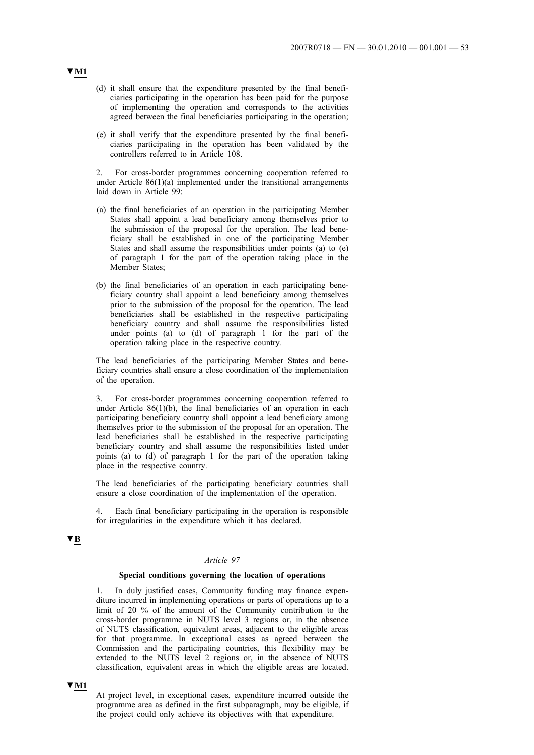- (d) it shall ensure that the expenditure presented by the final beneficiaries participating in the operation has been paid for the purpose of implementing the operation and corresponds to the activities agreed between the final beneficiaries participating in the operation;
- (e) it shall verify that the expenditure presented by the final beneficiaries participating in the operation has been validated by the controllers referred to in Article 108.

2. For cross-border programmes concerning cooperation referred to under Article 86(1)(a) implemented under the transitional arrangements laid down in Article 99:

- (a) the final beneficiaries of an operation in the participating Member States shall appoint a lead beneficiary among themselves prior to the submission of the proposal for the operation. The lead beneficiary shall be established in one of the participating Member States and shall assume the responsibilities under points (a) to (e) of paragraph 1 for the part of the operation taking place in the Member States;
- (b) the final beneficiaries of an operation in each participating beneficiary country shall appoint a lead beneficiary among themselves prior to the submission of the proposal for the operation. The lead beneficiaries shall be established in the respective participating beneficiary country and shall assume the responsibilities listed under points (a) to (d) of paragraph 1 for the part of the operation taking place in the respective country.

The lead beneficiaries of the participating Member States and beneficiary countries shall ensure a close coordination of the implementation of the operation.

3. For cross-border programmes concerning cooperation referred to under Article  $86(1)(b)$ , the final beneficiaries of an operation in each participating beneficiary country shall appoint a lead beneficiary among themselves prior to the submission of the proposal for an operation. The lead beneficiaries shall be established in the respective participating beneficiary country and shall assume the responsibilities listed under points (a) to (d) of paragraph 1 for the part of the operation taking place in the respective country.

The lead beneficiaries of the participating beneficiary countries shall ensure a close coordination of the implementation of the operation.

4. Each final beneficiary participating in the operation is responsible for irregularities in the expenditure which it has declared.

# **▼B**

## *Article 97*

### **Special conditions governing the location of operations**

1. In duly justified cases, Community funding may finance expenditure incurred in implementing operations or parts of operations up to a limit of 20 % of the amount of the Community contribution to the cross-border programme in NUTS level 3 regions or, in the absence of NUTS classification, equivalent areas, adjacent to the eligible areas for that programme. In exceptional cases as agreed between the Commission and the participating countries, this flexibility may be extended to the NUTS level 2 regions or, in the absence of NUTS classification, equivalent areas in which the eligible areas are located.

**▼M1**

At project level, in exceptional cases, expenditure incurred outside the programme area as defined in the first subparagraph, may be eligible, if the project could only achieve its objectives with that expenditure.

# **▼M1**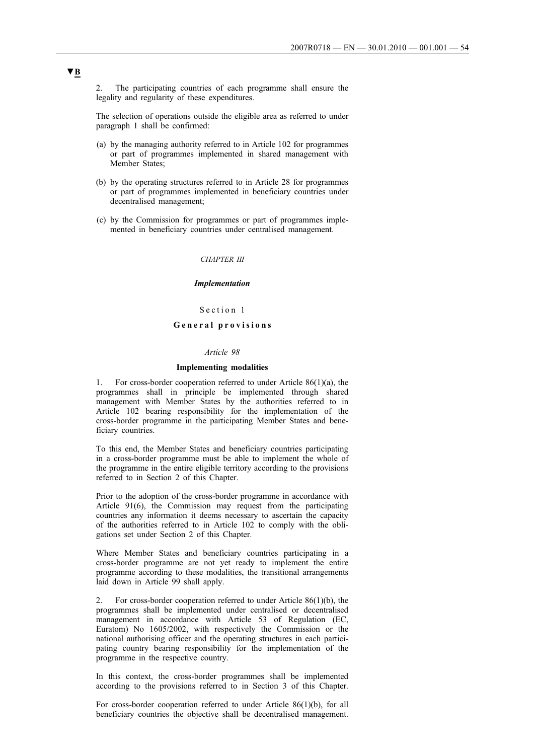The participating countries of each programme shall ensure the legality and regularity of these expenditures.

The selection of operations outside the eligible area as referred to under paragraph 1 shall be confirmed:

- (a) by the managing authority referred to in Article 102 for programmes or part of programmes implemented in shared management with Member States:
- (b) by the operating structures referred to in Article 28 for programmes or part of programmes implemented in beneficiary countries under decentralised management;
- (c) by the Commission for programmes or part of programmes implemented in beneficiary countries under centralised management.

# *CHAPTER III*

#### *Implementation*

## Section 1

# **General provisions**

#### *Article 98*

# **Implementing modalities**

1. For cross-border cooperation referred to under Article 86(1)(a), the programmes shall in principle be implemented through shared management with Member States by the authorities referred to in Article 102 bearing responsibility for the implementation of the cross-border programme in the participating Member States and beneficiary countries.

To this end, the Member States and beneficiary countries participating in a cross-border programme must be able to implement the whole of the programme in the entire eligible territory according to the provisions referred to in Section 2 of this Chapter.

Prior to the adoption of the cross-border programme in accordance with Article 91(6), the Commission may request from the participating countries any information it deems necessary to ascertain the capacity of the authorities referred to in Article 102 to comply with the obligations set under Section 2 of this Chapter.

Where Member States and beneficiary countries participating in a cross-border programme are not yet ready to implement the entire programme according to these modalities, the transitional arrangements laid down in Article 99 shall apply.

2. For cross-border cooperation referred to under Article 86(1)(b), the programmes shall be implemented under centralised or decentralised management in accordance with Article 53 of Regulation (EC, Euratom) No 1605/2002, with respectively the Commission or the national authorising officer and the operating structures in each participating country bearing responsibility for the implementation of the programme in the respective country.

In this context, the cross-border programmes shall be implemented according to the provisions referred to in Section 3 of this Chapter.

For cross-border cooperation referred to under Article 86(1)(b), for all beneficiary countries the objective shall be decentralised management.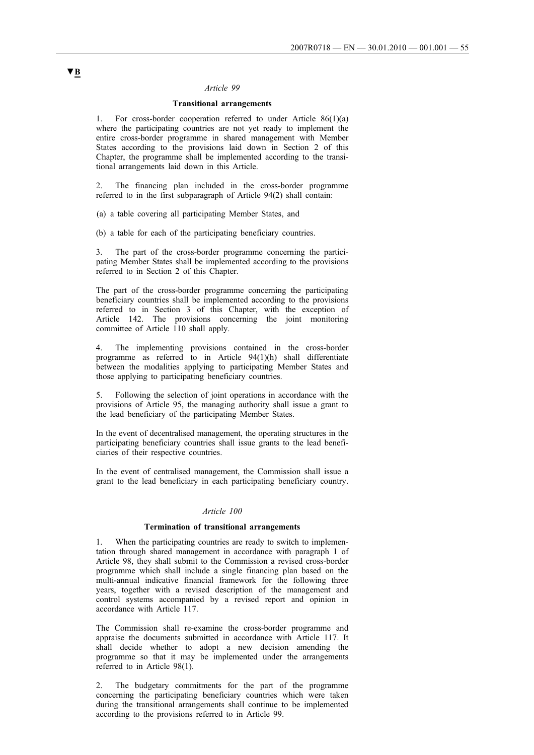# *Article 99*

# **Transitional arrangements**

1. For cross-border cooperation referred to under Article 86(1)(a) where the participating countries are not yet ready to implement the entire cross-border programme in shared management with Member States according to the provisions laid down in Section 2 of this Chapter, the programme shall be implemented according to the transitional arrangements laid down in this Article.

2. The financing plan included in the cross-border programme referred to in the first subparagraph of Article 94(2) shall contain:

(a) a table covering all participating Member States, and

(b) a table for each of the participating beneficiary countries.

3. The part of the cross-border programme concerning the participating Member States shall be implemented according to the provisions referred to in Section 2 of this Chapter.

The part of the cross-border programme concerning the participating beneficiary countries shall be implemented according to the provisions referred to in Section 3 of this Chapter, with the exception of Article 142. The provisions concerning the joint monitoring committee of Article 110 shall apply.

4. The implementing provisions contained in the cross-border programme as referred to in Article 94(1)(h) shall differentiate between the modalities applying to participating Member States and those applying to participating beneficiary countries.

5. Following the selection of joint operations in accordance with the provisions of Article 95, the managing authority shall issue a grant to the lead beneficiary of the participating Member States.

In the event of decentralised management, the operating structures in the participating beneficiary countries shall issue grants to the lead beneficiaries of their respective countries.

In the event of centralised management, the Commission shall issue a grant to the lead beneficiary in each participating beneficiary country.

### *Article 100*

#### **Termination of transitional arrangements**

1. When the participating countries are ready to switch to implementation through shared management in accordance with paragraph 1 of Article 98, they shall submit to the Commission a revised cross-border programme which shall include a single financing plan based on the multi-annual indicative financial framework for the following three years, together with a revised description of the management and control systems accompanied by a revised report and opinion in accordance with Article 117.

The Commission shall re-examine the cross-border programme and appraise the documents submitted in accordance with Article 117. It shall decide whether to adopt a new decision amending the programme so that it may be implemented under the arrangements referred to in Article 98(1).

2. The budgetary commitments for the part of the programme concerning the participating beneficiary countries which were taken during the transitional arrangements shall continue to be implemented according to the provisions referred to in Article 99.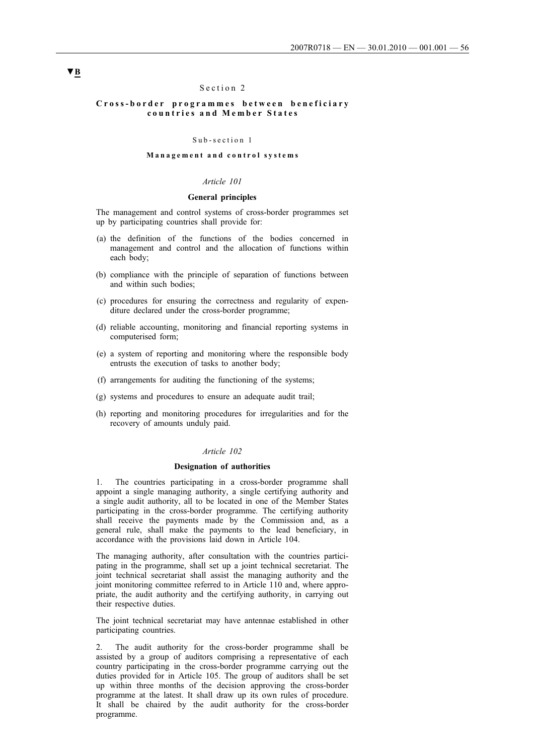## Section 2

## **Cross-border programmes between beneficiary countries and Member States**

#### Sub-section 1

## **Management and control systems**

# *Article 101*

# **General principles**

The management and control systems of cross-border programmes set up by participating countries shall provide for:

- (a) the definition of the functions of the bodies concerned in management and control and the allocation of functions within each body;
- (b) compliance with the principle of separation of functions between and within such bodies;
- (c) procedures for ensuring the correctness and regularity of expenditure declared under the cross-border programme;
- (d) reliable accounting, monitoring and financial reporting systems in computerised form;
- (e) a system of reporting and monitoring where the responsible body entrusts the execution of tasks to another body;
- (f) arrangements for auditing the functioning of the systems;
- (g) systems and procedures to ensure an adequate audit trail;
- (h) reporting and monitoring procedures for irregularities and for the recovery of amounts unduly paid.

#### *Article 102*

#### **Designation of authorities**

1. The countries participating in a cross-border programme shall appoint a single managing authority, a single certifying authority and a single audit authority, all to be located in one of the Member States participating in the cross-border programme. The certifying authority shall receive the payments made by the Commission and, as a general rule, shall make the payments to the lead beneficiary, in accordance with the provisions laid down in Article 104.

The managing authority, after consultation with the countries participating in the programme, shall set up a joint technical secretariat. The joint technical secretariat shall assist the managing authority and the joint monitoring committee referred to in Article 110 and, where appropriate, the audit authority and the certifying authority, in carrying out their respective duties.

The joint technical secretariat may have antennae established in other participating countries.

2. The audit authority for the cross-border programme shall be assisted by a group of auditors comprising a representative of each country participating in the cross-border programme carrying out the duties provided for in Article 105. The group of auditors shall be set up within three months of the decision approving the cross-border programme at the latest. It shall draw up its own rules of procedure. It shall be chaired by the audit authority for the cross-border programme.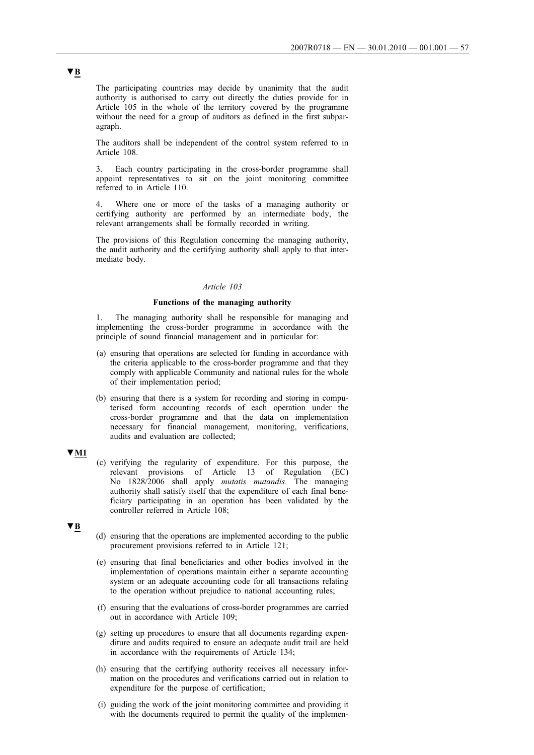The participating countries may decide by unanimity that the audit authority is authorised to carry out directly the duties provide for in Article 105 in the whole of the territory covered by the programme without the need for a group of auditors as defined in the first subparagraph.

The auditors shall be independent of the control system referred to in Article 108.

3. Each country participating in the cross-border programme shall appoint representatives to sit on the joint monitoring committee referred to in Article 110.

Where one or more of the tasks of a managing authority or certifying authority are performed by an intermediate body, the relevant arrangements shall be formally recorded in writing.

The provisions of this Regulation concerning the managing authority, the audit authority and the certifying authority shall apply to that intermediate body.

### *Article 103*

## **Functions of the managing authority**

1. The managing authority shall be responsible for managing and implementing the cross-border programme in accordance with the principle of sound financial management and in particular for:

- (a) ensuring that operations are selected for funding in accordance with the criteria applicable to the cross-border programme and that they comply with applicable Community and national rules for the whole of their implementation period;
- (b) ensuring that there is a system for recording and storing in computerised form accounting records of each operation under the cross-border programme and that the data on implementation necessary for financial management, monitoring, verifications, audits and evaluation are collected;

# **▼M1**

(c) verifying the regularity of expenditure. For this purpose, the relevant provisions of Article 13 of Regulation (EC) No 1828/2006 shall apply *mutatis mutandis*. The managing authority shall satisfy itself that the expenditure of each final beneficiary participating in an operation has been validated by the controller referred in Article 108;

# **▼B**

- (d) ensuring that the operations are implemented according to the public procurement provisions referred to in Article 121;
- (e) ensuring that final beneficiaries and other bodies involved in the implementation of operations maintain either a separate accounting system or an adequate accounting code for all transactions relating to the operation without prejudice to national accounting rules;
- (f) ensuring that the evaluations of cross-border programmes are carried out in accordance with Article 109;
- (g) setting up procedures to ensure that all documents regarding expenditure and audits required to ensure an adequate audit trail are held in accordance with the requirements of Article 134;
- (h) ensuring that the certifying authority receives all necessary information on the procedures and verifications carried out in relation to expenditure for the purpose of certification;
- (i) guiding the work of the joint monitoring committee and providing it with the documents required to permit the quality of the implemen-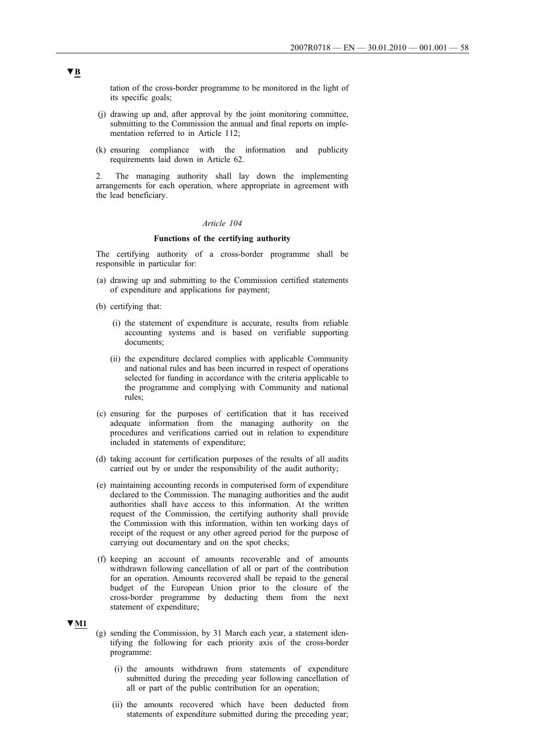tation of the cross-border programme to be monitored in the light of its specific goals;

- (j) drawing up and, after approval by the joint monitoring committee, submitting to the Commission the annual and final reports on implementation referred to in Article 112;
- (k) ensuring compliance with the information and publicity requirements laid down in Article 62.

2. The managing authority shall lay down the implementing arrangements for each operation, where appropriate in agreement with the lead beneficiary.

#### *Article 104*

#### **Functions of the certifying authority**

The certifying authority of a cross-border programme shall be responsible in particular for:

- (a) drawing up and submitting to the Commission certified statements of expenditure and applications for payment;
- (b) certifying that:
	- (i) the statement of expenditure is accurate, results from reliable accounting systems and is based on verifiable supporting documents;
	- (ii) the expenditure declared complies with applicable Community and national rules and has been incurred in respect of operations selected for funding in accordance with the criteria applicable to the programme and complying with Community and national rules;
- (c) ensuring for the purposes of certification that it has received adequate information from the managing authority on the procedures and verifications carried out in relation to expenditure included in statements of expenditure;
- (d) taking account for certification purposes of the results of all audits carried out by or under the responsibility of the audit authority;
- (e) maintaining accounting records in computerised form of expenditure declared to the Commission. The managing authorities and the audit authorities shall have access to this information. At the written request of the Commission, the certifying authority shall provide the Commission with this information, within ten working days of receipt of the request or any other agreed period for the purpose of carrying out documentary and on the spot checks;
- (f) keeping an account of amounts recoverable and of amounts withdrawn following cancellation of all or part of the contribution for an operation. Amounts recovered shall be repaid to the general budget of the European Union prior to the closure of the cross-border programme by deducting them from the next statement of expenditure;

# **▼M1**

- (g) sending the Commission, by 31 March each year, a statement identifying the following for each priority axis of the cross-border programme:
	- (i) the amounts withdrawn from statements of expenditure submitted during the preceding year following cancellation of all or part of the public contribution for an operation;
	- (ii) the amounts recovered which have been deducted from statements of expenditure submitted during the preceding year;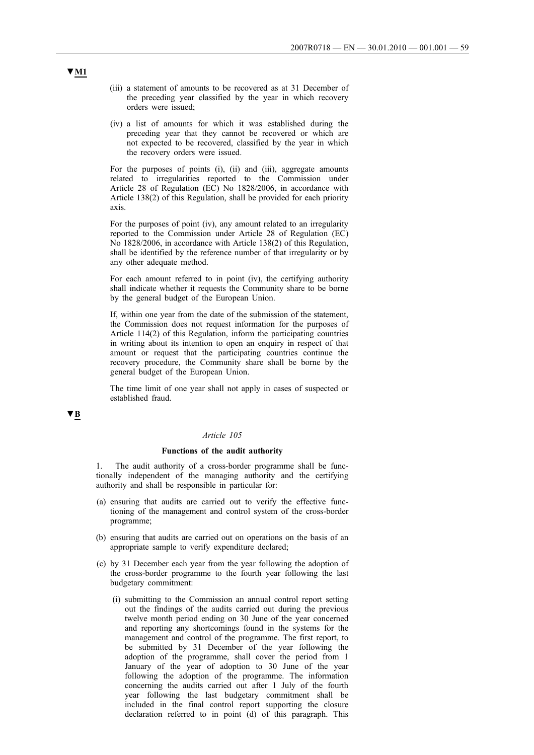- (iii) a statement of amounts to be recovered as at 31 December of the preceding year classified by the year in which recovery orders were issued;
- (iv) a list of amounts for which it was established during the preceding year that they cannot be recovered or which are not expected to be recovered, classified by the year in which the recovery orders were issued.

For the purposes of points (i), (ii) and (iii), aggregate amounts related to irregularities reported to the Commission under Article 28 of Regulation (EC) No 1828/2006, in accordance with Article 138(2) of this Regulation, shall be provided for each priority axis.

For the purposes of point (iv), any amount related to an irregularity reported to the Commission under Article 28 of Regulation (EC) No 1828/2006, in accordance with Article 138(2) of this Regulation, shall be identified by the reference number of that irregularity or by any other adequate method.

For each amount referred to in point (iv), the certifying authority shall indicate whether it requests the Community share to be borne by the general budget of the European Union.

If, within one year from the date of the submission of the statement, the Commission does not request information for the purposes of Article 114(2) of this Regulation, inform the participating countries in writing about its intention to open an enquiry in respect of that amount or request that the participating countries continue the recovery procedure, the Community share shall be borne by the general budget of the European Union.

The time limit of one year shall not apply in cases of suspected or established fraud.

# **▼B**

### *Article 105*

### **Functions of the audit authority**

The audit authority of a cross-border programme shall be functionally independent of the managing authority and the certifying authority and shall be responsible in particular for:

- (a) ensuring that audits are carried out to verify the effective functioning of the management and control system of the cross-border programme;
- (b) ensuring that audits are carried out on operations on the basis of an appropriate sample to verify expenditure declared;
- (c) by 31 December each year from the year following the adoption of the cross-border programme to the fourth year following the last budgetary commitment:
	- (i) submitting to the Commission an annual control report setting out the findings of the audits carried out during the previous twelve month period ending on 30 June of the year concerned and reporting any shortcomings found in the systems for the management and control of the programme. The first report, to be submitted by 31 December of the year following the adoption of the programme, shall cover the period from 1 January of the year of adoption to 30 June of the year following the adoption of the programme. The information concerning the audits carried out after 1 July of the fourth year following the last budgetary commitment shall be included in the final control report supporting the closure declaration referred to in point (d) of this paragraph. This

# **▼M1**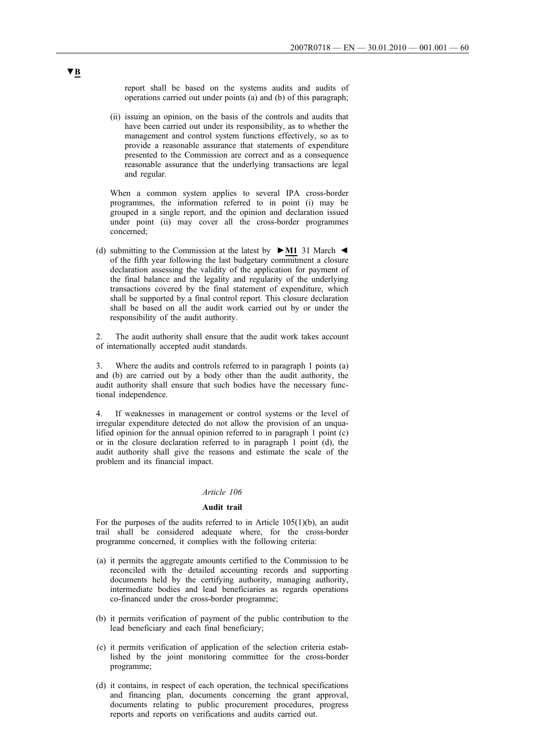report shall be based on the systems audits and audits of operations carried out under points (a) and (b) of this paragraph;

(ii) issuing an opinion, on the basis of the controls and audits that have been carried out under its responsibility, as to whether the management and control system functions effectively, so as to provide a reasonable assurance that statements of expenditure presented to the Commission are correct and as a consequence reasonable assurance that the underlying transactions are legal and regular.

When a common system applies to several IPA cross-border programmes, the information referred to in point (i) may be grouped in a single report, and the opinion and declaration issued under point (ii) may cover all the cross-border programmes concerned;

(d) submitting to the Commission at the latest by **►M1** 31 March ◄ of the fifth year following the last budgetary commitment a closure declaration assessing the validity of the application for payment of the final balance and the legality and regularity of the underlying transactions covered by the final statement of expenditure, which shall be supported by a final control report. This closure declaration shall be based on all the audit work carried out by or under the responsibility of the audit authority.

2. The audit authority shall ensure that the audit work takes account of internationally accepted audit standards.

3. Where the audits and controls referred to in paragraph 1 points (a) and (b) are carried out by a body other than the audit authority, the audit authority shall ensure that such bodies have the necessary functional independence.

4. If weaknesses in management or control systems or the level of irregular expenditure detected do not allow the provision of an unqualified opinion for the annual opinion referred to in paragraph 1 point (c) or in the closure declaration referred to in paragraph 1 point (d), the audit authority shall give the reasons and estimate the scale of the problem and its financial impact.

# *Article 106*

#### **Audit trail**

For the purposes of the audits referred to in Article 105(1)(b), an audit trail shall be considered adequate where, for the cross-border programme concerned, it complies with the following criteria:

- (a) it permits the aggregate amounts certified to the Commission to be reconciled with the detailed accounting records and supporting documents held by the certifying authority, managing authority, intermediate bodies and lead beneficiaries as regards operations co-financed under the cross-border programme;
- (b) it permits verification of payment of the public contribution to the lead beneficiary and each final beneficiary;
- (c) it permits verification of application of the selection criteria established by the joint monitoring committee for the cross-border programme;
- (d) it contains, in respect of each operation, the technical specifications and financing plan, documents concerning the grant approval, documents relating to public procurement procedures, progress reports and reports on verifications and audits carried out.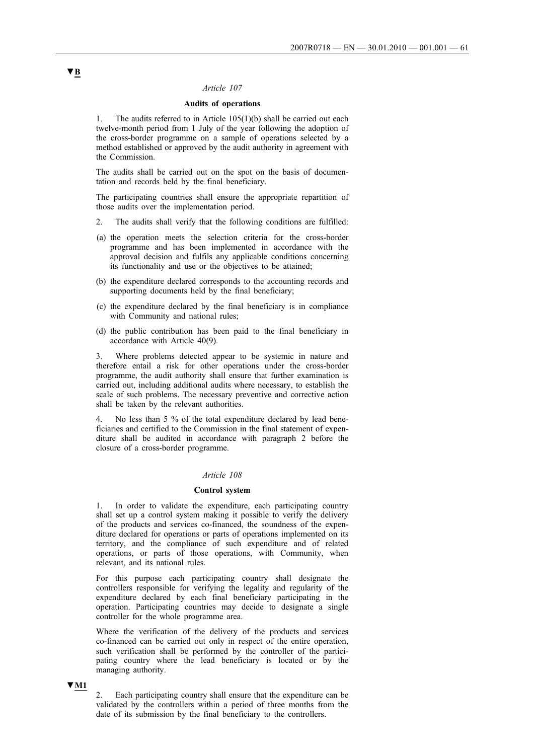## *Article 107*

## **Audits of operations**

1. The audits referred to in Article 105(1)(b) shall be carried out each twelve-month period from 1 July of the year following the adoption of the cross-border programme on a sample of operations selected by a method established or approved by the audit authority in agreement with the Commission.

The audits shall be carried out on the spot on the basis of documentation and records held by the final beneficiary.

The participating countries shall ensure the appropriate repartition of those audits over the implementation period.

- 2. The audits shall verify that the following conditions are fulfilled:
- (a) the operation meets the selection criteria for the cross-border programme and has been implemented in accordance with the approval decision and fulfils any applicable conditions concerning its functionality and use or the objectives to be attained;
- (b) the expenditure declared corresponds to the accounting records and supporting documents held by the final beneficiary;
- (c) the expenditure declared by the final beneficiary is in compliance with Community and national rules;
- (d) the public contribution has been paid to the final beneficiary in accordance with Article 40(9).

3. Where problems detected appear to be systemic in nature and therefore entail a risk for other operations under the cross-border programme, the audit authority shall ensure that further examination is carried out, including additional audits where necessary, to establish the scale of such problems. The necessary preventive and corrective action shall be taken by the relevant authorities.

4. No less than 5 % of the total expenditure declared by lead beneficiaries and certified to the Commission in the final statement of expenditure shall be audited in accordance with paragraph 2 before the closure of a cross-border programme.

#### *Article 108*

#### **Control system**

In order to validate the expenditure, each participating country shall set up a control system making it possible to verify the delivery of the products and services co-financed, the soundness of the expenditure declared for operations or parts of operations implemented on its territory, and the compliance of such expenditure and of related operations, or parts of those operations, with Community, when relevant, and its national rules.

For this purpose each participating country shall designate the controllers responsible for verifying the legality and regularity of the expenditure declared by each final beneficiary participating in the operation. Participating countries may decide to designate a single controller for the whole programme area.

Where the verification of the delivery of the products and services co-financed can be carried out only in respect of the entire operation, such verification shall be performed by the controller of the participating country where the lead beneficiary is located or by the managing authority.

### **▼M1**

2. Each participating country shall ensure that the expenditure can be validated by the controllers within a period of three months from the date of its submission by the final beneficiary to the controllers.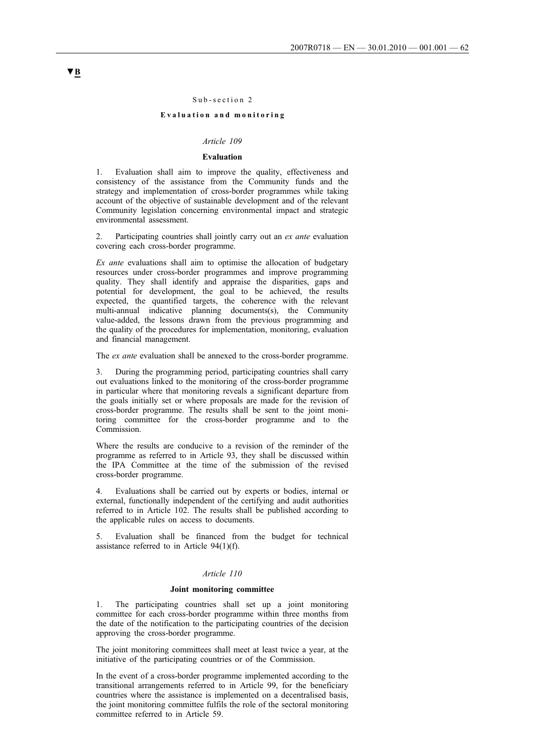#### Sub-section 2

### **Evaluation and monitoring**

# *Article 109*

# **Evaluation**

1. Evaluation shall aim to improve the quality, effectiveness and consistency of the assistance from the Community funds and the strategy and implementation of cross-border programmes while taking account of the objective of sustainable development and of the relevant Community legislation concerning environmental impact and strategic environmental assessment.

2. Participating countries shall jointly carry out an *ex ante* evaluation covering each cross-border programme.

*Ex ante* evaluations shall aim to optimise the allocation of budgetary resources under cross-border programmes and improve programming quality. They shall identify and appraise the disparities, gaps and potential for development, the goal to be achieved, the results expected, the quantified targets, the coherence with the relevant multi-annual indicative planning documents(s), the Community value-added, the lessons drawn from the previous programming and the quality of the procedures for implementation, monitoring, evaluation and financial management.

The *ex ante* evaluation shall be annexed to the cross-border programme.

3. During the programming period, participating countries shall carry out evaluations linked to the monitoring of the cross-border programme in particular where that monitoring reveals a significant departure from the goals initially set or where proposals are made for the revision of cross-border programme. The results shall be sent to the joint monitoring committee for the cross-border programme and to the Commission.

Where the results are conducive to a revision of the reminder of the programme as referred to in Article 93, they shall be discussed within the IPA Committee at the time of the submission of the revised cross-border programme.

4. Evaluations shall be carried out by experts or bodies, internal or external, functionally independent of the certifying and audit authorities referred to in Article 102. The results shall be published according to the applicable rules on access to documents.

5. Evaluation shall be financed from the budget for technical assistance referred to in Article 94(1)(f).

# *Article 110*

#### **Joint monitoring committee**

1. The participating countries shall set up a joint monitoring committee for each cross-border programme within three months from the date of the notification to the participating countries of the decision approving the cross-border programme.

The joint monitoring committees shall meet at least twice a year, at the initiative of the participating countries or of the Commission.

In the event of a cross-border programme implemented according to the transitional arrangements referred to in Article 99, for the beneficiary countries where the assistance is implemented on a decentralised basis, the joint monitoring committee fulfils the role of the sectoral monitoring committee referred to in Article 59.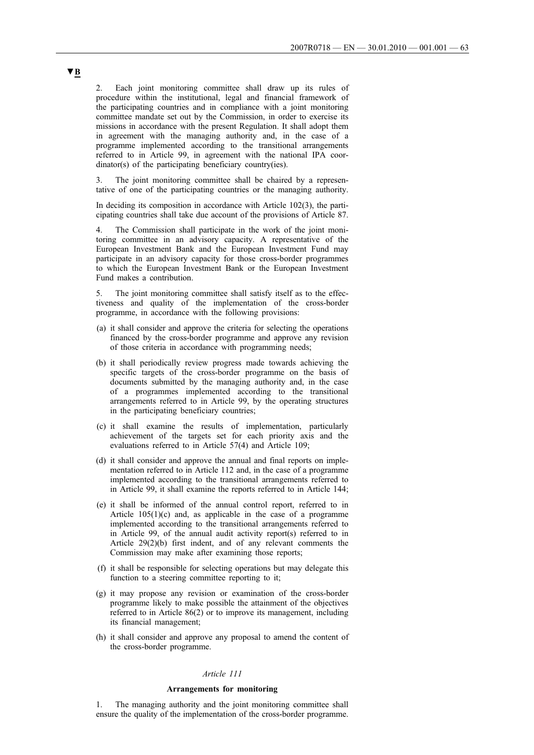2. Each joint monitoring committee shall draw up its rules of procedure within the institutional, legal and financial framework of the participating countries and in compliance with a joint monitoring committee mandate set out by the Commission, in order to exercise its missions in accordance with the present Regulation. It shall adopt them in agreement with the managing authority and, in the case of a programme implemented according to the transitional arrangements referred to in Article 99, in agreement with the national IPA coordinator(s) of the participating beneficiary country(ies).

3. The joint monitoring committee shall be chaired by a representative of one of the participating countries or the managing authority.

In deciding its composition in accordance with Article 102(3), the participating countries shall take due account of the provisions of Article 87.

4. The Commission shall participate in the work of the joint monitoring committee in an advisory capacity. A representative of the European Investment Bank and the European Investment Fund may participate in an advisory capacity for those cross-border programmes to which the European Investment Bank or the European Investment Fund makes a contribution.

5. The joint monitoring committee shall satisfy itself as to the effectiveness and quality of the implementation of the cross-border programme, in accordance with the following provisions:

- (a) it shall consider and approve the criteria for selecting the operations financed by the cross-border programme and approve any revision of those criteria in accordance with programming needs;
- (b) it shall periodically review progress made towards achieving the specific targets of the cross-border programme on the basis of documents submitted by the managing authority and, in the case of a programmes implemented according to the transitional arrangements referred to in Article 99, by the operating structures in the participating beneficiary countries;
- (c) it shall examine the results of implementation, particularly achievement of the targets set for each priority axis and the evaluations referred to in Article 57(4) and Article 109;
- (d) it shall consider and approve the annual and final reports on implementation referred to in Article 112 and, in the case of a programme implemented according to the transitional arrangements referred to in Article 99, it shall examine the reports referred to in Article 144;
- (e) it shall be informed of the annual control report, referred to in Article 105(1)(c) and, as applicable in the case of a programme implemented according to the transitional arrangements referred to in Article 99, of the annual audit activity report(s) referred to in Article 29(2)(b) first indent, and of any relevant comments the Commission may make after examining those reports;
- (f) it shall be responsible for selecting operations but may delegate this function to a steering committee reporting to it;
- (g) it may propose any revision or examination of the cross-border programme likely to make possible the attainment of the objectives referred to in Article 86(2) or to improve its management, including its financial management;
- (h) it shall consider and approve any proposal to amend the content of the cross-border programme.

### *Article 111*

#### **Arrangements for monitoring**

1. The managing authority and the joint monitoring committee shall ensure the quality of the implementation of the cross-border programme.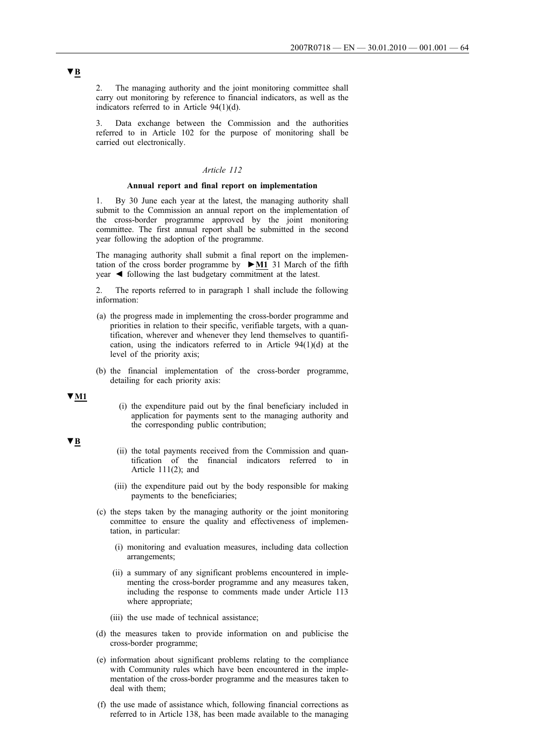2. The managing authority and the joint monitoring committee shall carry out monitoring by reference to financial indicators, as well as the indicators referred to in Article 94(1)(d).

3. Data exchange between the Commission and the authorities referred to in Article 102 for the purpose of monitoring shall be carried out electronically.

# *Article 112*

#### **Annual report and final report on implementation**

1. By 30 June each year at the latest, the managing authority shall submit to the Commission an annual report on the implementation of the cross-border programme approved by the joint monitoring committee. The first annual report shall be submitted in the second year following the adoption of the programme.

The managing authority shall submit a final report on the implementation of the cross border programme by **►M1** 31 March of the fifth year ◄ following the last budgetary commitment at the latest.

2. The reports referred to in paragraph 1 shall include the following information:

- (a) the progress made in implementing the cross-border programme and priorities in relation to their specific, verifiable targets, with a quantification, wherever and whenever they lend themselves to quantification, using the indicators referred to in Article 94(1)(d) at the level of the priority axis;
- (b) the financial implementation of the cross-border programme, detailing for each priority axis:

**▼M1**

(i) the expenditure paid out by the final beneficiary included in application for payments sent to the managing authority and the corresponding public contribution;

## **▼B**

- (ii) the total payments received from the Commission and quantification of the financial indicators referred to in Article 111(2); and
- (iii) the expenditure paid out by the body responsible for making payments to the beneficiaries;
- (c) the steps taken by the managing authority or the joint monitoring committee to ensure the quality and effectiveness of implementation, in particular:
	- (i) monitoring and evaluation measures, including data collection arrangements;
	- (ii) a summary of any significant problems encountered in implementing the cross-border programme and any measures taken, including the response to comments made under Article 113 where appropriate;
	- (iii) the use made of technical assistance;
- (d) the measures taken to provide information on and publicise the cross-border programme;
- (e) information about significant problems relating to the compliance with Community rules which have been encountered in the implementation of the cross-border programme and the measures taken to deal with them;
- (f) the use made of assistance which, following financial corrections as referred to in Article 138, has been made available to the managing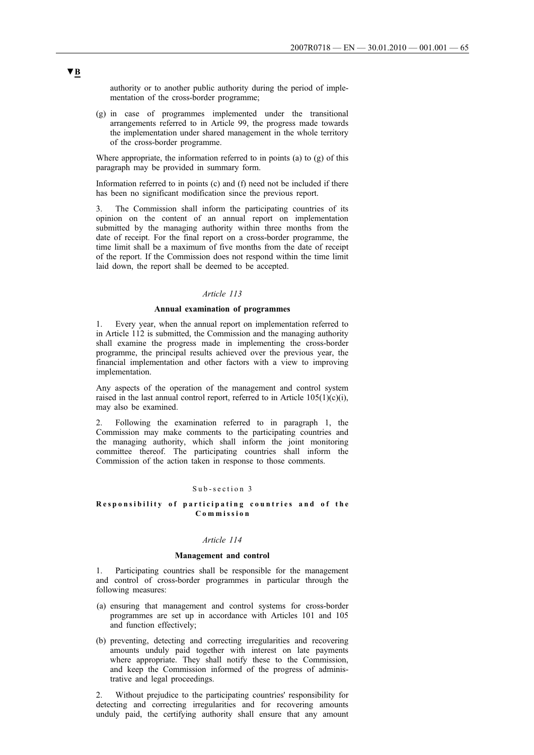authority or to another public authority during the period of implementation of the cross-border programme;

(g) in case of programmes implemented under the transitional arrangements referred to in Article 99, the progress made towards the implementation under shared management in the whole territory of the cross-border programme.

Where appropriate, the information referred to in points (a) to (g) of this paragraph may be provided in summary form.

Information referred to in points (c) and (f) need not be included if there has been no significant modification since the previous report.

3. The Commission shall inform the participating countries of its opinion on the content of an annual report on implementation submitted by the managing authority within three months from the date of receipt. For the final report on a cross-border programme, the time limit shall be a maximum of five months from the date of receipt of the report. If the Commission does not respond within the time limit laid down, the report shall be deemed to be accepted.

## *Article 113*

#### **Annual examination of programmes**

1. Every year, when the annual report on implementation referred to in Article 112 is submitted, the Commission and the managing authority shall examine the progress made in implementing the cross-border programme, the principal results achieved over the previous year, the financial implementation and other factors with a view to improving implementation.

Any aspects of the operation of the management and control system raised in the last annual control report, referred to in Article  $105(1)(c)(i)$ , may also be examined.

2. Following the examination referred to in paragraph 1, the Commission may make comments to the participating countries and the managing authority, which shall inform the joint monitoring committee thereof. The participating countries shall inform the Commission of the action taken in response to those comments.

## Sub-section 3

# **Responsibility of participating countries and of the Commission**

### *Article 114*

## **Management and control**

1. Participating countries shall be responsible for the management and control of cross-border programmes in particular through the following measures:

- (a) ensuring that management and control systems for cross-border programmes are set up in accordance with Articles 101 and 105 and function effectively;
- (b) preventing, detecting and correcting irregularities and recovering amounts unduly paid together with interest on late payments where appropriate. They shall notify these to the Commission, and keep the Commission informed of the progress of administrative and legal proceedings.

2. Without prejudice to the participating countries' responsibility for detecting and correcting irregularities and for recovering amounts unduly paid, the certifying authority shall ensure that any amount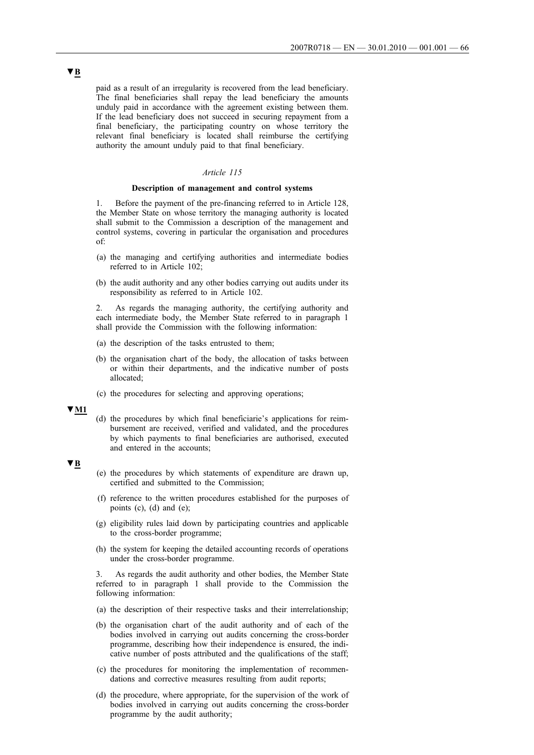paid as a result of an irregularity is recovered from the lead beneficiary. The final beneficiaries shall repay the lead beneficiary the amounts unduly paid in accordance with the agreement existing between them. If the lead beneficiary does not succeed in securing repayment from a final beneficiary, the participating country on whose territory the relevant final beneficiary is located shall reimburse the certifying authority the amount unduly paid to that final beneficiary.

### *Article 115*

#### **Description of management and control systems**

1. Before the payment of the pre-financing referred to in Article 128, the Member State on whose territory the managing authority is located shall submit to the Commission a description of the management and control systems, covering in particular the organisation and procedures of:

- (a) the managing and certifying authorities and intermediate bodies referred to in Article 102;
- (b) the audit authority and any other bodies carrying out audits under its responsibility as referred to in Article 102.

2. As regards the managing authority, the certifying authority and each intermediate body, the Member State referred to in paragraph 1 shall provide the Commission with the following information:

- (a) the description of the tasks entrusted to them;
- (b) the organisation chart of the body, the allocation of tasks between or within their departments, and the indicative number of posts allocated;
- (c) the procedures for selecting and approving operations;

#### **▼M1**

(d) the procedures by which final beneficiarie's applications for reimbursement are received, verified and validated, and the procedures by which payments to final beneficiaries are authorised, executed and entered in the accounts;

## **▼B**

- (e) the procedures by which statements of expenditure are drawn up, certified and submitted to the Commission;
- (f) reference to the written procedures established for the purposes of points  $(c)$ ,  $(d)$  and  $(e)$ ;
- (g) eligibility rules laid down by participating countries and applicable to the cross-border programme;
- (h) the system for keeping the detailed accounting records of operations under the cross-border programme.

3. As regards the audit authority and other bodies, the Member State referred to in paragraph 1 shall provide to the Commission the following information:

- (a) the description of their respective tasks and their interrelationship;
- (b) the organisation chart of the audit authority and of each of the bodies involved in carrying out audits concerning the cross-border programme, describing how their independence is ensured, the indicative number of posts attributed and the qualifications of the staff;
- (c) the procedures for monitoring the implementation of recommendations and corrective measures resulting from audit reports;
- (d) the procedure, where appropriate, for the supervision of the work of bodies involved in carrying out audits concerning the cross-border programme by the audit authority;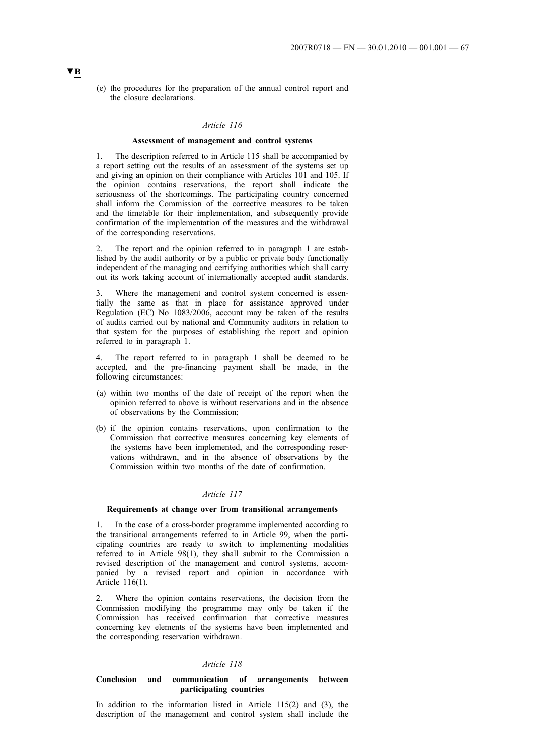(e) the procedures for the preparation of the annual control report and the closure declarations.

### *Article 116*

#### **Assessment of management and control systems**

1. The description referred to in Article 115 shall be accompanied by a report setting out the results of an assessment of the systems set up and giving an opinion on their compliance with Articles 101 and 105. If the opinion contains reservations, the report shall indicate the seriousness of the shortcomings. The participating country concerned shall inform the Commission of the corrective measures to be taken and the timetable for their implementation, and subsequently provide confirmation of the implementation of the measures and the withdrawal of the corresponding reservations.

2. The report and the opinion referred to in paragraph 1 are established by the audit authority or by a public or private body functionally independent of the managing and certifying authorities which shall carry out its work taking account of internationally accepted audit standards.

3. Where the management and control system concerned is essentially the same as that in place for assistance approved under Regulation (EC) No 1083/2006, account may be taken of the results of audits carried out by national and Community auditors in relation to that system for the purposes of establishing the report and opinion referred to in paragraph 1.

4. The report referred to in paragraph 1 shall be deemed to be accepted, and the pre-financing payment shall be made, in the following circumstances:

- (a) within two months of the date of receipt of the report when the opinion referred to above is without reservations and in the absence of observations by the Commission;
- (b) if the opinion contains reservations, upon confirmation to the Commission that corrective measures concerning key elements of the systems have been implemented, and the corresponding reservations withdrawn, and in the absence of observations by the Commission within two months of the date of confirmation.

#### *Article 117*

#### **Requirements at change over from transitional arrangements**

1. In the case of a cross-border programme implemented according to the transitional arrangements referred to in Article 99, when the participating countries are ready to switch to implementing modalities referred to in Article 98(1), they shall submit to the Commission a revised description of the management and control systems, accompanied by a revised report and opinion in accordance with Article 116(1).

Where the opinion contains reservations, the decision from the Commission modifying the programme may only be taken if the Commission has received confirmation that corrective measures concerning key elements of the systems have been implemented and the corresponding reservation withdrawn.

#### *Article 118*

#### **Conclusion and communication of arrangements between participating countries**

In addition to the information listed in Article 115(2) and (3), the description of the management and control system shall include the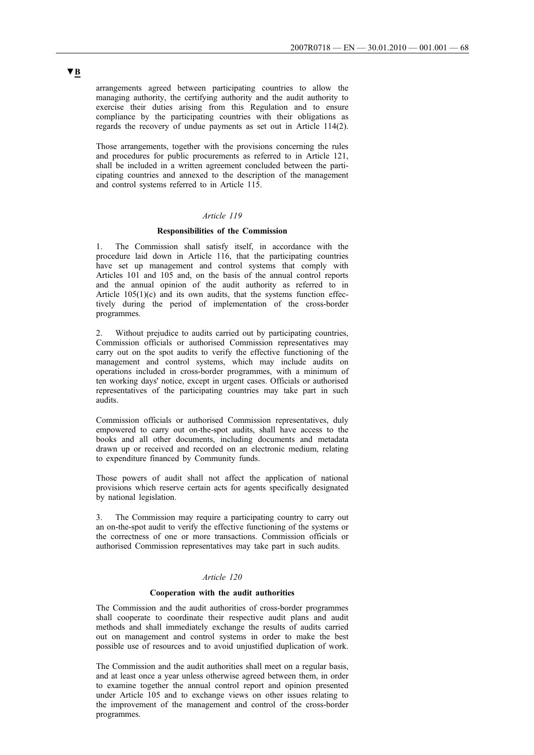arrangements agreed between participating countries to allow the managing authority, the certifying authority and the audit authority to exercise their duties arising from this Regulation and to ensure compliance by the participating countries with their obligations as regards the recovery of undue payments as set out in Article 114(2).

Those arrangements, together with the provisions concerning the rules and procedures for public procurements as referred to in Article 121, shall be included in a written agreement concluded between the participating countries and annexed to the description of the management and control systems referred to in Article 115.

# *Article 119*

#### **Responsibilities of the Commission**

1. The Commission shall satisfy itself, in accordance with the procedure laid down in Article 116, that the participating countries have set up management and control systems that comply with Articles 101 and 105 and, on the basis of the annual control reports and the annual opinion of the audit authority as referred to in Article  $105(1)(c)$  and its own audits, that the systems function effectively during the period of implementation of the cross-border programmes.

2. Without prejudice to audits carried out by participating countries, Commission officials or authorised Commission representatives may carry out on the spot audits to verify the effective functioning of the management and control systems, which may include audits on operations included in cross-border programmes, with a minimum of ten working days' notice, except in urgent cases. Officials or authorised representatives of the participating countries may take part in such audits.

Commission officials or authorised Commission representatives, duly empowered to carry out on-the-spot audits, shall have access to the books and all other documents, including documents and metadata drawn up or received and recorded on an electronic medium, relating to expenditure financed by Community funds.

Those powers of audit shall not affect the application of national provisions which reserve certain acts for agents specifically designated by national legislation.

3. The Commission may require a participating country to carry out an on-the-spot audit to verify the effective functioning of the systems or the correctness of one or more transactions. Commission officials or authorised Commission representatives may take part in such audits.

## *Article 120*

#### **Cooperation with the audit authorities**

The Commission and the audit authorities of cross-border programmes shall cooperate to coordinate their respective audit plans and audit methods and shall immediately exchange the results of audits carried out on management and control systems in order to make the best possible use of resources and to avoid unjustified duplication of work.

The Commission and the audit authorities shall meet on a regular basis, and at least once a year unless otherwise agreed between them, in order to examine together the annual control report and opinion presented under Article 105 and to exchange views on other issues relating to the improvement of the management and control of the cross-border programmes.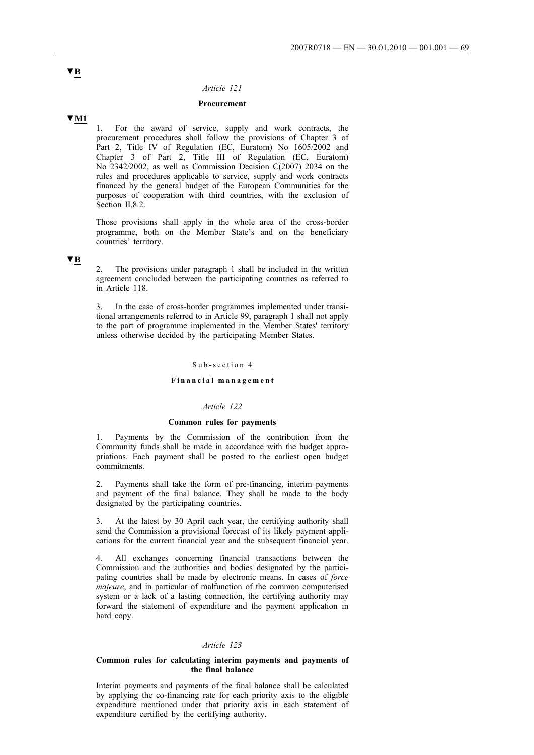### *Article 121*

## **Procurement**

# **▼M1**

1. For the award of service, supply and work contracts, the procurement procedures shall follow the provisions of Chapter 3 of Part 2, Title IV of Regulation (EC, Euratom) No 1605/2002 and Chapter 3 of Part 2, Title III of Regulation (EC, Euratom) No 2342/2002, as well as Commission Decision C(2007) 2034 on the rules and procedures applicable to service, supply and work contracts financed by the general budget of the European Communities for the purposes of cooperation with third countries, with the exclusion of Section II.8.2.

Those provisions shall apply in the whole area of the cross-border programme, both on the Member State's and on the beneficiary countries' territory.

# **▼B**

The provisions under paragraph 1 shall be included in the written agreement concluded between the participating countries as referred to in Article 118.

In the case of cross-border programmes implemented under transitional arrangements referred to in Article 99, paragraph 1 shall not apply to the part of programme implemented in the Member States' territory unless otherwise decided by the participating Member States.

#### Sub-section 4

#### **Financial management**

# *Article 122*

#### **Common rules for payments**

Payments by the Commission of the contribution from the Community funds shall be made in accordance with the budget appropriations. Each payment shall be posted to the earliest open budget commitments.

2. Payments shall take the form of pre-financing, interim payments and payment of the final balance. They shall be made to the body designated by the participating countries.

3. At the latest by 30 April each year, the certifying authority shall send the Commission a provisional forecast of its likely payment applications for the current financial year and the subsequent financial year.

4. All exchanges concerning financial transactions between the Commission and the authorities and bodies designated by the participating countries shall be made by electronic means. In cases of *force majeure*, and in particular of malfunction of the common computerised system or a lack of a lasting connection, the certifying authority may forward the statement of expenditure and the payment application in hard copy.

### *Article 123*

### **Common rules for calculating interim payments and payments of the final balance**

Interim payments and payments of the final balance shall be calculated by applying the co-financing rate for each priority axis to the eligible expenditure mentioned under that priority axis in each statement of expenditure certified by the certifying authority.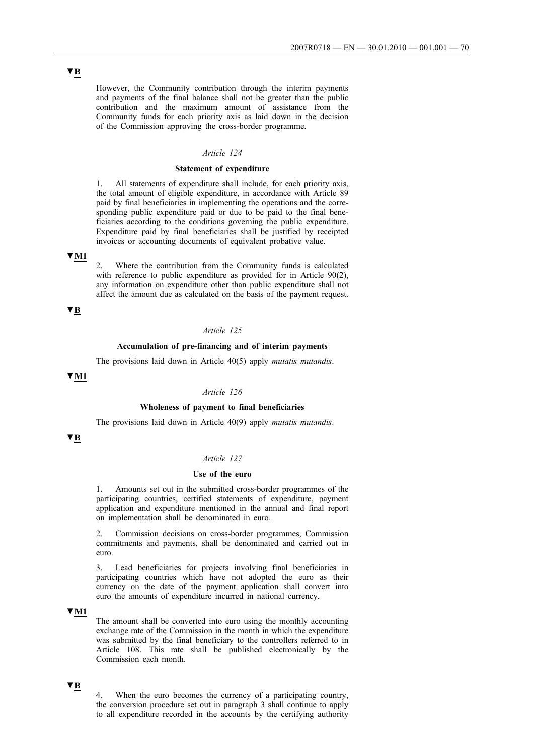However, the Community contribution through the interim payments and payments of the final balance shall not be greater than the public contribution and the maximum amount of assistance from the Community funds for each priority axis as laid down in the decision of the Commission approving the cross-border programme.

## *Article 124*

## **Statement of expenditure**

All statements of expenditure shall include, for each priority axis, the total amount of eligible expenditure, in accordance with Article 89 paid by final beneficiaries in implementing the operations and the corresponding public expenditure paid or due to be paid to the final beneficiaries according to the conditions governing the public expenditure. Expenditure paid by final beneficiaries shall be justified by receipted invoices or accounting documents of equivalent probative value.

# **▼M1**

Where the contribution from the Community funds is calculated with reference to public expenditure as provided for in Article 90(2), any information on expenditure other than public expenditure shall not affect the amount due as calculated on the basis of the payment request.

# **▼B**

# *Article 125*

# **Accumulation of pre-financing and of interim payments**

The provisions laid down in Article 40(5) apply *mutatis mutandis*.

# **▼M1**

### *Article 126*

#### **Wholeness of payment to final beneficiaries**

The provisions laid down in Article 40(9) apply *mutatis mutandis*.

# **▼B**

## *Article 127*

#### **Use of the euro**

1. Amounts set out in the submitted cross-border programmes of the participating countries, certified statements of expenditure, payment application and expenditure mentioned in the annual and final report on implementation shall be denominated in euro.

2. Commission decisions on cross-border programmes, Commission commitments and payments, shall be denominated and carried out in euro.

3. Lead beneficiaries for projects involving final beneficiaries in participating countries which have not adopted the euro as their currency on the date of the payment application shall convert into euro the amounts of expenditure incurred in national currency.

# **▼M1**

The amount shall be converted into euro using the monthly accounting exchange rate of the Commission in the month in which the expenditure was submitted by the final beneficiary to the controllers referred to in Article 108. This rate shall be published electronically by the Commission each month.

# **▼B**

4. When the euro becomes the currency of a participating country, the conversion procedure set out in paragraph 3 shall continue to apply to all expenditure recorded in the accounts by the certifying authority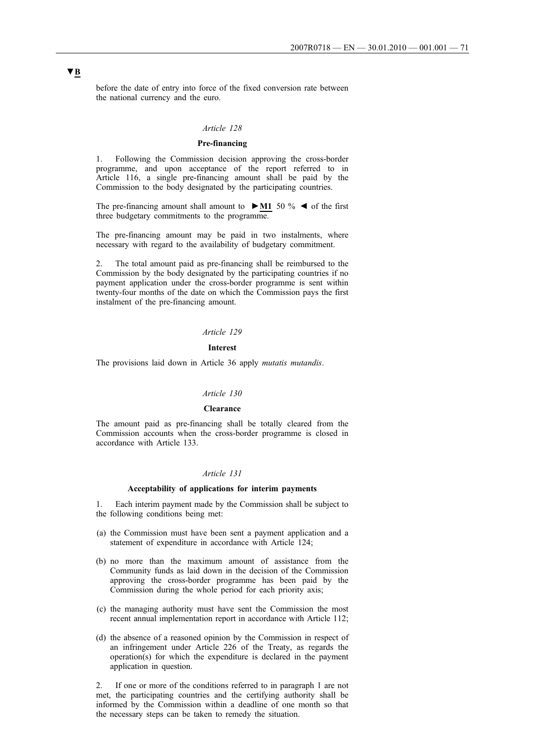before the date of entry into force of the fixed conversion rate between the national currency and the euro.

## *Article 128*

# **Pre-financing**

1. Following the Commission decision approving the cross-border programme, and upon acceptance of the report referred to in Article 116, a single pre-financing amount shall be paid by the Commission to the body designated by the participating countries.

The pre-financing amount shall amount to **►M1** 50 % ◄ of the first three budgetary commitments to the programme.

The pre-financing amount may be paid in two instalments, where necessary with regard to the availability of budgetary commitment.

2. The total amount paid as pre-financing shall be reimbursed to the Commission by the body designated by the participating countries if no payment application under the cross-border programme is sent within twenty-four months of the date on which the Commission pays the first instalment of the pre-financing amount.

# *Article 129*

# **Interest**

The provisions laid down in Article 36 apply *mutatis mutandis*.

#### *Article 130*

#### **Clearance**

The amount paid as pre-financing shall be totally cleared from the Commission accounts when the cross-border programme is closed in accordance with Article 133.

#### *Article 131*

#### **Acceptability of applications for interim payments**

1. Each interim payment made by the Commission shall be subject to the following conditions being met:

- (a) the Commission must have been sent a payment application and a statement of expenditure in accordance with Article 124;
- (b) no more than the maximum amount of assistance from the Community funds as laid down in the decision of the Commission approving the cross-border programme has been paid by the Commission during the whole period for each priority axis;
- (c) the managing authority must have sent the Commission the most recent annual implementation report in accordance with Article 112;
- (d) the absence of a reasoned opinion by the Commission in respect of an infringement under Article 226 of the Treaty, as regards the operation(s) for which the expenditure is declared in the payment application in question.

2. If one or more of the conditions referred to in paragraph 1 are not met, the participating countries and the certifying authority shall be informed by the Commission within a deadline of one month so that the necessary steps can be taken to remedy the situation.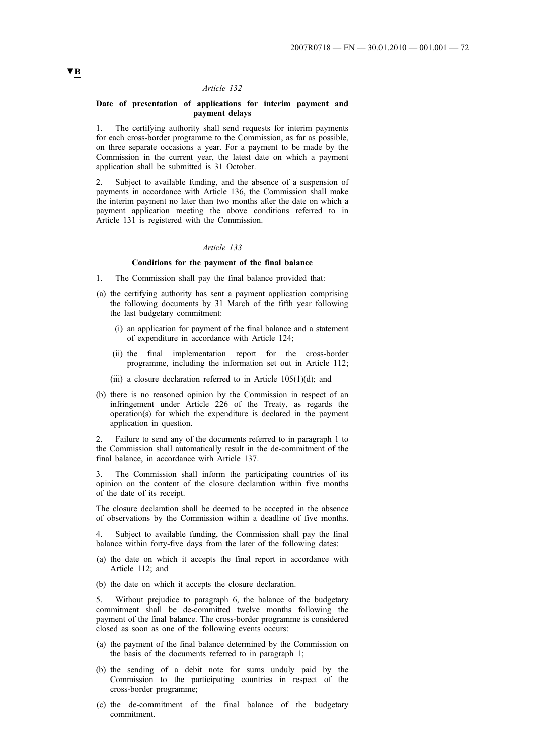#### *Article 132*

## **Date of presentation of applications for interim payment and payment delays**

1. The certifying authority shall send requests for interim payments for each cross-border programme to the Commission, as far as possible, on three separate occasions a year. For a payment to be made by the Commission in the current year, the latest date on which a payment application shall be submitted is 31 October.

2. Subject to available funding, and the absence of a suspension of payments in accordance with Article 136, the Commission shall make the interim payment no later than two months after the date on which a payment application meeting the above conditions referred to in Article 131 is registered with the Commission.

# *Article 133*

#### **Conditions for the payment of the final balance**

- 1. The Commission shall pay the final balance provided that:
- (a) the certifying authority has sent a payment application comprising the following documents by 31 March of the fifth year following the last budgetary commitment:
	- (i) an application for payment of the final balance and a statement of expenditure in accordance with Article 124;
	- (ii) the final implementation report for the cross-border programme, including the information set out in Article 112;
	- (iii) a closure declaration referred to in Article  $105(1)(d)$ ; and
- (b) there is no reasoned opinion by the Commission in respect of an infringement under Article 226 of the Treaty, as regards the operation(s) for which the expenditure is declared in the payment application in question.

2. Failure to send any of the documents referred to in paragraph 1 to the Commission shall automatically result in the de-commitment of the final balance, in accordance with Article 137.

3. The Commission shall inform the participating countries of its opinion on the content of the closure declaration within five months of the date of its receipt.

The closure declaration shall be deemed to be accepted in the absence of observations by the Commission within a deadline of five months.

4. Subject to available funding, the Commission shall pay the final balance within forty-five days from the later of the following dates:

- (a) the date on which it accepts the final report in accordance with Article 112; and
- (b) the date on which it accepts the closure declaration.

5. Without prejudice to paragraph 6, the balance of the budgetary commitment shall be de-committed twelve months following the payment of the final balance. The cross-border programme is considered closed as soon as one of the following events occurs:

- (a) the payment of the final balance determined by the Commission on the basis of the documents referred to in paragraph 1;
- (b) the sending of a debit note for sums unduly paid by the Commission to the participating countries in respect of the cross-border programme;
- (c) the de-commitment of the final balance of the budgetary commitment.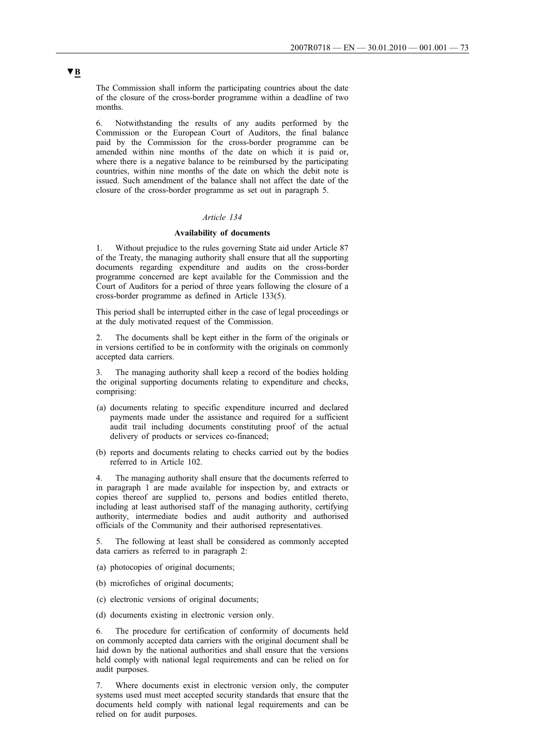The Commission shall inform the participating countries about the date of the closure of the cross-border programme within a deadline of two months.

6. Notwithstanding the results of any audits performed by the Commission or the European Court of Auditors, the final balance paid by the Commission for the cross-border programme can be amended within nine months of the date on which it is paid or, where there is a negative balance to be reimbursed by the participating countries, within nine months of the date on which the debit note is issued. Such amendment of the balance shall not affect the date of the closure of the cross-border programme as set out in paragraph 5.

### *Article 134*

### **Availability of documents**

1. Without prejudice to the rules governing State aid under Article 87 of the Treaty, the managing authority shall ensure that all the supporting documents regarding expenditure and audits on the cross-border programme concerned are kept available for the Commission and the Court of Auditors for a period of three years following the closure of a cross-border programme as defined in Article 133(5).

This period shall be interrupted either in the case of legal proceedings or at the duly motivated request of the Commission.

2. The documents shall be kept either in the form of the originals or in versions certified to be in conformity with the originals on commonly accepted data carriers.

3. The managing authority shall keep a record of the bodies holding the original supporting documents relating to expenditure and checks, comprising:

- (a) documents relating to specific expenditure incurred and declared payments made under the assistance and required for a sufficient audit trail including documents constituting proof of the actual delivery of products or services co-financed;
- (b) reports and documents relating to checks carried out by the bodies referred to in Article 102.

4. The managing authority shall ensure that the documents referred to in paragraph 1 are made available for inspection by, and extracts or copies thereof are supplied to, persons and bodies entitled thereto, including at least authorised staff of the managing authority, certifying authority, intermediate bodies and audit authority and authorised officials of the Community and their authorised representatives.

The following at least shall be considered as commonly accepted data carriers as referred to in paragraph 2:

- (a) photocopies of original documents;
- (b) microfiches of original documents;
- (c) electronic versions of original documents;
- (d) documents existing in electronic version only.

6. The procedure for certification of conformity of documents held on commonly accepted data carriers with the original document shall be laid down by the national authorities and shall ensure that the versions held comply with national legal requirements and can be relied on for audit purposes.

7. Where documents exist in electronic version only, the computer systems used must meet accepted security standards that ensure that the documents held comply with national legal requirements and can be relied on for audit purposes.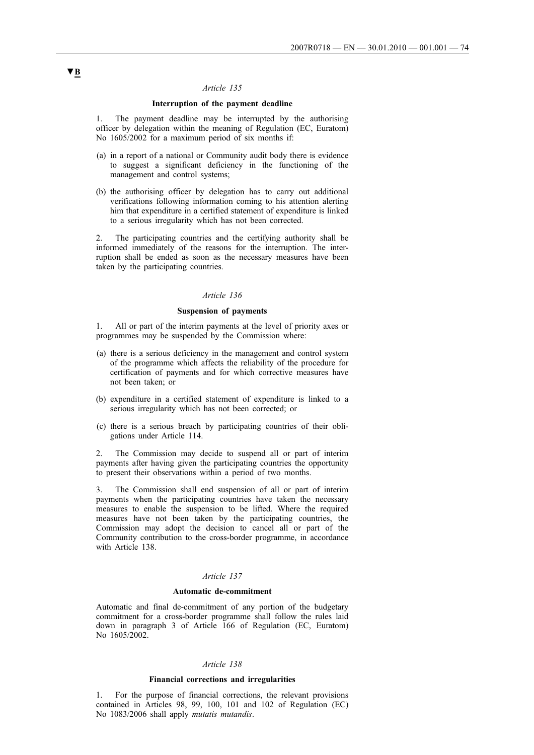### *Article 135*

## **Interruption of the payment deadline**

1. The payment deadline may be interrupted by the authorising officer by delegation within the meaning of Regulation (EC, Euratom) No 1605/2002 for a maximum period of six months if:

- (a) in a report of a national or Community audit body there is evidence to suggest a significant deficiency in the functioning of the management and control systems;
- (b) the authorising officer by delegation has to carry out additional verifications following information coming to his attention alerting him that expenditure in a certified statement of expenditure is linked to a serious irregularity which has not been corrected.

2. The participating countries and the certifying authority shall be informed immediately of the reasons for the interruption. The interruption shall be ended as soon as the necessary measures have been taken by the participating countries.

### *Article 136*

#### **Suspension of payments**

1. All or part of the interim payments at the level of priority axes or programmes may be suspended by the Commission where:

- (a) there is a serious deficiency in the management and control system of the programme which affects the reliability of the procedure for certification of payments and for which corrective measures have not been taken; or
- (b) expenditure in a certified statement of expenditure is linked to a serious irregularity which has not been corrected; or
- (c) there is a serious breach by participating countries of their obligations under Article 114.

2. The Commission may decide to suspend all or part of interim payments after having given the participating countries the opportunity to present their observations within a period of two months.

3. The Commission shall end suspension of all or part of interim payments when the participating countries have taken the necessary measures to enable the suspension to be lifted. Where the required measures have not been taken by the participating countries, the Commission may adopt the decision to cancel all or part of the Community contribution to the cross-border programme, in accordance with Article 138.

### *Article 137*

#### **Automatic de-commitment**

Automatic and final de-commitment of any portion of the budgetary commitment for a cross-border programme shall follow the rules laid down in paragraph 3 of Article 166 of Regulation (EC, Euratom) No 1605/2002.

#### *Article 138*

### **Financial corrections and irregularities**

1. For the purpose of financial corrections, the relevant provisions contained in Articles 98, 99, 100, 101 and 102 of Regulation (EC) No 1083/2006 shall apply *mutatis mutandis*.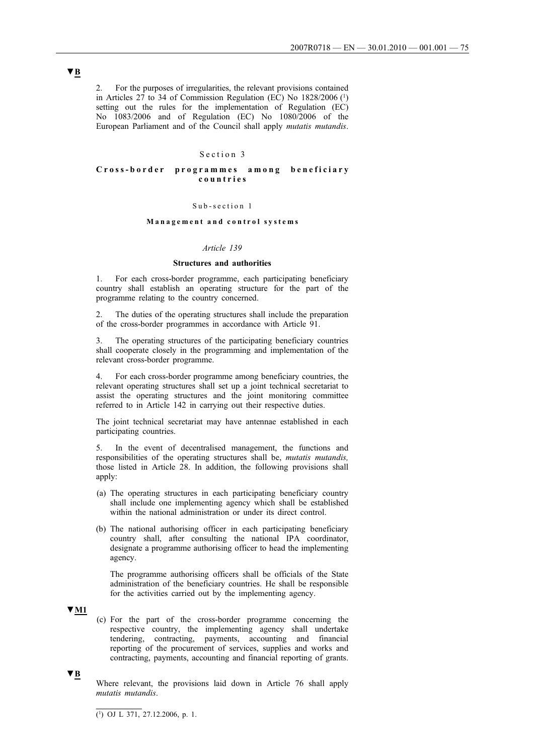2. For the purposes of irregularities, the relevant provisions contained in Articles 27 to 34 of Commission Regulation (EC) No  $1828/2006$  (<sup>1</sup>) setting out the rules for the implementation of Regulation (EC) No 1083/2006 and of Regulation (EC) No 1080/2006 of the European Parliament and of the Council shall apply *mutatis mutandis*.

## Section 3

## **Cross-border programmes among beneficiary countries**

#### Sub-section 1

## **Management and control systems**

### *Article 139*

### **Structures and authorities**

1. For each cross-border programme, each participating beneficiary country shall establish an operating structure for the part of the programme relating to the country concerned.

2. The duties of the operating structures shall include the preparation of the cross-border programmes in accordance with Article 91.

3. The operating structures of the participating beneficiary countries shall cooperate closely in the programming and implementation of the relevant cross-border programme.

4. For each cross-border programme among beneficiary countries, the relevant operating structures shall set up a joint technical secretariat to assist the operating structures and the joint monitoring committee referred to in Article 142 in carrying out their respective duties.

The joint technical secretariat may have antennae established in each participating countries.

5. In the event of decentralised management, the functions and responsibilities of the operating structures shall be, *mutatis mutandis,* those listed in Article 28. In addition, the following provisions shall apply:

- (a) The operating structures in each participating beneficiary country shall include one implementing agency which shall be established within the national administration or under its direct control.
- (b) The national authorising officer in each participating beneficiary country shall, after consulting the national IPA coordinator, designate a programme authorising officer to head the implementing agency.

The programme authorising officers shall be officials of the State administration of the beneficiary countries. He shall be responsible for the activities carried out by the implementing agency.

**▼M1**

(c) For the part of the cross-border programme concerning the respective country, the implementing agency shall undertake tendering, contracting, payments, accounting and financial reporting of the procurement of services, supplies and works and contracting, payments, accounting and financial reporting of grants.

**▼B**

Where relevant, the provisions laid down in Article 76 shall apply *mutatis mutandis*.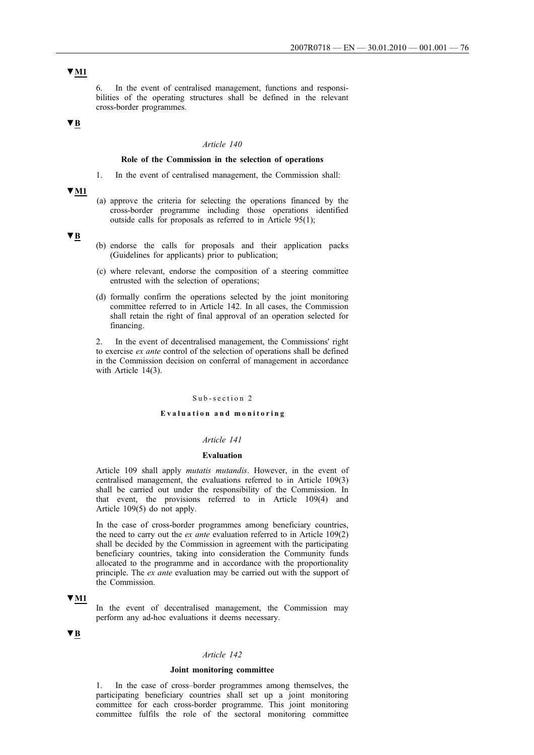6. In the event of centralised management, functions and responsibilities of the operating structures shall be defined in the relevant cross-border programmes.

# **▼B**

## *Article 140*

## **Role of the Commission in the selection of operations**

1. In the event of centralised management, the Commission shall:

**▼M1**

(a) approve the criteria for selecting the operations financed by the cross-border programme including those operations identified outside calls for proposals as referred to in Article 95(1);

**▼B**

- (b) endorse the calls for proposals and their application packs (Guidelines for applicants) prior to publication;
- (c) where relevant, endorse the composition of a steering committee entrusted with the selection of operations;
- (d) formally confirm the operations selected by the joint monitoring committee referred to in Article 142. In all cases, the Commission shall retain the right of final approval of an operation selected for financing.

2. In the event of decentralised management, the Commissions' right to exercise *ex ante* control of the selection of operations shall be defined in the Commission decision on conferral of management in accordance with Article 14(3).

### Sub-section 2

### **Evaluation and monitoring**

#### *Article 141*

## **Evaluation**

Article 109 shall apply *mutatis mutandis*. However, in the event of centralised management, the evaluations referred to in Article 109(3) shall be carried out under the responsibility of the Commission. In that event, the provisions referred to in Article 109(4) and Article 109(5) do not apply.

In the case of cross-border programmes among beneficiary countries, the need to carry out the *ex ante* evaluation referred to in Article 109(2) shall be decided by the Commission in agreement with the participating beneficiary countries, taking into consideration the Community funds allocated to the programme and in accordance with the proportionality principle. The *ex ante* evaluation may be carried out with the support of the Commission.

### **▼M1**

In the event of decentralised management, the Commission may perform any ad-hoc evaluations it deems necessary.

## **▼B**

## *Article 142*

### **Joint monitoring committee**

1. In the case of cross–border programmes among themselves, the participating beneficiary countries shall set up a joint monitoring committee for each cross-border programme. This joint monitoring committee fulfils the role of the sectoral monitoring committee

# **▼M1**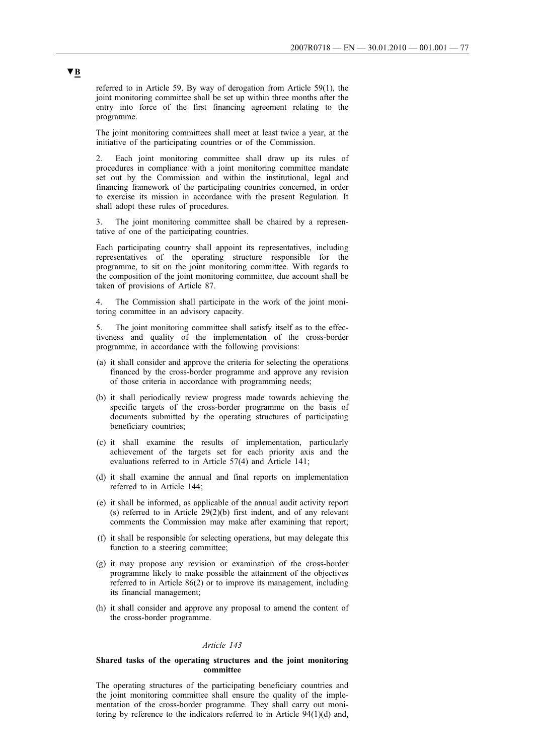referred to in Article 59. By way of derogation from Article 59(1), the joint monitoring committee shall be set up within three months after the entry into force of the first financing agreement relating to the programme.

The joint monitoring committees shall meet at least twice a year, at the initiative of the participating countries or of the Commission.

Each joint monitoring committee shall draw up its rules of procedures in compliance with a joint monitoring committee mandate set out by the Commission and within the institutional, legal and financing framework of the participating countries concerned, in order to exercise its mission in accordance with the present Regulation. It shall adopt these rules of procedures.

3. The joint monitoring committee shall be chaired by a representative of one of the participating countries.

Each participating country shall appoint its representatives, including representatives of the operating structure responsible for the programme, to sit on the joint monitoring committee. With regards to the composition of the joint monitoring committee, due account shall be taken of provisions of Article 87.

4. The Commission shall participate in the work of the joint monitoring committee in an advisory capacity.

5. The joint monitoring committee shall satisfy itself as to the effectiveness and quality of the implementation of the cross-border programme, in accordance with the following provisions:

- (a) it shall consider and approve the criteria for selecting the operations financed by the cross-border programme and approve any revision of those criteria in accordance with programming needs;
- (b) it shall periodically review progress made towards achieving the specific targets of the cross-border programme on the basis of documents submitted by the operating structures of participating beneficiary countries;
- (c) it shall examine the results of implementation, particularly achievement of the targets set for each priority axis and the evaluations referred to in Article 57(4) and Article 141;
- (d) it shall examine the annual and final reports on implementation referred to in Article 144;
- (e) it shall be informed, as applicable of the annual audit activity report (s) referred to in Article 29(2)(b) first indent, and of any relevant comments the Commission may make after examining that report;
- (f) it shall be responsible for selecting operations, but may delegate this function to a steering committee;
- (g) it may propose any revision or examination of the cross-border programme likely to make possible the attainment of the objectives referred to in Article 86(2) or to improve its management, including its financial management;
- (h) it shall consider and approve any proposal to amend the content of the cross-border programme.

### *Article 143*

### **Shared tasks of the operating structures and the joint monitoring committee**

The operating structures of the participating beneficiary countries and the joint monitoring committee shall ensure the quality of the implementation of the cross-border programme. They shall carry out monitoring by reference to the indicators referred to in Article 94(1)(d) and,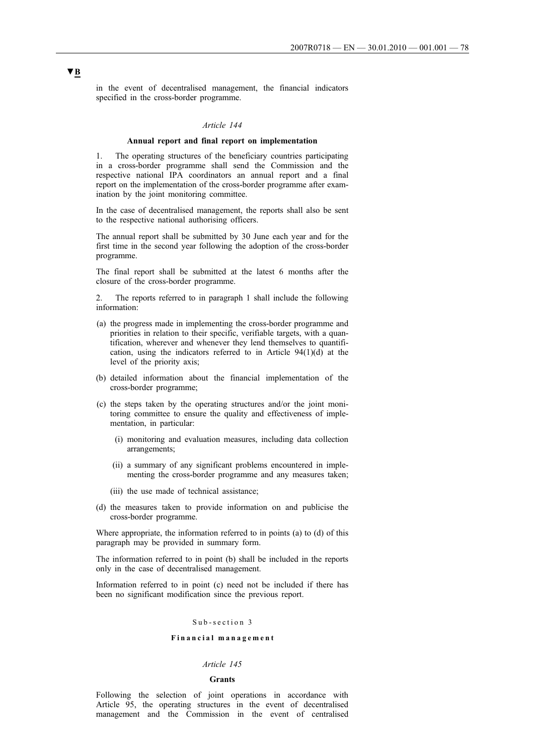in the event of decentralised management, the financial indicators specified in the cross-border programme.

## *Article 144*

#### **Annual report and final report on implementation**

1. The operating structures of the beneficiary countries participating in a cross-border programme shall send the Commission and the respective national IPA coordinators an annual report and a final report on the implementation of the cross-border programme after examination by the joint monitoring committee.

In the case of decentralised management, the reports shall also be sent to the respective national authorising officers.

The annual report shall be submitted by 30 June each year and for the first time in the second year following the adoption of the cross-border programme.

The final report shall be submitted at the latest 6 months after the closure of the cross-border programme.

2. The reports referred to in paragraph 1 shall include the following information:

- (a) the progress made in implementing the cross-border programme and priorities in relation to their specific, verifiable targets, with a quantification, wherever and whenever they lend themselves to quantification, using the indicators referred to in Article 94(1)(d) at the level of the priority axis;
- (b) detailed information about the financial implementation of the cross-border programme;
- (c) the steps taken by the operating structures and/or the joint monitoring committee to ensure the quality and effectiveness of implementation, in particular:
	- (i) monitoring and evaluation measures, including data collection arrangements;
	- (ii) a summary of any significant problems encountered in implementing the cross-border programme and any measures taken;
	- (iii) the use made of technical assistance;
- (d) the measures taken to provide information on and publicise the cross-border programme.

Where appropriate, the information referred to in points (a) to (d) of this paragraph may be provided in summary form.

The information referred to in point (b) shall be included in the reports only in the case of decentralised management.

Information referred to in point (c) need not be included if there has been no significant modification since the previous report.

#### Sub-section 3

### **Financial management**

## *Article 145*

#### **Grants**

Following the selection of joint operations in accordance with Article 95, the operating structures in the event of decentralised management and the Commission in the event of centralised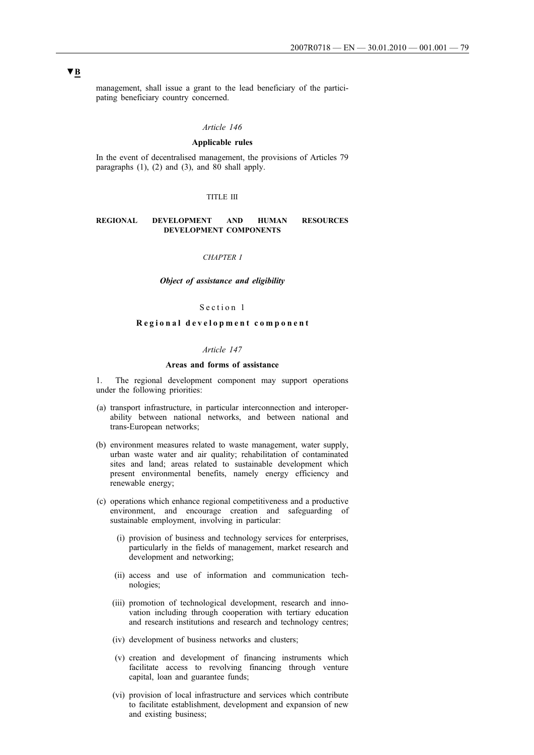management, shall issue a grant to the lead beneficiary of the participating beneficiary country concerned.

## *Article 146*

## **Applicable rules**

In the event of decentralised management, the provisions of Articles 79 paragraphs (1), (2) and (3), and 80 shall apply.

### TITLE III

## **REGIONAL DEVELOPMENT AND HUMAN RESOURCES DEVELOPMENT COMPONENTS**

### *CHAPTER I*

### *Object of assistance and eligibility*

### Section 1

## **Regional development component**

### *Article 147*

### **Areas and forms of assistance**

1. The regional development component may support operations under the following priorities:

- (a) transport infrastructure, in particular interconnection and interoperability between national networks, and between national and trans-European networks;
- (b) environment measures related to waste management, water supply, urban waste water and air quality; rehabilitation of contaminated sites and land; areas related to sustainable development which present environmental benefits, namely energy efficiency and renewable energy;
- (c) operations which enhance regional competitiveness and a productive environment, and encourage creation and safeguarding of sustainable employment, involving in particular:
	- (i) provision of business and technology services for enterprises, particularly in the fields of management, market research and development and networking;
	- (ii) access and use of information and communication technologies;
	- (iii) promotion of technological development, research and innovation including through cooperation with tertiary education and research institutions and research and technology centres;
	- (iv) development of business networks and clusters;
	- (v) creation and development of financing instruments which facilitate access to revolving financing through venture capital, loan and guarantee funds;
	- (vi) provision of local infrastructure and services which contribute to facilitate establishment, development and expansion of new and existing business;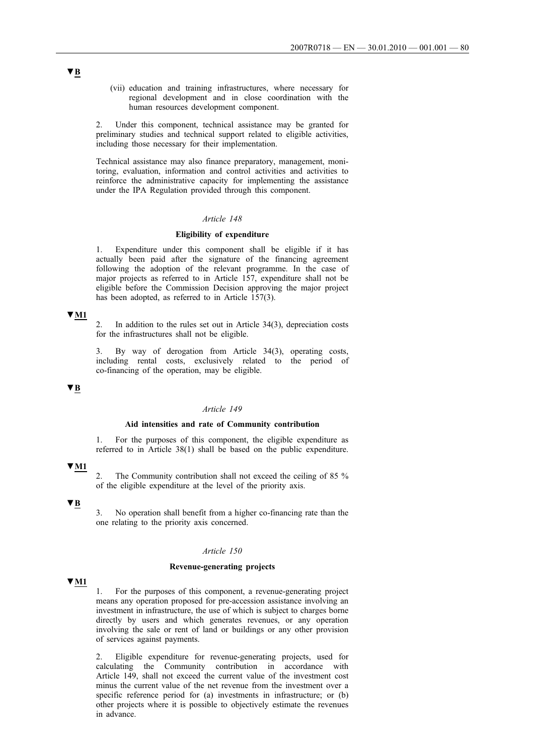(vii) education and training infrastructures, where necessary for regional development and in close coordination with the human resources development component.

2. Under this component, technical assistance may be granted for preliminary studies and technical support related to eligible activities, including those necessary for their implementation.

Technical assistance may also finance preparatory, management, monitoring, evaluation, information and control activities and activities to reinforce the administrative capacity for implementing the assistance under the IPA Regulation provided through this component.

### *Article 148*

## **Eligibility of expenditure**

1. Expenditure under this component shall be eligible if it has actually been paid after the signature of the financing agreement following the adoption of the relevant programme. In the case of major projects as referred to in Article 157, expenditure shall not be eligible before the Commission Decision approving the major project has been adopted, as referred to in Article 157(3).

## **▼M1**

In addition to the rules set out in Article  $34(3)$ , depreciation costs for the infrastructures shall not be eligible.

By way of derogation from Article 34(3), operating costs, including rental costs, exclusively related to the period of co-financing of the operation, may be eligible.

### **▼B**

## *Article 149*

### **Aid intensities and rate of Community contribution**

1. For the purposes of this component, the eligible expenditure as referred to in Article 38(1) shall be based on the public expenditure.

## **▼M1**

2. The Community contribution shall not exceed the ceiling of 85 % of the eligible expenditure at the level of the priority axis.

# **▼B**

3. No operation shall benefit from a higher co-financing rate than the one relating to the priority axis concerned.

#### *Article 150*

### **Revenue-generating projects**

## **▼M1**

1. For the purposes of this component, a revenue-generating project means any operation proposed for pre-accession assistance involving an investment in infrastructure, the use of which is subject to charges borne directly by users and which generates revenues, or any operation involving the sale or rent of land or buildings or any other provision of services against payments.

2. Eligible expenditure for revenue-generating projects, used for calculating the Community contribution in accordance with Article 149, shall not exceed the current value of the investment cost minus the current value of the net revenue from the investment over a specific reference period for (a) investments in infrastructure; or (b) other projects where it is possible to objectively estimate the revenues in advance.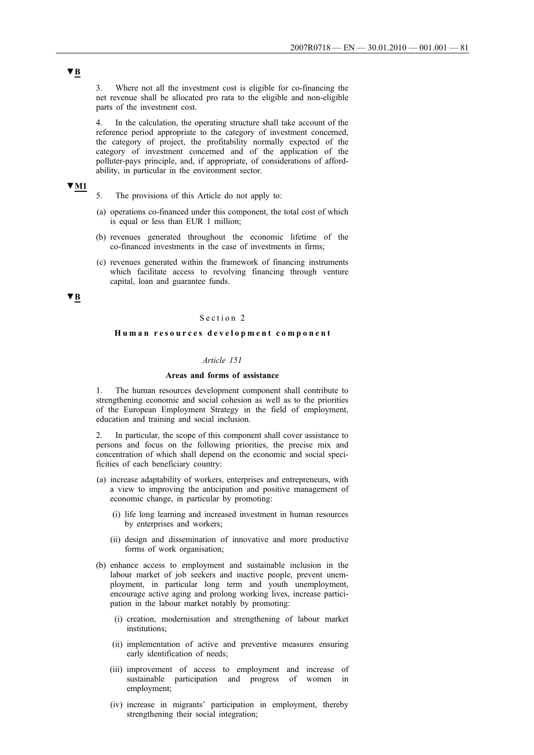3. Where not all the investment cost is eligible for co-financing the net revenue shall be allocated pro rata to the eligible and non-eligible parts of the investment cost.

4. In the calculation, the operating structure shall take account of the reference period appropriate to the category of investment concerned, the category of project, the profitability normally expected of the category of investment concerned and of the application of the polluter-pays principle, and, if appropriate, of considerations of affordability, in particular in the environment sector.

# **▼M1**

- 5. The provisions of this Article do not apply to:
- (a) operations co-financed under this component, the total cost of which is equal or less than EUR 1 million;
- (b) revenues generated throughout the economic lifetime of the co-financed investments in the case of investments in firms;
- (c) revenues generated within the framework of financing instruments which facilitate access to revolving financing through venture capital, loan and guarantee funds.

## **▼B**

## Section 2

### **Human resources development component**

## *Article 151*

### **Areas and forms of assistance**

1. The human resources development component shall contribute to strengthening economic and social cohesion as well as to the priorities of the European Employment Strategy in the field of employment, education and training and social inclusion.

2. In particular, the scope of this component shall cover assistance to persons and focus on the following priorities, the precise mix and concentration of which shall depend on the economic and social specificities of each beneficiary country:

- (a) increase adaptability of workers, enterprises and entrepreneurs, with a view to improving the anticipation and positive management of economic change, in particular by promoting:
	- (i) life long learning and increased investment in human resources by enterprises and workers;
	- (ii) design and dissemination of innovative and more productive forms of work organisation;
- (b) enhance access to employment and sustainable inclusion in the labour market of job seekers and inactive people, prevent unemployment, in particular long term and youth unemployment, encourage active aging and prolong working lives, increase participation in the labour market notably by promoting:
	- (i) creation, modernisation and strengthening of labour market institutions;
	- (ii) implementation of active and preventive measures ensuring early identification of needs;
	- (iii) improvement of access to employment and increase of sustainable participation and progress of women in employment;
	- (iv) increase in migrants' participation in employment, thereby strengthening their social integration;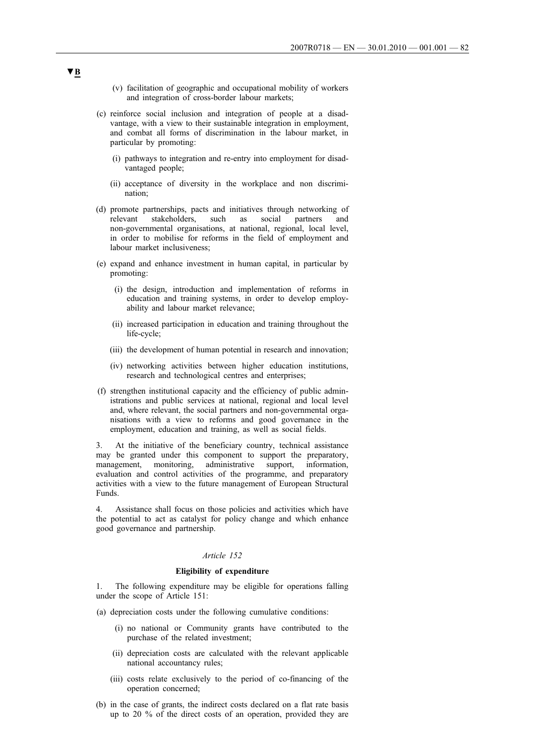- (v) facilitation of geographic and occupational mobility of workers and integration of cross-border labour markets;
- (c) reinforce social inclusion and integration of people at a disadvantage, with a view to their sustainable integration in employment, and combat all forms of discrimination in the labour market, in particular by promoting:
	- (i) pathways to integration and re-entry into employment for disadvantaged people;
	- (ii) acceptance of diversity in the workplace and non discrimination;
- (d) promote partnerships, pacts and initiatives through networking of relevant stakeholders, such as social partners and non-governmental organisations, at national, regional, local level, in order to mobilise for reforms in the field of employment and labour market inclusiveness;
- (e) expand and enhance investment in human capital, in particular by promoting:
	- (i) the design, introduction and implementation of reforms in education and training systems, in order to develop employability and labour market relevance;
	- (ii) increased participation in education and training throughout the life-cycle;
	- (iii) the development of human potential in research and innovation;
	- (iv) networking activities between higher education institutions, research and technological centres and enterprises;
- (f) strengthen institutional capacity and the efficiency of public administrations and public services at national, regional and local level and, where relevant, the social partners and non-governmental organisations with a view to reforms and good governance in the employment, education and training, as well as social fields.

3. At the initiative of the beneficiary country, technical assistance may be granted under this component to support the preparatory, management, monitoring, administrative support, information, evaluation and control activities of the programme, and preparatory activities with a view to the future management of European Structural Funds.

4. Assistance shall focus on those policies and activities which have the potential to act as catalyst for policy change and which enhance good governance and partnership.

### *Article 152*

### **Eligibility of expenditure**

The following expenditure may be eligible for operations falling under the scope of Article 151:

- (a) depreciation costs under the following cumulative conditions:
	- (i) no national or Community grants have contributed to the purchase of the related investment;
	- (ii) depreciation costs are calculated with the relevant applicable national accountancy rules;
	- (iii) costs relate exclusively to the period of co-financing of the operation concerned;
- (b) in the case of grants, the indirect costs declared on a flat rate basis up to 20 % of the direct costs of an operation, provided they are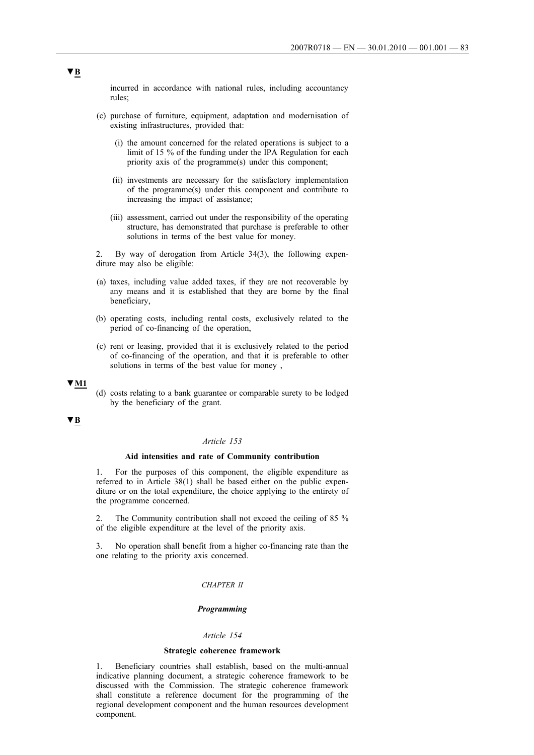incurred in accordance with national rules, including accountancy rules;

- (c) purchase of furniture, equipment, adaptation and modernisation of existing infrastructures, provided that:
	- (i) the amount concerned for the related operations is subject to a limit of 15 % of the funding under the IPA Regulation for each priority axis of the programme(s) under this component;
	- (ii) investments are necessary for the satisfactory implementation of the programme(s) under this component and contribute to increasing the impact of assistance;
	- (iii) assessment, carried out under the responsibility of the operating structure, has demonstrated that purchase is preferable to other solutions in terms of the best value for money.

2. By way of derogation from Article 34(3), the following expenditure may also be eligible:

- (a) taxes, including value added taxes, if they are not recoverable by any means and it is established that they are borne by the final beneficiary,
- (b) operating costs, including rental costs, exclusively related to the period of co-financing of the operation,
- (c) rent or leasing, provided that it is exclusively related to the period of co-financing of the operation, and that it is preferable to other solutions in terms of the best value for money ,

## **▼M1**

(d) costs relating to a bank guarantee or comparable surety to be lodged by the beneficiary of the grant.

## **▼B**

## *Article 153*

## **Aid intensities and rate of Community contribution**

1. For the purposes of this component, the eligible expenditure as referred to in Article 38(1) shall be based either on the public expenditure or on the total expenditure, the choice applying to the entirety of the programme concerned.

2. The Community contribution shall not exceed the ceiling of 85 % of the eligible expenditure at the level of the priority axis.

3. No operation shall benefit from a higher co-financing rate than the one relating to the priority axis concerned.

## *CHAPTER II*

### *Programming*

#### *Article 154*

### **Strategic coherence framework**

1. Beneficiary countries shall establish, based on the multi-annual indicative planning document, a strategic coherence framework to be discussed with the Commission. The strategic coherence framework shall constitute a reference document for the programming of the regional development component and the human resources development component.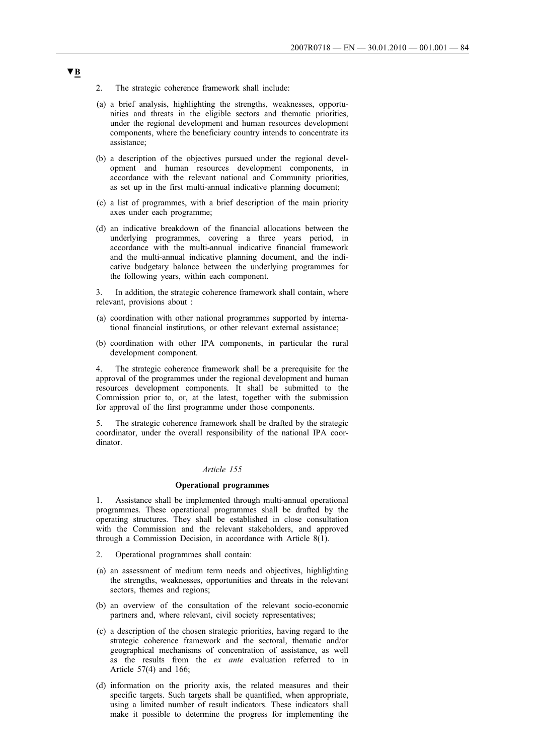- 2. The strategic coherence framework shall include:
- (a) a brief analysis, highlighting the strengths, weaknesses, opportunities and threats in the eligible sectors and thematic priorities, under the regional development and human resources development components, where the beneficiary country intends to concentrate its assistance;
- (b) a description of the objectives pursued under the regional development and human resources development components, in accordance with the relevant national and Community priorities, as set up in the first multi-annual indicative planning document;
- (c) a list of programmes, with a brief description of the main priority axes under each programme;
- (d) an indicative breakdown of the financial allocations between the underlying programmes, covering a three years period, in accordance with the multi-annual indicative financial framework and the multi-annual indicative planning document, and the indicative budgetary balance between the underlying programmes for the following years, within each component.

3. In addition, the strategic coherence framework shall contain, where relevant, provisions about :

- (a) coordination with other national programmes supported by international financial institutions, or other relevant external assistance;
- (b) coordination with other IPA components, in particular the rural development component.

4. The strategic coherence framework shall be a prerequisite for the approval of the programmes under the regional development and human resources development components. It shall be submitted to the Commission prior to, or, at the latest, together with the submission for approval of the first programme under those components.

5. The strategic coherence framework shall be drafted by the strategic coordinator, under the overall responsibility of the national IPA coordinator.

## *Article 155*

### **Operational programmes**

1. Assistance shall be implemented through multi-annual operational programmes. These operational programmes shall be drafted by the operating structures. They shall be established in close consultation with the Commission and the relevant stakeholders, and approved through a Commission Decision, in accordance with Article  $8(1)$ .

- 2. Operational programmes shall contain:
- (a) an assessment of medium term needs and objectives, highlighting the strengths, weaknesses, opportunities and threats in the relevant sectors, themes and regions;
- (b) an overview of the consultation of the relevant socio-economic partners and, where relevant, civil society representatives;
- (c) a description of the chosen strategic priorities, having regard to the strategic coherence framework and the sectoral, thematic and/or geographical mechanisms of concentration of assistance, as well as the results from the *ex ante* evaluation referred to in Article 57(4) and 166;
- (d) information on the priority axis, the related measures and their specific targets. Such targets shall be quantified, when appropriate, using a limited number of result indicators. These indicators shall make it possible to determine the progress for implementing the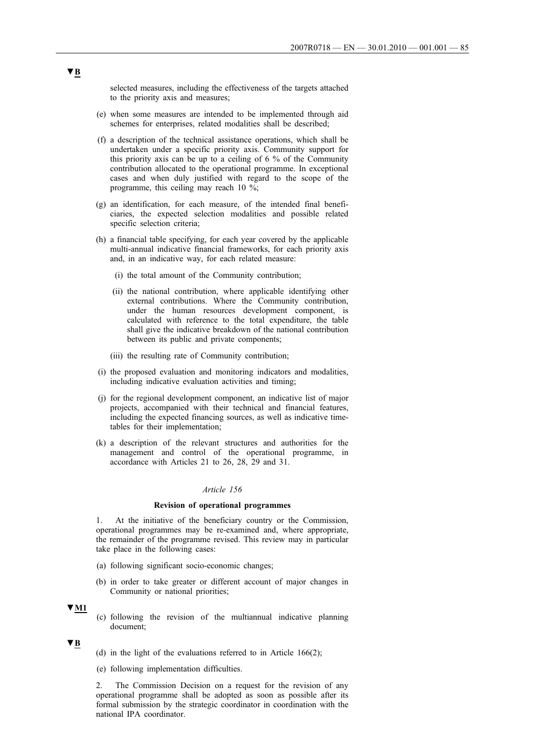selected measures, including the effectiveness of the targets attached to the priority axis and measures;

- (e) when some measures are intended to be implemented through aid schemes for enterprises, related modalities shall be described;
- (f) a description of the technical assistance operations, which shall be undertaken under a specific priority axis. Community support for this priority axis can be up to a ceiling of 6 % of the Community contribution allocated to the operational programme. In exceptional cases and when duly justified with regard to the scope of the programme, this ceiling may reach 10 %;
- (g) an identification, for each measure, of the intended final beneficiaries, the expected selection modalities and possible related specific selection criteria;
- (h) a financial table specifying, for each year covered by the applicable multi-annual indicative financial frameworks, for each priority axis and, in an indicative way, for each related measure:
	- (i) the total amount of the Community contribution;
	- (ii) the national contribution, where applicable identifying other external contributions. Where the Community contribution, under the human resources development component, is calculated with reference to the total expenditure, the table shall give the indicative breakdown of the national contribution between its public and private components;
	- (iii) the resulting rate of Community contribution;
- (i) the proposed evaluation and monitoring indicators and modalities, including indicative evaluation activities and timing;
- (j) for the regional development component, an indicative list of major projects, accompanied with their technical and financial features, including the expected financing sources, as well as indicative timetables for their implementation;
- (k) a description of the relevant structures and authorities for the management and control of the operational programme, in accordance with Articles 21 to 26, 28, 29 and 31.

### *Article 156*

### **Revision of operational programmes**

1. At the initiative of the beneficiary country or the Commission, operational programmes may be re-examined and, where appropriate, the remainder of the programme revised. This review may in particular take place in the following cases:

- (a) following significant socio-economic changes;
- (b) in order to take greater or different account of major changes in Community or national priorities;

## **▼M1**

(c) following the revision of the multiannual indicative planning document;

### **▼B**

- (d) in the light of the evaluations referred to in Article 166(2);
- (e) following implementation difficulties.

2. The Commission Decision on a request for the revision of any operational programme shall be adopted as soon as possible after its formal submission by the strategic coordinator in coordination with the national IPA coordinator.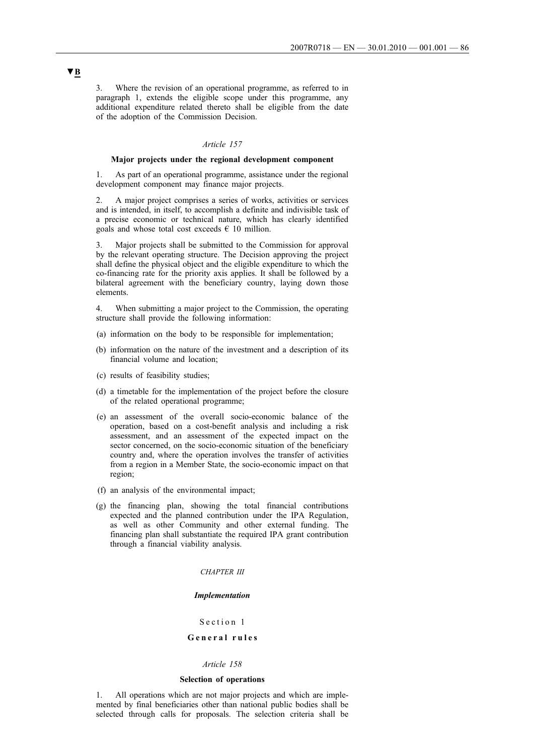3. Where the revision of an operational programme, as referred to in paragraph 1, extends the eligible scope under this programme, any additional expenditure related thereto shall be eligible from the date of the adoption of the Commission Decision.

## *Article 157*

## **Major projects under the regional development component**

1. As part of an operational programme, assistance under the regional development component may finance major projects.

2. A major project comprises a series of works, activities or services and is intended, in itself, to accomplish a definite and indivisible task of a precise economic or technical nature, which has clearly identified goals and whose total cost exceeds  $\epsilon$  10 million.

3. Major projects shall be submitted to the Commission for approval by the relevant operating structure. The Decision approving the project shall define the physical object and the eligible expenditure to which the co-financing rate for the priority axis applies. It shall be followed by a bilateral agreement with the beneficiary country, laying down those elements.

4. When submitting a major project to the Commission, the operating structure shall provide the following information:

- (a) information on the body to be responsible for implementation;
- (b) information on the nature of the investment and a description of its financial volume and location;
- (c) results of feasibility studies;
- (d) a timetable for the implementation of the project before the closure of the related operational programme;
- (e) an assessment of the overall socio-economic balance of the operation, based on a cost-benefit analysis and including a risk assessment, and an assessment of the expected impact on the sector concerned, on the socio-economic situation of the beneficiary country and, where the operation involves the transfer of activities from a region in a Member State, the socio-economic impact on that region;
- (f) an analysis of the environmental impact;
- (g) the financing plan, showing the total financial contributions expected and the planned contribution under the IPA Regulation, as well as other Community and other external funding. The financing plan shall substantiate the required IPA grant contribution through a financial viability analysis.

#### *CHAPTER III*

#### *Implementation*

## Section 1

## **General rules**

### *Article 158*

### **Selection of operations**

1. All operations which are not major projects and which are implemented by final beneficiaries other than national public bodies shall be selected through calls for proposals. The selection criteria shall be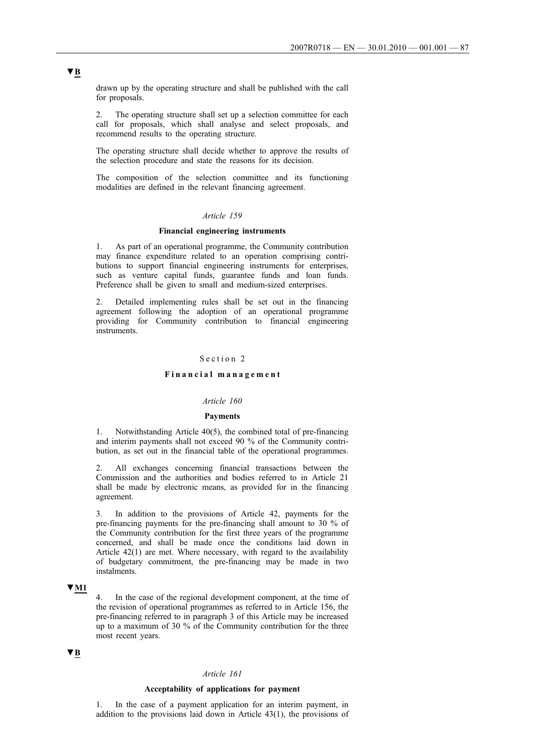drawn up by the operating structure and shall be published with the call for proposals.

2. The operating structure shall set up a selection committee for each call for proposals, which shall analyse and select proposals, and recommend results to the operating structure.

The operating structure shall decide whether to approve the results of the selection procedure and state the reasons for its decision.

The composition of the selection committee and its functioning modalities are defined in the relevant financing agreement.

## *Article 159*

## **Financial engineering instruments**

1. As part of an operational programme, the Community contribution may finance expenditure related to an operation comprising contributions to support financial engineering instruments for enterprises, such as venture capital funds, guarantee funds and loan funds. Preference shall be given to small and medium-sized enterprises.

2. Detailed implementing rules shall be set out in the financing agreement following the adoption of an operational programme providing for Community contribution to financial engineering instruments.

## Section 2

#### **Financial management**

## *Article 160*

### **Payments**

1. Notwithstanding Article 40(5), the combined total of pre-financing and interim payments shall not exceed 90 % of the Community contribution, as set out in the financial table of the operational programmes.

All exchanges concerning financial transactions between the Commission and the authorities and bodies referred to in Article 21 shall be made by electronic means, as provided for in the financing agreement.

3. In addition to the provisions of Article 42, payments for the pre-financing payments for the pre-financing shall amount to 30 % of the Community contribution for the first three years of the programme concerned, and shall be made once the conditions laid down in Article 42(1) are met. Where necessary, with regard to the availability of budgetary commitment, the pre-financing may be made in two instalments.

## **▼M1**

4. In the case of the regional development component, at the time of the revision of operational programmes as referred to in Article 156, the pre-financing referred to in paragraph 3 of this Article may be increased up to a maximum of 30 % of the Community contribution for the three most recent years.

# **▼B**

### *Article 161*

### **Acceptability of applications for payment**

1. In the case of a payment application for an interim payment, in addition to the provisions laid down in Article 43(1), the provisions of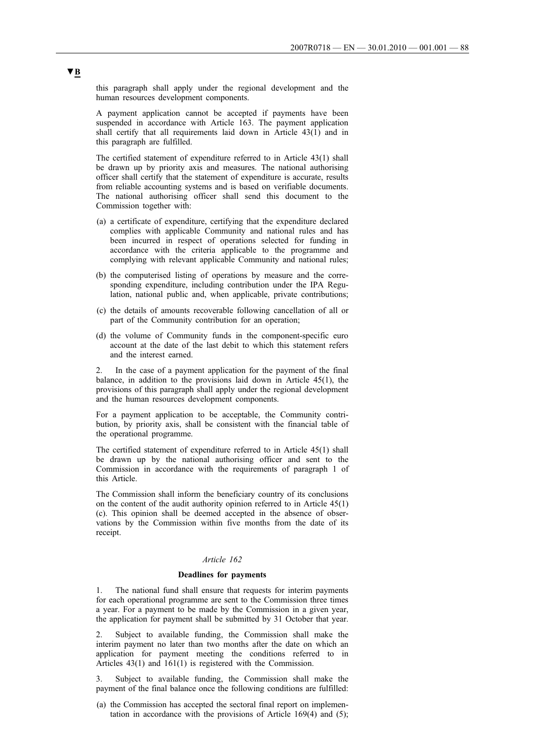this paragraph shall apply under the regional development and the human resources development components.

A payment application cannot be accepted if payments have been suspended in accordance with Article 163. The payment application shall certify that all requirements laid down in Article 43(1) and in this paragraph are fulfilled.

The certified statement of expenditure referred to in Article 43(1) shall be drawn up by priority axis and measures. The national authorising officer shall certify that the statement of expenditure is accurate, results from reliable accounting systems and is based on verifiable documents. The national authorising officer shall send this document to the Commission together with:

- (a) a certificate of expenditure, certifying that the expenditure declared complies with applicable Community and national rules and has been incurred in respect of operations selected for funding in accordance with the criteria applicable to the programme and complying with relevant applicable Community and national rules;
- (b) the computerised listing of operations by measure and the corresponding expenditure, including contribution under the IPA Regulation, national public and, when applicable, private contributions;
- (c) the details of amounts recoverable following cancellation of all or part of the Community contribution for an operation;
- (d) the volume of Community funds in the component-specific euro account at the date of the last debit to which this statement refers and the interest earned.

2. In the case of a payment application for the payment of the final balance, in addition to the provisions laid down in Article 45(1), the provisions of this paragraph shall apply under the regional development and the human resources development components.

For a payment application to be acceptable, the Community contribution, by priority axis, shall be consistent with the financial table of the operational programme.

The certified statement of expenditure referred to in Article 45(1) shall be drawn up by the national authorising officer and sent to the Commission in accordance with the requirements of paragraph 1 of this Article.

The Commission shall inform the beneficiary country of its conclusions on the content of the audit authority opinion referred to in Article 45(1) (c). This opinion shall be deemed accepted in the absence of observations by the Commission within five months from the date of its receipt.

## *Article 162*

#### **Deadlines for payments**

1. The national fund shall ensure that requests for interim payments for each operational programme are sent to the Commission three times a year. For a payment to be made by the Commission in a given year, the application for payment shall be submitted by 31 October that year.

2. Subject to available funding, the Commission shall make the interim payment no later than two months after the date on which an application for payment meeting the conditions referred to in Articles 43(1) and 161(1) is registered with the Commission.

Subject to available funding, the Commission shall make the payment of the final balance once the following conditions are fulfilled:

(a) the Commission has accepted the sectoral final report on implementation in accordance with the provisions of Article 169(4) and (5);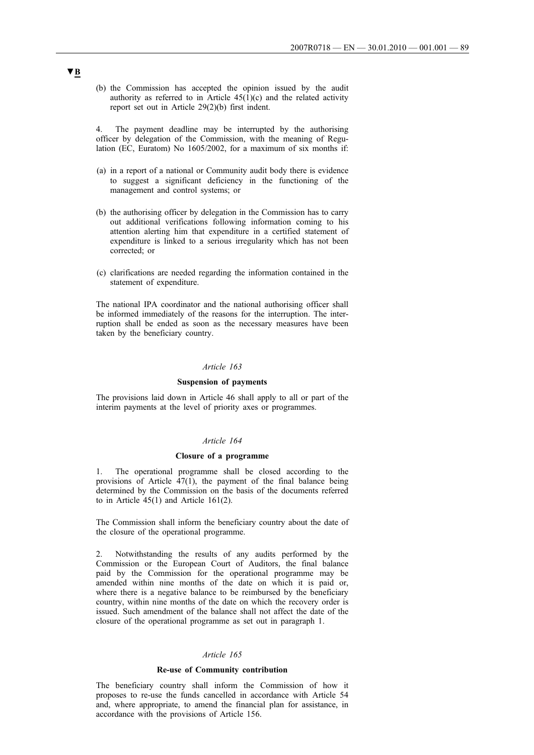(b) the Commission has accepted the opinion issued by the audit authority as referred to in Article  $45(1)(c)$  and the related activity report set out in Article 29(2)(b) first indent.

4. The payment deadline may be interrupted by the authorising officer by delegation of the Commission, with the meaning of Regulation (EC, Euratom) No 1605/2002, for a maximum of six months if:

- (a) in a report of a national or Community audit body there is evidence to suggest a significant deficiency in the functioning of the management and control systems; or
- (b) the authorising officer by delegation in the Commission has to carry out additional verifications following information coming to his attention alerting him that expenditure in a certified statement of expenditure is linked to a serious irregularity which has not been corrected; or
- (c) clarifications are needed regarding the information contained in the statement of expenditure.

The national IPA coordinator and the national authorising officer shall be informed immediately of the reasons for the interruption. The interruption shall be ended as soon as the necessary measures have been taken by the beneficiary country.

## *Article 163*

### **Suspension of payments**

The provisions laid down in Article 46 shall apply to all or part of the interim payments at the level of priority axes or programmes.

#### *Article 164*

## **Closure of a programme**

1. The operational programme shall be closed according to the provisions of Article 47(1), the payment of the final balance being determined by the Commission on the basis of the documents referred to in Article 45(1) and Article 161(2).

The Commission shall inform the beneficiary country about the date of the closure of the operational programme.

2. Notwithstanding the results of any audits performed by the Commission or the European Court of Auditors, the final balance paid by the Commission for the operational programme may be amended within nine months of the date on which it is paid or, where there is a negative balance to be reimbursed by the beneficiary country, within nine months of the date on which the recovery order is issued. Such amendment of the balance shall not affect the date of the closure of the operational programme as set out in paragraph 1.

## *Article 165*

### **Re-use of Community contribution**

The beneficiary country shall inform the Commission of how it proposes to re-use the funds cancelled in accordance with Article 54 and, where appropriate, to amend the financial plan for assistance, in accordance with the provisions of Article 156.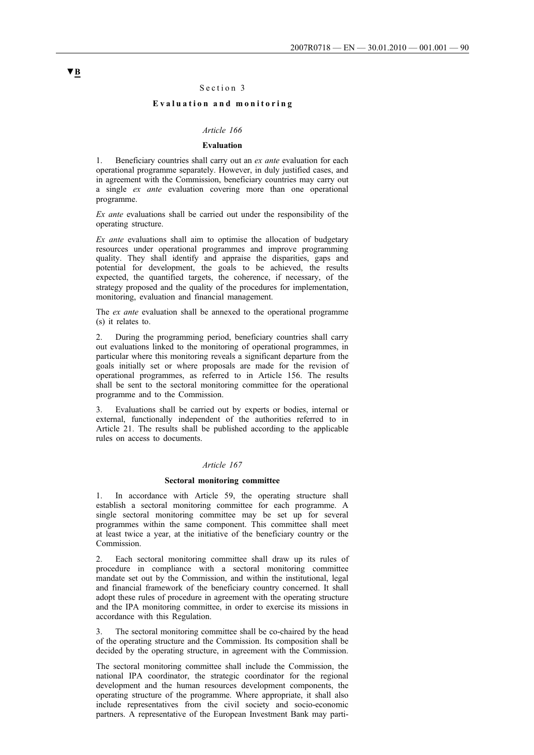## Section 3

## **Evaluation and monitoring**

### *Article 166*

### **Evaluation**

1. Beneficiary countries shall carry out an *ex ante* evaluation for each operational programme separately. However, in duly justified cases, and in agreement with the Commission, beneficiary countries may carry out a single *ex ante* evaluation covering more than one operational programme.

*Ex ante* evaluations shall be carried out under the responsibility of the operating structure.

*Ex ante* evaluations shall aim to optimise the allocation of budgetary resources under operational programmes and improve programming quality. They shall identify and appraise the disparities, gaps and potential for development, the goals to be achieved, the results expected, the quantified targets, the coherence, if necessary, of the strategy proposed and the quality of the procedures for implementation, monitoring, evaluation and financial management.

The *ex ante* evaluation shall be annexed to the operational programme (s) it relates to.

2. During the programming period, beneficiary countries shall carry out evaluations linked to the monitoring of operational programmes, in particular where this monitoring reveals a significant departure from the goals initially set or where proposals are made for the revision of operational programmes, as referred to in Article 156. The results shall be sent to the sectoral monitoring committee for the operational programme and to the Commission.

3. Evaluations shall be carried out by experts or bodies, internal or external, functionally independent of the authorities referred to in Article 21. The results shall be published according to the applicable rules on access to documents.

### *Article 167*

#### **Sectoral monitoring committee**

In accordance with Article 59, the operating structure shall establish a sectoral monitoring committee for each programme. A single sectoral monitoring committee may be set up for several programmes within the same component. This committee shall meet at least twice a year, at the initiative of the beneficiary country or the Commission.

2. Each sectoral monitoring committee shall draw up its rules of procedure in compliance with a sectoral monitoring committee mandate set out by the Commission, and within the institutional, legal and financial framework of the beneficiary country concerned. It shall adopt these rules of procedure in agreement with the operating structure and the IPA monitoring committee, in order to exercise its missions in accordance with this Regulation.

3. The sectoral monitoring committee shall be co-chaired by the head of the operating structure and the Commission. Its composition shall be decided by the operating structure, in agreement with the Commission.

The sectoral monitoring committee shall include the Commission, the national IPA coordinator, the strategic coordinator for the regional development and the human resources development components, the operating structure of the programme. Where appropriate, it shall also include representatives from the civil society and socio-economic partners. A representative of the European Investment Bank may parti-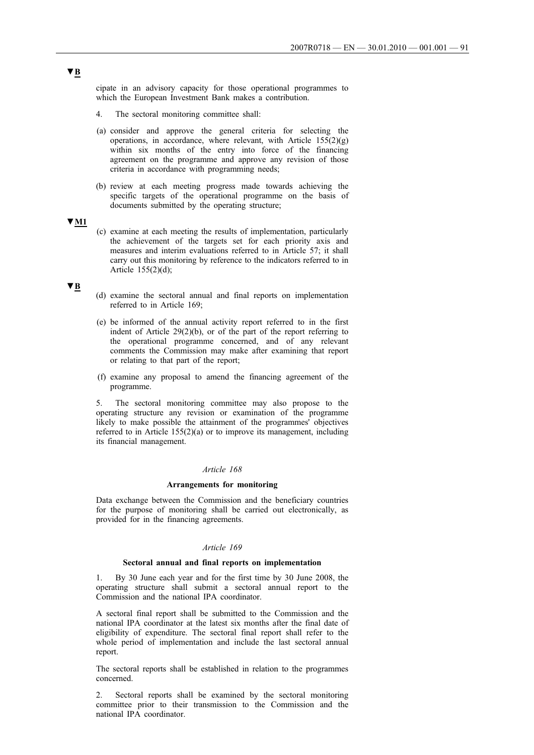cipate in an advisory capacity for those operational programmes to which the European Investment Bank makes a contribution.

- 4. The sectoral monitoring committee shall:
- (a) consider and approve the general criteria for selecting the operations, in accordance, where relevant, with Article  $155(2)(g)$ within six months of the entry into force of the financing agreement on the programme and approve any revision of those criteria in accordance with programming needs;
- (b) review at each meeting progress made towards achieving the specific targets of the operational programme on the basis of documents submitted by the operating structure;

### **▼M1**

(c) examine at each meeting the results of implementation, particularly the achievement of the targets set for each priority axis and measures and interim evaluations referred to in Article 57; it shall carry out this monitoring by reference to the indicators referred to in Article 155(2)(d);

### **▼B**

- (d) examine the sectoral annual and final reports on implementation referred to in Article 169;
- (e) be informed of the annual activity report referred to in the first indent of Article 29(2)(b), or of the part of the report referring to the operational programme concerned, and of any relevant comments the Commission may make after examining that report or relating to that part of the report;
- (f) examine any proposal to amend the financing agreement of the programme.

5. The sectoral monitoring committee may also propose to the operating structure any revision or examination of the programme likely to make possible the attainment of the programmes' objectives referred to in Article 155(2)(a) or to improve its management, including its financial management.

## *Article 168*

### **Arrangements for monitoring**

Data exchange between the Commission and the beneficiary countries for the purpose of monitoring shall be carried out electronically, as provided for in the financing agreements.

## *Article 169*

### **Sectoral annual and final reports on implementation**

1. By 30 June each year and for the first time by 30 June 2008, the operating structure shall submit a sectoral annual report to the Commission and the national IPA coordinator.

A sectoral final report shall be submitted to the Commission and the national IPA coordinator at the latest six months after the final date of eligibility of expenditure. The sectoral final report shall refer to the whole period of implementation and include the last sectoral annual report.

The sectoral reports shall be established in relation to the programmes concerned.

2. Sectoral reports shall be examined by the sectoral monitoring committee prior to their transmission to the Commission and the national IPA coordinator.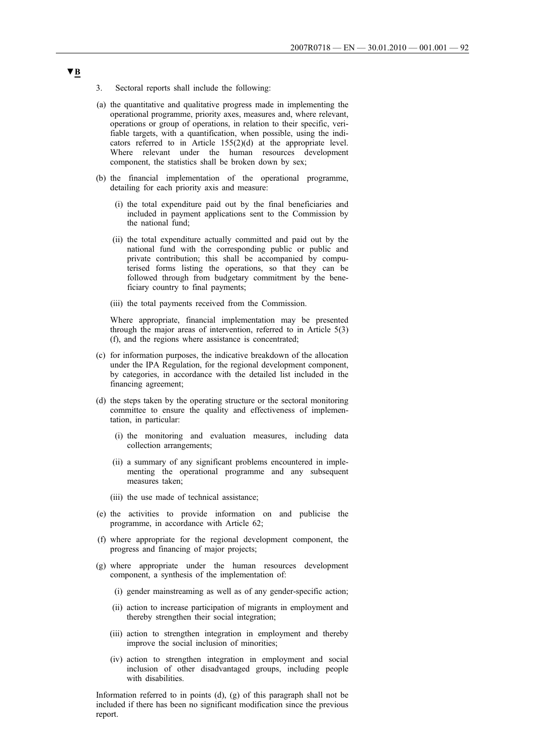- 3. Sectoral reports shall include the following:
- (a) the quantitative and qualitative progress made in implementing the operational programme, priority axes, measures and, where relevant, operations or group of operations, in relation to their specific, verifiable targets, with a quantification, when possible, using the indicators referred to in Article 155(2)(d) at the appropriate level. Where relevant under the human resources development component, the statistics shall be broken down by sex;
- (b) the financial implementation of the operational programme, detailing for each priority axis and measure:
	- (i) the total expenditure paid out by the final beneficiaries and included in payment applications sent to the Commission by the national fund;
	- (ii) the total expenditure actually committed and paid out by the national fund with the corresponding public or public and private contribution; this shall be accompanied by computerised forms listing the operations, so that they can be followed through from budgetary commitment by the beneficiary country to final payments;
	- (iii) the total payments received from the Commission.

Where appropriate, financial implementation may be presented through the major areas of intervention, referred to in Article 5(3) (f), and the regions where assistance is concentrated;

- (c) for information purposes, the indicative breakdown of the allocation under the IPA Regulation, for the regional development component, by categories, in accordance with the detailed list included in the financing agreement;
- (d) the steps taken by the operating structure or the sectoral monitoring committee to ensure the quality and effectiveness of implementation, in particular:
	- (i) the monitoring and evaluation measures, including data collection arrangements;
	- (ii) a summary of any significant problems encountered in implementing the operational programme and any subsequent measures taken;
	- (iii) the use made of technical assistance;
- (e) the activities to provide information on and publicise the programme, in accordance with Article 62;
- (f) where appropriate for the regional development component, the progress and financing of major projects;
- (g) where appropriate under the human resources development component, a synthesis of the implementation of:
	- (i) gender mainstreaming as well as of any gender-specific action;
	- (ii) action to increase participation of migrants in employment and thereby strengthen their social integration;
	- (iii) action to strengthen integration in employment and thereby improve the social inclusion of minorities;
	- (iv) action to strengthen integration in employment and social inclusion of other disadvantaged groups, including people with disabilities.

Information referred to in points (d), (g) of this paragraph shall not be included if there has been no significant modification since the previous report.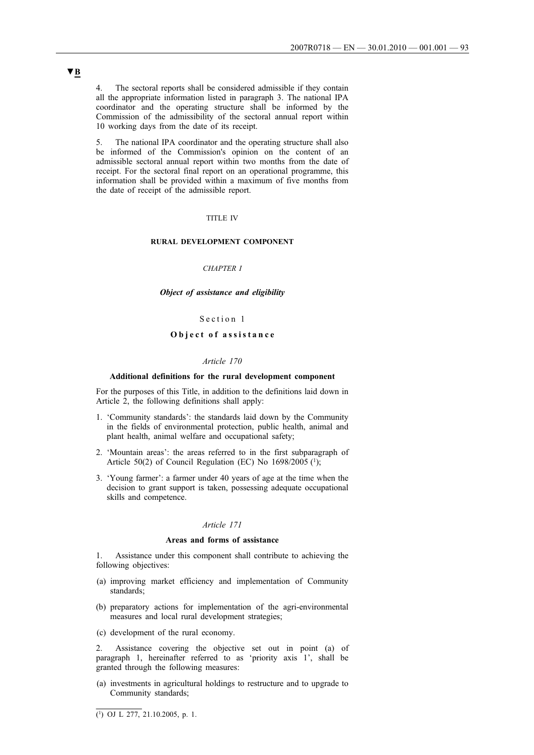4. The sectoral reports shall be considered admissible if they contain all the appropriate information listed in paragraph 3. The national IPA coordinator and the operating structure shall be informed by the Commission of the admissibility of the sectoral annual report within 10 working days from the date of its receipt.

5. The national IPA coordinator and the operating structure shall also be informed of the Commission's opinion on the content of an admissible sectoral annual report within two months from the date of receipt. For the sectoral final report on an operational programme, this information shall be provided within a maximum of five months from the date of receipt of the admissible report.

#### TITLE IV

## **RURAL DEVELOPMENT COMPONENT**

## *CHAPTER I*

### *Object of assistance and eligibility*

## Section 1

## **Object of assistance**

#### *Article 170*

### **Additional definitions for the rural development component**

For the purposes of this Title, in addition to the definitions laid down in Article 2, the following definitions shall apply:

- 1. 'Community standards': the standards laid down by the Community in the fields of environmental protection, public health, animal and plant health, animal welfare and occupational safety;
- 2. 'Mountain areas': the areas referred to in the first subparagraph of Article 50(2) of Council Regulation (EC) No  $1698/2005$  (1);
- 3. 'Young farmer': a farmer under 40 years of age at the time when the decision to grant support is taken, possessing adequate occupational skills and competence.

## *Article 171*

#### **Areas and forms of assistance**

1. Assistance under this component shall contribute to achieving the following objectives:

- (a) improving market efficiency and implementation of Community standards;
- (b) preparatory actions for implementation of the agri-environmental measures and local rural development strategies;
- (c) development of the rural economy.

Assistance covering the objective set out in point (a) of paragraph 1, hereinafter referred to as 'priority axis 1', shall be granted through the following measures:

(a) investments in agricultural holdings to restructure and to upgrade to Community standards;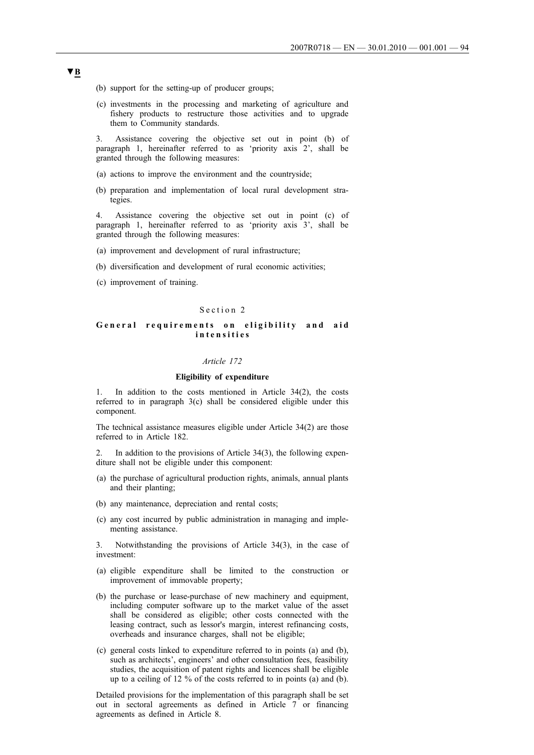- (b) support for the setting-up of producer groups;
- (c) investments in the processing and marketing of agriculture and fishery products to restructure those activities and to upgrade them to Community standards.

3. Assistance covering the objective set out in point (b) of paragraph 1, hereinafter referred to as 'priority axis 2', shall be granted through the following measures:

- (a) actions to improve the environment and the countryside;
- (b) preparation and implementation of local rural development strategies.

4. Assistance covering the objective set out in point (c) of paragraph 1, hereinafter referred to as 'priority axis 3', shall be granted through the following measures:

- (a) improvement and development of rural infrastructure;
- (b) diversification and development of rural economic activities;
- (c) improvement of training.

### Section 2

### **General requirements on eligibility and aid intensities**

#### *Article 172*

### **Eligibility of expenditure**

In addition to the costs mentioned in Article  $34(2)$ , the costs referred to in paragraph 3(c) shall be considered eligible under this component.

The technical assistance measures eligible under Article 34(2) are those referred to in Article 182.

In addition to the provisions of Article  $34(3)$ , the following expenditure shall not be eligible under this component:

- (a) the purchase of agricultural production rights, animals, annual plants and their planting;
- (b) any maintenance, depreciation and rental costs;
- (c) any cost incurred by public administration in managing and implementing assistance.

3. Notwithstanding the provisions of Article 34(3), in the case of investment:

- (a) eligible expenditure shall be limited to the construction or improvement of immovable property;
- (b) the purchase or lease-purchase of new machinery and equipment, including computer software up to the market value of the asset shall be considered as eligible; other costs connected with the leasing contract, such as lessor's margin, interest refinancing costs, overheads and insurance charges, shall not be eligible;
- (c) general costs linked to expenditure referred to in points (a) and (b), such as architects', engineers' and other consultation fees, feasibility studies, the acquisition of patent rights and licences shall be eligible up to a ceiling of 12 % of the costs referred to in points (a) and (b).

Detailed provisions for the implementation of this paragraph shall be set out in sectoral agreements as defined in Article 7 or financing agreements as defined in Article 8.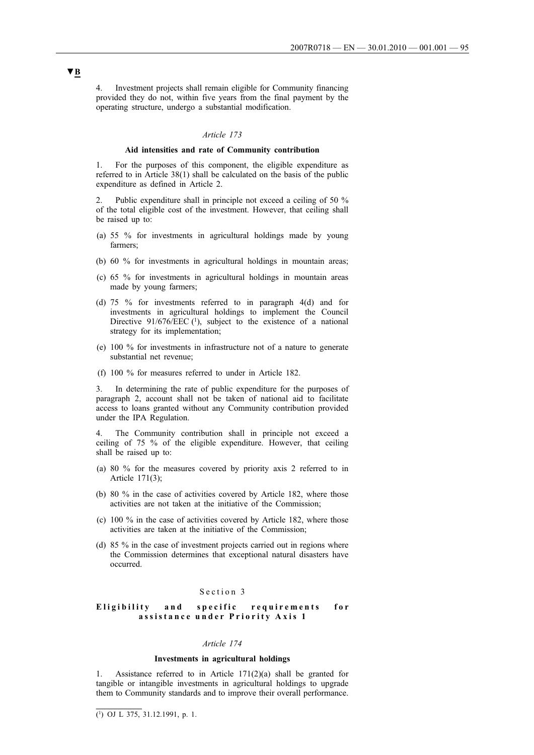4. Investment projects shall remain eligible for Community financing provided they do not, within five years from the final payment by the operating structure, undergo a substantial modification.

## *Article 173*

#### **Aid intensities and rate of Community contribution**

1. For the purposes of this component, the eligible expenditure as referred to in Article 38(1) shall be calculated on the basis of the public expenditure as defined in Article 2.

Public expenditure shall in principle not exceed a ceiling of 50 % of the total eligible cost of the investment. However, that ceiling shall be raised up to:

- (a) 55 % for investments in agricultural holdings made by young farmers;
- (b) 60 % for investments in agricultural holdings in mountain areas;
- (c) 65 % for investments in agricultural holdings in mountain areas made by young farmers;
- (d) 75 % for investments referred to in paragraph 4(d) and for investments in agricultural holdings to implement the Council Directive  $91/676/EEC$  (1), subject to the existence of a national strategy for its implementation;
- (e) 100 % for investments in infrastructure not of a nature to generate substantial net revenue;
- (f) 100 % for measures referred to under in Article 182.

3. In determining the rate of public expenditure for the purposes of paragraph 2, account shall not be taken of national aid to facilitate access to loans granted without any Community contribution provided under the IPA Regulation.

4. The Community contribution shall in principle not exceed a ceiling of 75 % of the eligible expenditure. However, that ceiling shall be raised up to:

- (a) 80 % for the measures covered by priority axis 2 referred to in Article 171(3);
- (b) 80 % in the case of activities covered by Article 182, where those activities are not taken at the initiative of the Commission;
- (c) 100 % in the case of activities covered by Article 182, where those activities are taken at the initiative of the Commission;
- (d) 85 % in the case of investment projects carried out in regions where the Commission determines that exceptional natural disasters have occurred.

#### Section 3

### **Eligibility and specific requirements for assistance under Priority Axis 1**

## *Article 174*

#### **Investments in agricultural holdings**

1. Assistance referred to in Article 171(2)(a) shall be granted for tangible or intangible investments in agricultural holdings to upgrade them to Community standards and to improve their overall performance.

 $\overline{(^1)}$  OJ L 375, 31.12.1991, p. 1.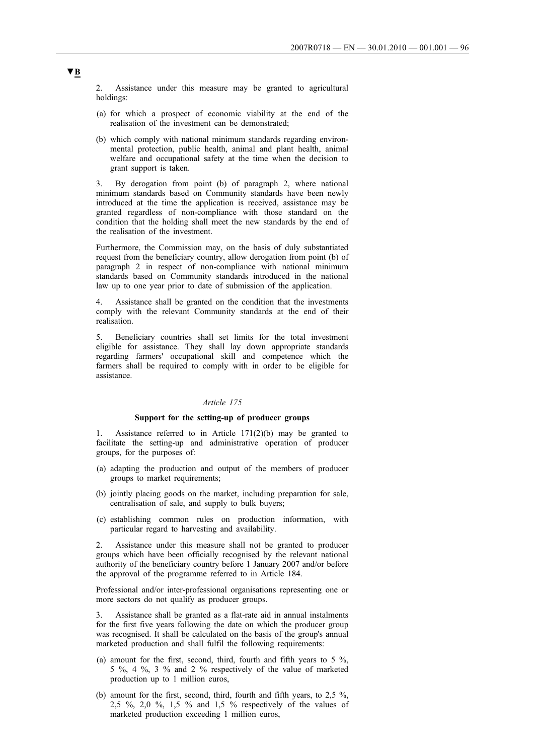2. Assistance under this measure may be granted to agricultural holdings:

- (a) for which a prospect of economic viability at the end of the realisation of the investment can be demonstrated;
- (b) which comply with national minimum standards regarding environmental protection, public health, animal and plant health, animal welfare and occupational safety at the time when the decision to grant support is taken.

3. By derogation from point (b) of paragraph 2, where national minimum standards based on Community standards have been newly introduced at the time the application is received, assistance may be granted regardless of non-compliance with those standard on the condition that the holding shall meet the new standards by the end of the realisation of the investment.

Furthermore, the Commission may, on the basis of duly substantiated request from the beneficiary country, allow derogation from point (b) of paragraph 2 in respect of non-compliance with national minimum standards based on Community standards introduced in the national law up to one year prior to date of submission of the application.

Assistance shall be granted on the condition that the investments comply with the relevant Community standards at the end of their realisation.

5. Beneficiary countries shall set limits for the total investment eligible for assistance. They shall lay down appropriate standards regarding farmers' occupational skill and competence which the farmers shall be required to comply with in order to be eligible for assistance.

### *Article 175*

### **Support for the setting-up of producer groups**

1. Assistance referred to in Article 171(2)(b) may be granted to facilitate the setting-up and administrative operation of producer groups, for the purposes of:

- (a) adapting the production and output of the members of producer groups to market requirements;
- (b) jointly placing goods on the market, including preparation for sale, centralisation of sale, and supply to bulk buyers;
- (c) establishing common rules on production information, with particular regard to harvesting and availability.

2. Assistance under this measure shall not be granted to producer groups which have been officially recognised by the relevant national authority of the beneficiary country before 1 January 2007 and/or before the approval of the programme referred to in Article 184.

Professional and/or inter-professional organisations representing one or more sectors do not qualify as producer groups.

3. Assistance shall be granted as a flat-rate aid in annual instalments for the first five years following the date on which the producer group was recognised. It shall be calculated on the basis of the group's annual marketed production and shall fulfil the following requirements:

- (a) amount for the first, second, third, fourth and fifth years to 5  $\%$ , 5 %, 4 %, 3 % and 2 % respectively of the value of marketed production up to 1 million euros,
- (b) amount for the first, second, third, fourth and fifth years, to 2,5 %, 2,5 %, 2,0 %, 1,5 % and 1,5 % respectively of the values of marketed production exceeding 1 million euros,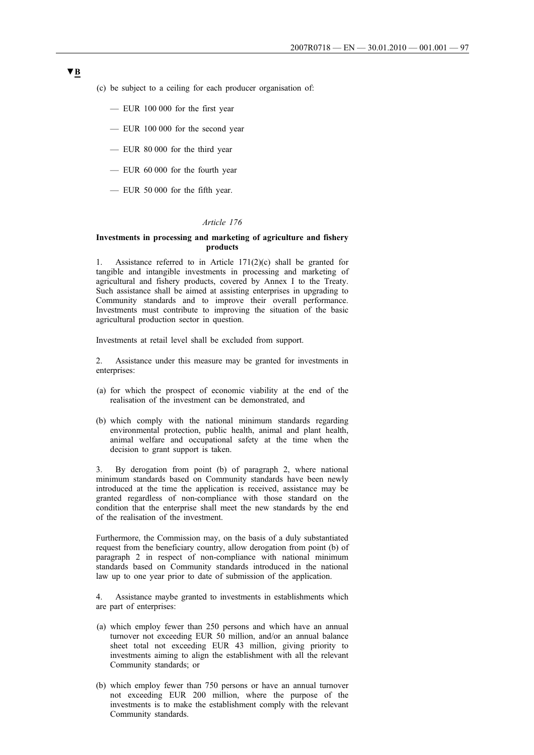- (c) be subject to a ceiling for each producer organisation of:
	- EUR 100 000 for the first year
	- EUR 100 000 for the second year
	- EUR 80 000 for the third year
	- EUR 60 000 for the fourth year
	- EUR 50 000 for the fifth year.

### *Article 176*

### **Investments in processing and marketing of agriculture and fishery products**

1. Assistance referred to in Article 171(2)(c) shall be granted for tangible and intangible investments in processing and marketing of agricultural and fishery products, covered by Annex I to the Treaty. Such assistance shall be aimed at assisting enterprises in upgrading to Community standards and to improve their overall performance. Investments must contribute to improving the situation of the basic agricultural production sector in question.

Investments at retail level shall be excluded from support.

2. Assistance under this measure may be granted for investments in enterprises:

- (a) for which the prospect of economic viability at the end of the realisation of the investment can be demonstrated, and
- (b) which comply with the national minimum standards regarding environmental protection, public health, animal and plant health, animal welfare and occupational safety at the time when the decision to grant support is taken.

3. By derogation from point (b) of paragraph 2, where national minimum standards based on Community standards have been newly introduced at the time the application is received, assistance may be granted regardless of non-compliance with those standard on the condition that the enterprise shall meet the new standards by the end of the realisation of the investment.

Furthermore, the Commission may, on the basis of a duly substantiated request from the beneficiary country, allow derogation from point (b) of paragraph 2 in respect of non-compliance with national minimum standards based on Community standards introduced in the national law up to one year prior to date of submission of the application.

4. Assistance maybe granted to investments in establishments which are part of enterprises:

- (a) which employ fewer than 250 persons and which have an annual turnover not exceeding EUR 50 million, and/or an annual balance sheet total not exceeding EUR 43 million, giving priority to investments aiming to align the establishment with all the relevant Community standards; or
- (b) which employ fewer than 750 persons or have an annual turnover not exceeding EUR 200 million, where the purpose of the investments is to make the establishment comply with the relevant Community standards.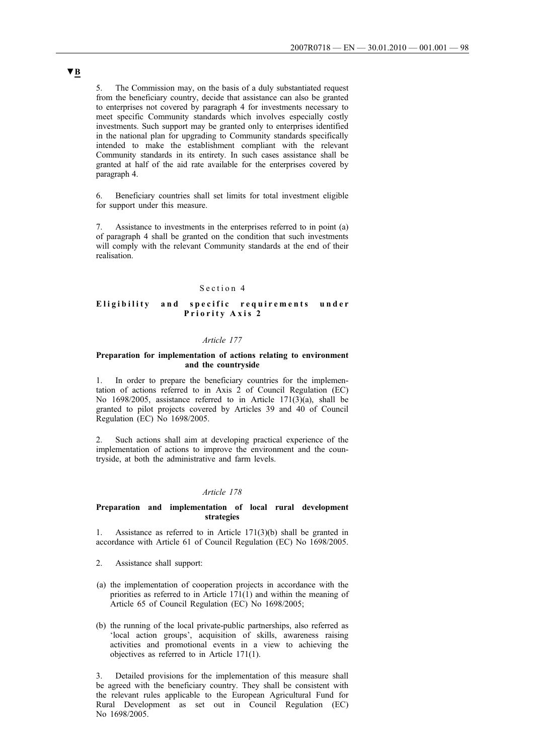5. The Commission may, on the basis of a duly substantiated request from the beneficiary country, decide that assistance can also be granted to enterprises not covered by paragraph 4 for investments necessary to meet specific Community standards which involves especially costly investments. Such support may be granted only to enterprises identified in the national plan for upgrading to Community standards specifically intended to make the establishment compliant with the relevant Community standards in its entirety. In such cases assistance shall be granted at half of the aid rate available for the enterprises covered by paragraph 4.

6. Beneficiary countries shall set limits for total investment eligible for support under this measure.

7. Assistance to investments in the enterprises referred to in point (a) of paragraph 4 shall be granted on the condition that such investments will comply with the relevant Community standards at the end of their realisation.

### Section 4

## **Eligibility and specific requirements under Priority Axis 2**

## *Article 177*

### **Preparation for implementation of actions relating to environment and the countryside**

1. In order to prepare the beneficiary countries for the implementation of actions referred to in Axis 2 of Council Regulation (EC) No 1698/2005, assistance referred to in Article 171(3)(a), shall be granted to pilot projects covered by Articles 39 and 40 of Council Regulation (EC) No 1698/2005.

Such actions shall aim at developing practical experience of the implementation of actions to improve the environment and the countryside, at both the administrative and farm levels.

### *Article 178*

### **Preparation and implementation of local rural development strategies**

1. Assistance as referred to in Article 171(3)(b) shall be granted in accordance with Article 61 of Council Regulation (EC) No 1698/2005.

- 2. Assistance shall support:
- (a) the implementation of cooperation projects in accordance with the priorities as referred to in Article  $171(1)$  and within the meaning of Article 65 of Council Regulation (EC) No 1698/2005;
- (b) the running of the local private-public partnerships, also referred as 'local action groups', acquisition of skills, awareness raising activities and promotional events in a view to achieving the objectives as referred to in Article 171(1).

3. Detailed provisions for the implementation of this measure shall be agreed with the beneficiary country. They shall be consistent with the relevant rules applicable to the European Agricultural Fund for Rural Development as set out in Council Regulation (EC) No 1698/2005.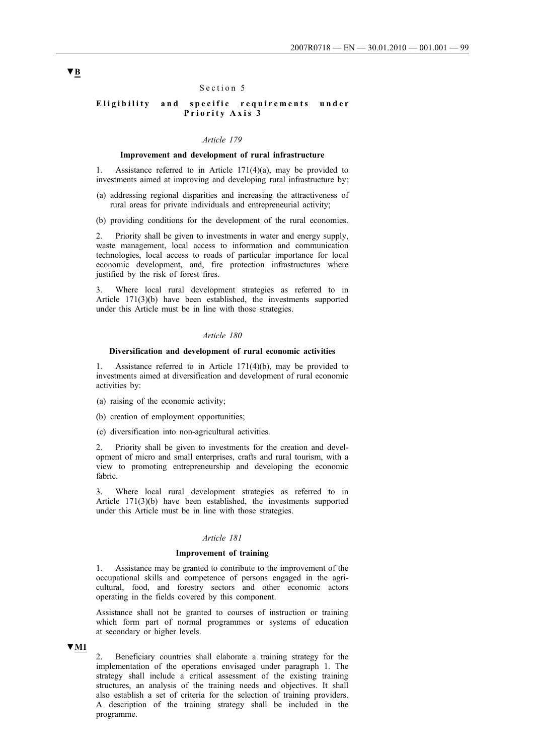## Section 5

## **Eligibility and specific requirements under Priority Axis 3**

#### *Article 179*

### **Improvement and development of rural infrastructure**

1. Assistance referred to in Article 171(4)(a), may be provided to investments aimed at improving and developing rural infrastructure by:

- (a) addressing regional disparities and increasing the attractiveness of rural areas for private individuals and entrepreneurial activity;
- (b) providing conditions for the development of the rural economies.

2. Priority shall be given to investments in water and energy supply, waste management, local access to information and communication technologies, local access to roads of particular importance for local economic development, and, fire protection infrastructures where justified by the risk of forest fires.

3. Where local rural development strategies as referred to in Article 171(3)(b) have been established, the investments supported under this Article must be in line with those strategies.

#### *Article 180*

## **Diversification and development of rural economic activities**

Assistance referred to in Article  $171(4)(b)$ , may be provided to investments aimed at diversification and development of rural economic activities by:

- (a) raising of the economic activity;
- (b) creation of employment opportunities;
- (c) diversification into non-agricultural activities.

2. Priority shall be given to investments for the creation and development of micro and small enterprises, crafts and rural tourism, with a view to promoting entrepreneurship and developing the economic fabric.

3. Where local rural development strategies as referred to in Article 171(3)(b) have been established, the investments supported under this Article must be in line with those strategies.

### *Article 181*

### **Improvement of training**

1. Assistance may be granted to contribute to the improvement of the occupational skills and competence of persons engaged in the agricultural, food, and forestry sectors and other economic actors operating in the fields covered by this component.

Assistance shall not be granted to courses of instruction or training which form part of normal programmes or systems of education at secondary or higher levels.

### **▼M1**

2. Beneficiary countries shall elaborate a training strategy for the implementation of the operations envisaged under paragraph 1. The strategy shall include a critical assessment of the existing training structures, an analysis of the training needs and objectives. It shall also establish a set of criteria for the selection of training providers. A description of the training strategy shall be included in the programme.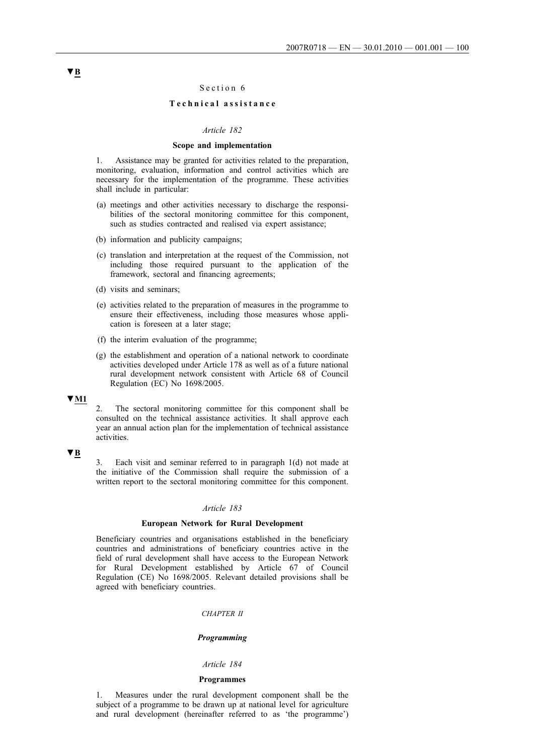## Section 6

## **Technical assistance**

#### *Article 182*

### **Scope and implementation**

1. Assistance may be granted for activities related to the preparation, monitoring, evaluation, information and control activities which are necessary for the implementation of the programme. These activities shall include in particular:

- (a) meetings and other activities necessary to discharge the responsibilities of the sectoral monitoring committee for this component, such as studies contracted and realised via expert assistance;
- (b) information and publicity campaigns;
- (c) translation and interpretation at the request of the Commission, not including those required pursuant to the application of the framework, sectoral and financing agreements;
- (d) visits and seminars;
- (e) activities related to the preparation of measures in the programme to ensure their effectiveness, including those measures whose application is foreseen at a later stage;
- (f) the interim evaluation of the programme;
- (g) the establishment and operation of a national network to coordinate activities developed under Article 178 as well as of a future national rural development network consistent with Article 68 of Council Regulation (EC) No 1698/2005.

## **▼M1**

2. The sectoral monitoring committee for this component shall be consulted on the technical assistance activities. It shall approve each year an annual action plan for the implementation of technical assistance activities.

#### **▼B**

3. Each visit and seminar referred to in paragraph 1(d) not made at the initiative of the Commission shall require the submission of a written report to the sectoral monitoring committee for this component.

### *Article 183*

## **European Network for Rural Development**

Beneficiary countries and organisations established in the beneficiary countries and administrations of beneficiary countries active in the field of rural development shall have access to the European Network for Rural Development established by Article 67 of Council Regulation (CE) No 1698/2005. Relevant detailed provisions shall be agreed with beneficiary countries.

## *CHAPTER II*

### *Programming*

### *Article 184*

### **Programmes**

1. Measures under the rural development component shall be the subject of a programme to be drawn up at national level for agriculture and rural development (hereinafter referred to as 'the programme')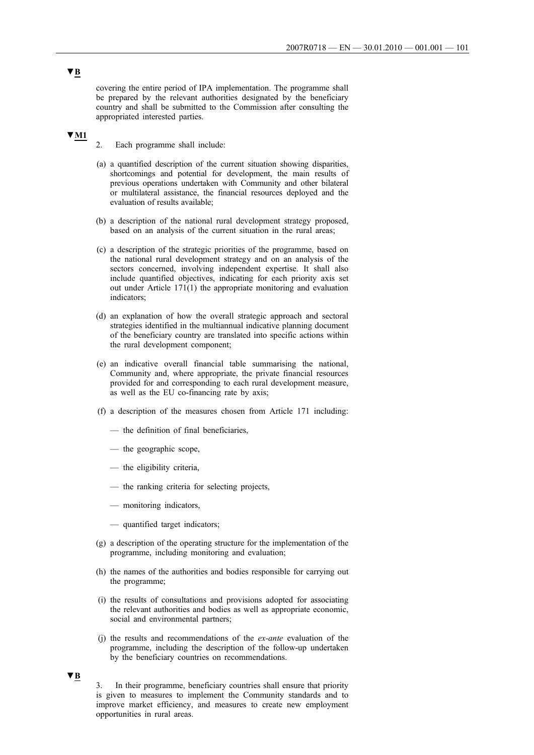covering the entire period of IPA implementation. The programme shall be prepared by the relevant authorities designated by the beneficiary country and shall be submitted to the Commission after consulting the appropriated interested parties.

# **▼M1**

2. Each programme shall include:

- (a) a quantified description of the current situation showing disparities, shortcomings and potential for development, the main results of previous operations undertaken with Community and other bilateral or multilateral assistance, the financial resources deployed and the evaluation of results available;
- (b) a description of the national rural development strategy proposed, based on an analysis of the current situation in the rural areas;
- (c) a description of the strategic priorities of the programme, based on the national rural development strategy and on an analysis of the sectors concerned, involving independent expertise. It shall also include quantified objectives, indicating for each priority axis set out under Article 171(1) the appropriate monitoring and evaluation indicators;
- (d) an explanation of how the overall strategic approach and sectoral strategies identified in the multiannual indicative planning document of the beneficiary country are translated into specific actions within the rural development component;
- (e) an indicative overall financial table summarising the national, Community and, where appropriate, the private financial resources provided for and corresponding to each rural development measure, as well as the EU co-financing rate by axis;
- (f) a description of the measures chosen from Article 171 including:
	- the definition of final beneficiaries,
	- the geographic scope,
	- the eligibility criteria,
	- the ranking criteria for selecting projects,
	- monitoring indicators,
	- quantified target indicators;
- (g) a description of the operating structure for the implementation of the programme, including monitoring and evaluation;
- (h) the names of the authorities and bodies responsible for carrying out the programme;
- (i) the results of consultations and provisions adopted for associating the relevant authorities and bodies as well as appropriate economic, social and environmental partners;
- (j) the results and recommendations of the *ex-ante* evaluation of the programme, including the description of the follow-up undertaken by the beneficiary countries on recommendations.

## **▼B**

3. In their programme, beneficiary countries shall ensure that priority is given to measures to implement the Community standards and to improve market efficiency, and measures to create new employment opportunities in rural areas.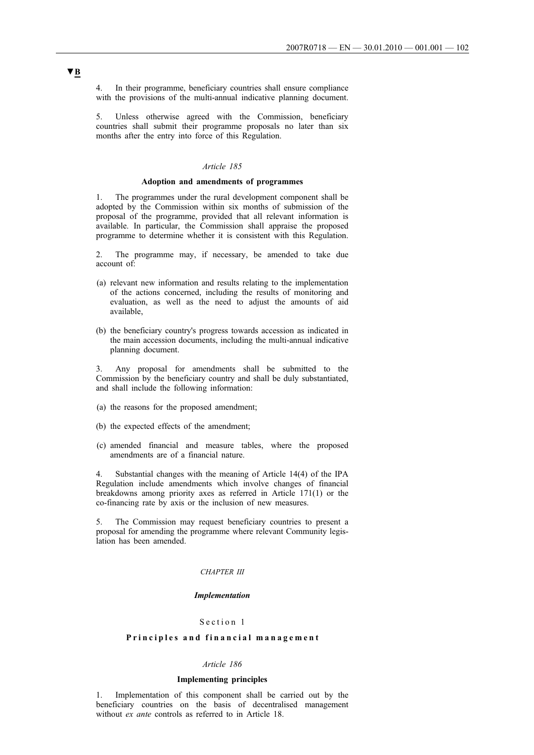4. In their programme, beneficiary countries shall ensure compliance with the provisions of the multi-annual indicative planning document.

5. Unless otherwise agreed with the Commission, beneficiary countries shall submit their programme proposals no later than six months after the entry into force of this Regulation.

## *Article 185*

## **Adoption and amendments of programmes**

1. The programmes under the rural development component shall be adopted by the Commission within six months of submission of the proposal of the programme, provided that all relevant information is available. In particular, the Commission shall appraise the proposed programme to determine whether it is consistent with this Regulation.

2. The programme may, if necessary, be amended to take due account of:

- (a) relevant new information and results relating to the implementation of the actions concerned, including the results of monitoring and evaluation, as well as the need to adjust the amounts of aid available,
- (b) the beneficiary country's progress towards accession as indicated in the main accession documents, including the multi-annual indicative planning document.

3. Any proposal for amendments shall be submitted to the Commission by the beneficiary country and shall be duly substantiated, and shall include the following information:

- (a) the reasons for the proposed amendment;
- (b) the expected effects of the amendment;
- (c) amended financial and measure tables, where the proposed amendments are of a financial nature.

4. Substantial changes with the meaning of Article 14(4) of the IPA Regulation include amendments which involve changes of financial breakdowns among priority axes as referred in Article 171(1) or the co-financing rate by axis or the inclusion of new measures.

5. The Commission may request beneficiary countries to present a proposal for amending the programme where relevant Community legislation has been amended.

#### *CHAPTER III*

### *Implementation*

### Section 1

## **Principles and financial management**

## *Article 186*

### **Implementing principles**

1. Implementation of this component shall be carried out by the beneficiary countries on the basis of decentralised management without *ex ante* controls as referred to in Article 18.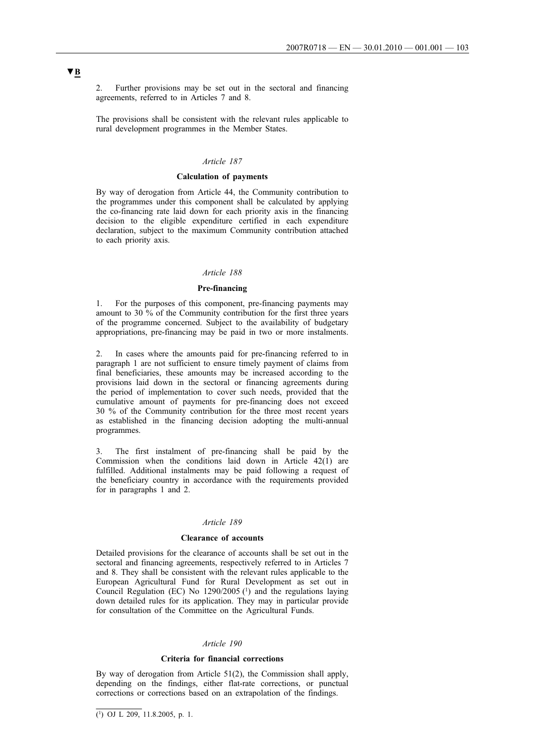2. Further provisions may be set out in the sectoral and financing agreements, referred to in Articles 7 and 8.

The provisions shall be consistent with the relevant rules applicable to rural development programmes in the Member States.

## *Article 187*

## **Calculation of payments**

By way of derogation from Article 44, the Community contribution to the programmes under this component shall be calculated by applying the co-financing rate laid down for each priority axis in the financing decision to the eligible expenditure certified in each expenditure declaration, subject to the maximum Community contribution attached to each priority axis.

## *Article 188*

### **Pre-financing**

1. For the purposes of this component, pre-financing payments may amount to 30 % of the Community contribution for the first three years of the programme concerned. Subject to the availability of budgetary appropriations, pre-financing may be paid in two or more instalments.

2. In cases where the amounts paid for pre-financing referred to in paragraph 1 are not sufficient to ensure timely payment of claims from final beneficiaries, these amounts may be increased according to the provisions laid down in the sectoral or financing agreements during the period of implementation to cover such needs, provided that the cumulative amount of payments for pre-financing does not exceed 30 % of the Community contribution for the three most recent years as established in the financing decision adopting the multi-annual programmes.

3. The first instalment of pre-financing shall be paid by the Commission when the conditions laid down in Article 42(1) are fulfilled. Additional instalments may be paid following a request of the beneficiary country in accordance with the requirements provided for in paragraphs 1 and 2.

### *Article 189*

### **Clearance of accounts**

Detailed provisions for the clearance of accounts shall be set out in the sectoral and financing agreements, respectively referred to in Articles 7 and 8. They shall be consistent with the relevant rules applicable to the European Agricultural Fund for Rural Development as set out in Council Regulation (EC) No  $1290/2005$  ( $\frac{1}{1}$ ) and the regulations laying down detailed rules for its application. They may in particular provide for consultation of the Committee on the Agricultural Funds.

### *Article 190*

#### **Criteria for financial corrections**

By way of derogation from Article 51(2), the Commission shall apply, depending on the findings, either flat-rate corrections, or punctual corrections or corrections based on an extrapolation of the findings.

 $\overline{(^1)}$  OJ L 209, 11.8.2005, p. 1.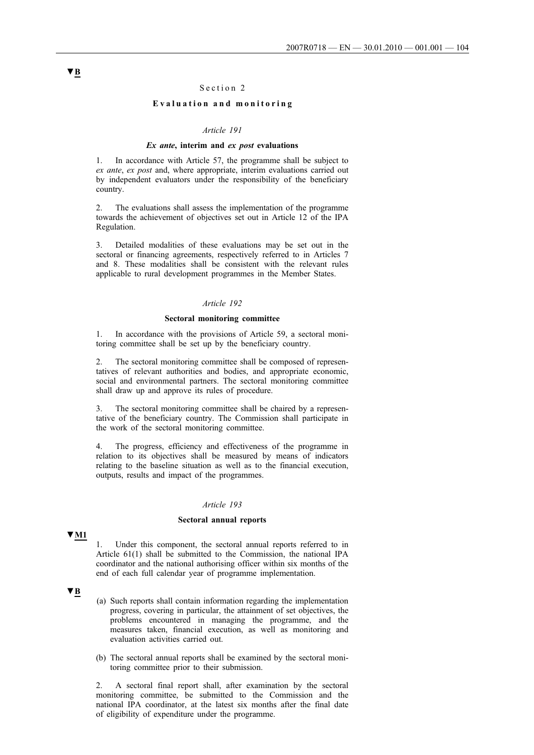## Section 2

## **Evaluation and monitoring**

### *Article 191*

### *Ex ante***, interim and** *ex post* **evaluations**

In accordance with Article 57, the programme shall be subject to *ex ante*, *ex post* and, where appropriate, interim evaluations carried out by independent evaluators under the responsibility of the beneficiary country.

2. The evaluations shall assess the implementation of the programme towards the achievement of objectives set out in Article 12 of the IPA Regulation.

3. Detailed modalities of these evaluations may be set out in the sectoral or financing agreements, respectively referred to in Articles 7 and 8. These modalities shall be consistent with the relevant rules applicable to rural development programmes in the Member States.

## *Article 192*

### **Sectoral monitoring committee**

1. In accordance with the provisions of Article 59, a sectoral monitoring committee shall be set up by the beneficiary country.

2. The sectoral monitoring committee shall be composed of representatives of relevant authorities and bodies, and appropriate economic, social and environmental partners. The sectoral monitoring committee shall draw up and approve its rules of procedure.

3. The sectoral monitoring committee shall be chaired by a representative of the beneficiary country. The Commission shall participate in the work of the sectoral monitoring committee.

4. The progress, efficiency and effectiveness of the programme in relation to its objectives shall be measured by means of indicators relating to the baseline situation as well as to the financial execution, outputs, results and impact of the programmes.

### *Article 193*

#### **Sectoral annual reports**

**▼M1**

1. Under this component, the sectoral annual reports referred to in Article 61(1) shall be submitted to the Commission, the national IPA coordinator and the national authorising officer within six months of the end of each full calendar year of programme implementation.

## **▼B**

- (a) Such reports shall contain information regarding the implementation progress, covering in particular, the attainment of set objectives, the problems encountered in managing the programme, and the measures taken, financial execution, as well as monitoring and evaluation activities carried out.
- (b) The sectoral annual reports shall be examined by the sectoral monitoring committee prior to their submission.

2. A sectoral final report shall, after examination by the sectoral monitoring committee, be submitted to the Commission and the national IPA coordinator, at the latest six months after the final date of eligibility of expenditure under the programme.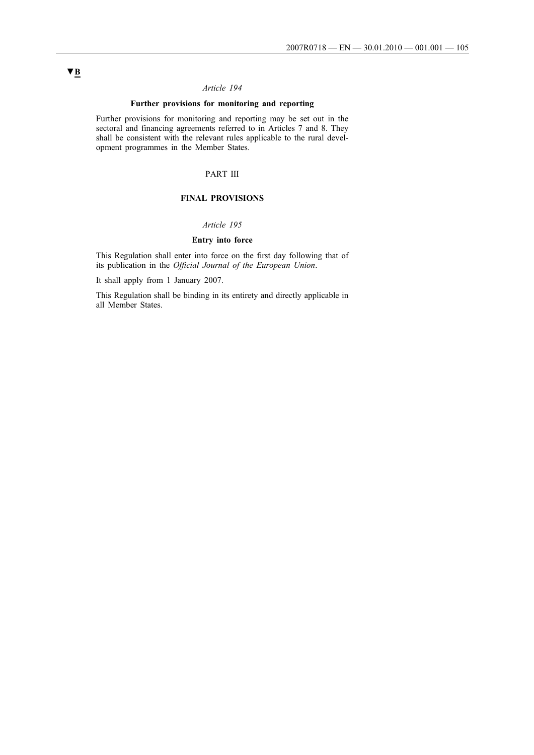# *Article 194*

## **Further provisions for monitoring and reporting**

Further provisions for monitoring and reporting may be set out in the sectoral and financing agreements referred to in Articles 7 and 8. They shall be consistent with the relevant rules applicable to the rural development programmes in the Member States.

# PART III

## **FINAL PROVISIONS**

## *Article 195*

## **Entry into force**

This Regulation shall enter into force on the first day following that of its publication in the *Official Journal of the European Union*.

It shall apply from 1 January 2007.

This Regulation shall be binding in its entirety and directly applicable in all Member States.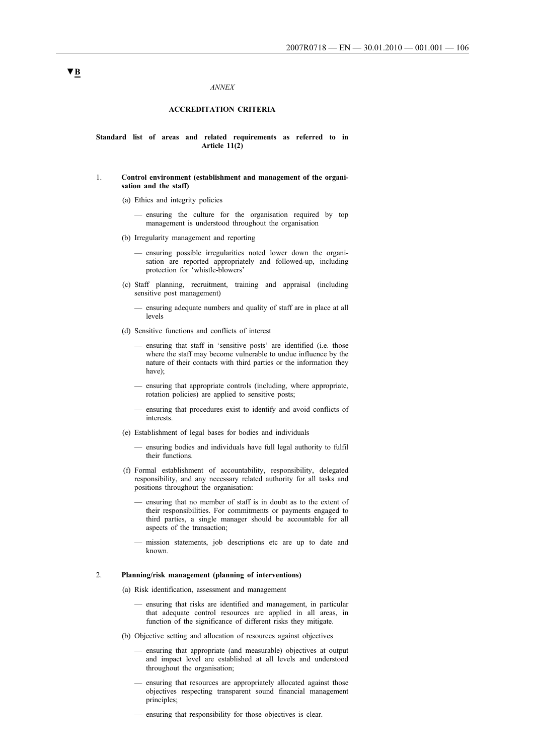#### *ANNEX*

### **ACCREDITATION CRITERIA**

### **Standard list of areas and related requirements as referred to in Article 11(2)**

### 1. **Control environment (establishment and management of the organisation and the staff)**

- (a) Ethics and integrity policies
	- ensuring the culture for the organisation required by top management is understood throughout the organisation
- (b) Irregularity management and reporting
	- ensuring possible irregularities noted lower down the organisation are reported appropriately and followed-up, including protection for 'whistle-blowers'
- (c) Staff planning, recruitment, training and appraisal (including sensitive post management)
	- ensuring adequate numbers and quality of staff are in place at all levels
- (d) Sensitive functions and conflicts of interest
	- ensuring that staff in 'sensitive posts' are identified (i.e. those where the staff may become vulnerable to undue influence by the nature of their contacts with third parties or the information they have);
	- ensuring that appropriate controls (including, where appropriate, rotation policies) are applied to sensitive posts;
	- ensuring that procedures exist to identify and avoid conflicts of interests.
- (e) Establishment of legal bases for bodies and individuals
	- ensuring bodies and individuals have full legal authority to fulfil their functions.
- (f) Formal establishment of accountability, responsibility, delegated responsibility, and any necessary related authority for all tasks and positions throughout the organisation:
	- ensuring that no member of staff is in doubt as to the extent of their responsibilities. For commitments or payments engaged to third parties, a single manager should be accountable for all aspects of the transaction;
	- mission statements, job descriptions etc are up to date and known.

### 2. **Planning/risk management (planning of interventions)**

- (a) Risk identification, assessment and management
	- ensuring that risks are identified and management, in particular that adequate control resources are applied in all areas, in function of the significance of different risks they mitigate.
- (b) Objective setting and allocation of resources against objectives
	- ensuring that appropriate (and measurable) objectives at output and impact level are established at all levels and understood throughout the organisation;
	- ensuring that resources are appropriately allocated against those objectives respecting transparent sound financial management principles;
	- ensuring that responsibility for those objectives is clear.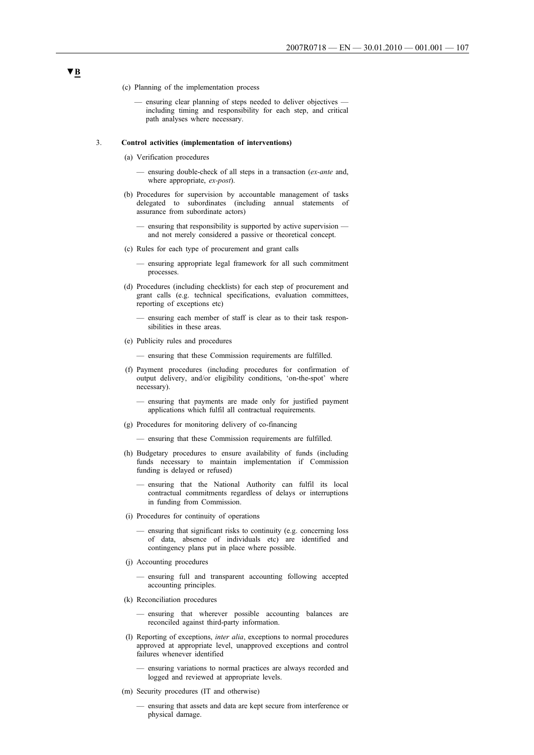- (c) Planning of the implementation process
	- ensuring clear planning of steps needed to deliver objectives including timing and responsibility for each step, and critical path analyses where necessary.

#### 3. **Control activities (implementation of interventions)**

- (a) Verification procedures
	- ensuring double-check of all steps in a transaction (*ex-ante* and, where appropriate, *ex-post*).
- (b) Procedures for supervision by accountable management of tasks delegated to subordinates (including annual statements of assurance from subordinate actors)
	- ensuring that responsibility is supported by active supervision and not merely considered a passive or theoretical concept.
- (c) Rules for each type of procurement and grant calls
	- ensuring appropriate legal framework for all such commitment processes.
- (d) Procedures (including checklists) for each step of procurement and grant calls (e.g. technical specifications, evaluation committees, reporting of exceptions etc)
	- ensuring each member of staff is clear as to their task responsibilities in these areas.
- (e) Publicity rules and procedures

— ensuring that these Commission requirements are fulfilled.

- (f) Payment procedures (including procedures for confirmation of output delivery, and/or eligibility conditions, 'on-the-spot' where necessary).
	- ensuring that payments are made only for justified payment applications which fulfil all contractual requirements.
- (g) Procedures for monitoring delivery of co-financing
	- ensuring that these Commission requirements are fulfilled.
- (h) Budgetary procedures to ensure availability of funds (including funds necessary to maintain implementation if Commission funding is delayed or refused)
	- ensuring that the National Authority can fulfil its local contractual commitments regardless of delays or interruptions in funding from Commission.
- (i) Procedures for continuity of operations
	- ensuring that significant risks to continuity (e.g. concerning loss of data, absence of individuals etc) are identified and contingency plans put in place where possible.
- (j) Accounting procedures
	- ensuring full and transparent accounting following accepted accounting principles.
- (k) Reconciliation procedures
	- ensuring that wherever possible accounting balances are reconciled against third-party information.
- (l) Reporting of exceptions, *inter alia*, exceptions to normal procedures approved at appropriate level, unapproved exceptions and control failures whenever identified
	- ensuring variations to normal practices are always recorded and logged and reviewed at appropriate levels.
- (m) Security procedures (IT and otherwise)
	- ensuring that assets and data are kept secure from interference or physical damage.